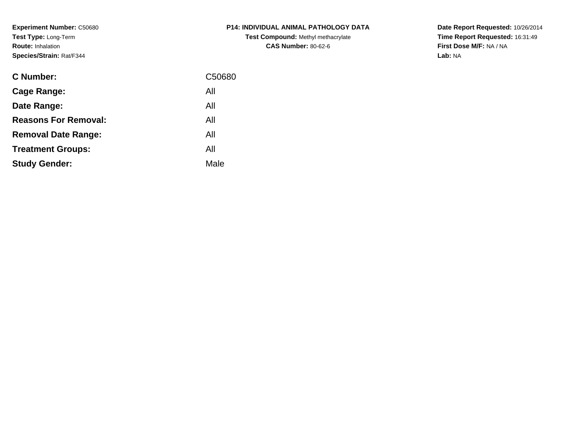**Experiment Number:** C50680**Test Type:** Long-Term**Route:** Inhalation**Species/Strain:** Rat/F344

| <b>C Number:</b>            | C50680 |
|-----------------------------|--------|
| Cage Range:                 | All    |
| Date Range:                 | All    |
| <b>Reasons For Removal:</b> | All    |
| <b>Removal Date Range:</b>  | All    |
| <b>Treatment Groups:</b>    | All    |
| <b>Study Gender:</b>        | Male   |
|                             |        |

# **P14: INDIVIDUAL ANIMAL PATHOLOGY DATATest Compound:** Methyl methacrylate**CAS Number:** 80-62-6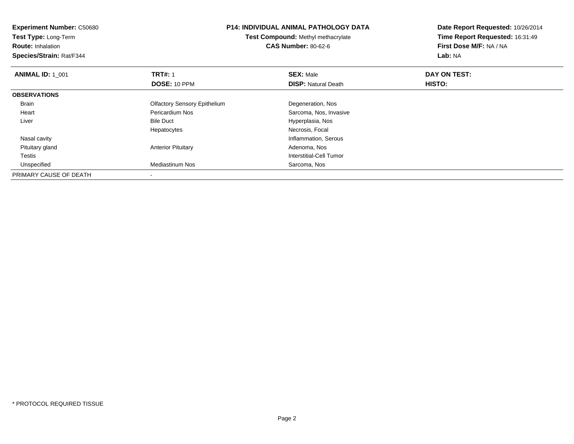| <b>Experiment Number: C50680</b> | <b>P14: INDIVIDUAL ANIMAL PATHOLOGY DATA</b><br>Test Compound: Methyl methacrylate |                            | Date Report Requested: 10/26/2014 |
|----------------------------------|------------------------------------------------------------------------------------|----------------------------|-----------------------------------|
| Test Type: Long-Term             |                                                                                    |                            | Time Report Requested: 16:31:49   |
| <b>Route: Inhalation</b>         |                                                                                    | <b>CAS Number: 80-62-6</b> | First Dose M/F: NA / NA           |
| Species/Strain: Rat/F344         |                                                                                    |                            | Lab: NA                           |
| <b>ANIMAL ID: 1 001</b>          | <b>TRT#: 1</b>                                                                     | <b>SEX: Male</b>           | DAY ON TEST:                      |
|                                  | <b>DOSE: 10 PPM</b>                                                                | <b>DISP:</b> Natural Death | HISTO:                            |
| <b>OBSERVATIONS</b>              |                                                                                    |                            |                                   |
| Brain                            | <b>Olfactory Sensory Epithelium</b>                                                | Degeneration, Nos          |                                   |
| Heart                            | Pericardium Nos                                                                    | Sarcoma, Nos, Invasive     |                                   |
| Liver                            | <b>Bile Duct</b>                                                                   | Hyperplasia, Nos           |                                   |
|                                  | Hepatocytes                                                                        | Necrosis, Focal            |                                   |
| Nasal cavity                     |                                                                                    | Inflammation, Serous       |                                   |
| Pituitary gland                  | <b>Anterior Pituitary</b>                                                          | Adenoma, Nos               |                                   |
| Testis                           |                                                                                    | Interstitial-Cell Tumor    |                                   |
| Unspecified                      | Mediastinum Nos                                                                    | Sarcoma, Nos               |                                   |
| PRIMARY CAUSE OF DEATH           |                                                                                    |                            |                                   |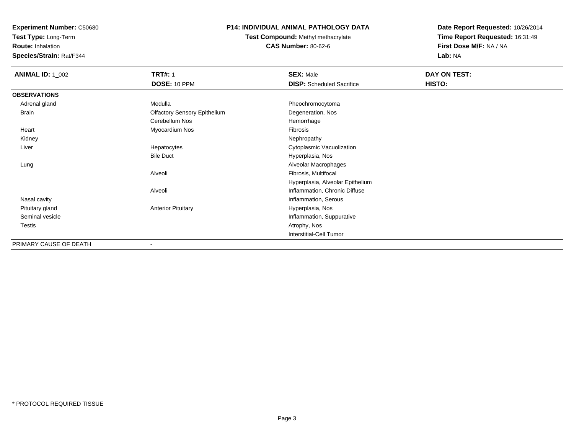**Test Type:** Long-Term

**Route:** Inhalation

**Species/Strain:** Rat/F344

### **P14: INDIVIDUAL ANIMAL PATHOLOGY DATA**

**Test Compound:** Methyl methacrylate**CAS Number:** 80-62-6

| <b>ANIMAL ID: 1_002</b> | <b>TRT#: 1</b>                      | <b>SEX: Male</b>                 | DAY ON TEST: |  |
|-------------------------|-------------------------------------|----------------------------------|--------------|--|
|                         | DOSE: 10 PPM                        | <b>DISP:</b> Scheduled Sacrifice | HISTO:       |  |
| <b>OBSERVATIONS</b>     |                                     |                                  |              |  |
| Adrenal gland           | Medulla                             | Pheochromocytoma                 |              |  |
| Brain                   | <b>Olfactory Sensory Epithelium</b> | Degeneration, Nos                |              |  |
|                         | Cerebellum Nos                      | Hemorrhage                       |              |  |
| Heart                   | Myocardium Nos                      | Fibrosis                         |              |  |
| Kidney                  |                                     | Nephropathy                      |              |  |
| Liver                   | Hepatocytes                         | Cytoplasmic Vacuolization        |              |  |
|                         | <b>Bile Duct</b>                    | Hyperplasia, Nos                 |              |  |
| Lung                    |                                     | Alveolar Macrophages             |              |  |
|                         | Alveoli                             | Fibrosis, Multifocal             |              |  |
|                         |                                     | Hyperplasia, Alveolar Epithelium |              |  |
|                         | Alveoli                             | Inflammation, Chronic Diffuse    |              |  |
| Nasal cavity            |                                     | Inflammation, Serous             |              |  |
| Pituitary gland         | <b>Anterior Pituitary</b>           | Hyperplasia, Nos                 |              |  |
| Seminal vesicle         |                                     | Inflammation, Suppurative        |              |  |
| Testis                  |                                     | Atrophy, Nos                     |              |  |
|                         |                                     | Interstitial-Cell Tumor          |              |  |
| PRIMARY CAUSE OF DEATH  |                                     |                                  |              |  |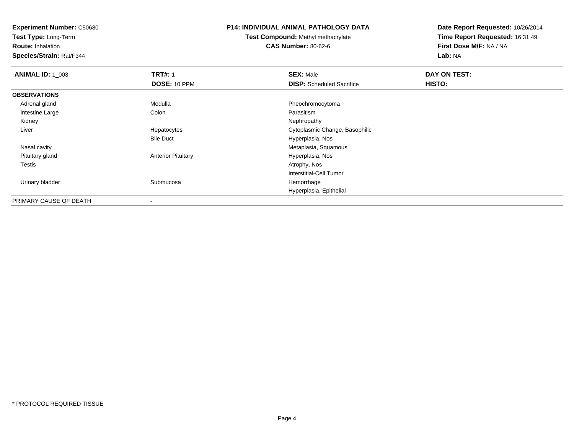**Test Type:** Long-Term

**Route:** Inhalation

**Species/Strain:** Rat/F344

#### **P14: INDIVIDUAL ANIMAL PATHOLOGY DATA**

**Test Compound:** Methyl methacrylate**CAS Number:** 80-62-6

| <b>ANIMAL ID: 1_003</b> | <b>TRT#: 1</b>            | <b>SEX: Male</b>                 | DAY ON TEST: |  |
|-------------------------|---------------------------|----------------------------------|--------------|--|
|                         | DOSE: 10 PPM              | <b>DISP:</b> Scheduled Sacrifice | HISTO:       |  |
| <b>OBSERVATIONS</b>     |                           |                                  |              |  |
| Adrenal gland           | Medulla                   | Pheochromocytoma                 |              |  |
| Intestine Large         | Colon                     | Parasitism                       |              |  |
| Kidney                  |                           | Nephropathy                      |              |  |
| Liver                   | Hepatocytes               | Cytoplasmic Change, Basophilic   |              |  |
|                         | <b>Bile Duct</b>          | Hyperplasia, Nos                 |              |  |
| Nasal cavity            |                           | Metaplasia, Squamous             |              |  |
| Pituitary gland         | <b>Anterior Pituitary</b> | Hyperplasia, Nos                 |              |  |
| Testis                  |                           | Atrophy, Nos                     |              |  |
|                         |                           | Interstitial-Cell Tumor          |              |  |
| Urinary bladder         | Submucosa                 | Hemorrhage                       |              |  |
|                         |                           | Hyperplasia, Epithelial          |              |  |
| PRIMARY CAUSE OF DEATH  |                           |                                  |              |  |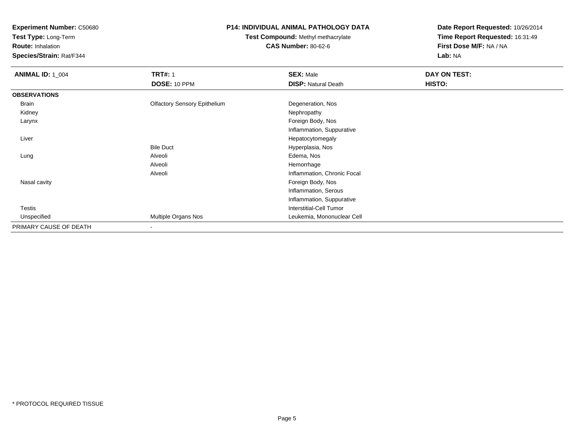**Test Type:** Long-Term

**Route:** Inhalation

**Species/Strain:** Rat/F344

# **P14: INDIVIDUAL ANIMAL PATHOLOGY DATA**

# **Test Compound:** Methyl methacrylate**CAS Number:** 80-62-6

| <b>ANIMAL ID: 1_004</b> | <b>TRT#: 1</b>                      | <b>SEX: Male</b>               | DAY ON TEST: |  |
|-------------------------|-------------------------------------|--------------------------------|--------------|--|
|                         | DOSE: 10 PPM                        | <b>DISP: Natural Death</b>     | HISTO:       |  |
| <b>OBSERVATIONS</b>     |                                     |                                |              |  |
| Brain                   | <b>Olfactory Sensory Epithelium</b> | Degeneration, Nos              |              |  |
| Kidney                  |                                     | Nephropathy                    |              |  |
| Larynx                  |                                     | Foreign Body, Nos              |              |  |
|                         |                                     | Inflammation, Suppurative      |              |  |
| Liver                   |                                     | Hepatocytomegaly               |              |  |
|                         | <b>Bile Duct</b>                    | Hyperplasia, Nos               |              |  |
| Lung                    | Alveoli                             | Edema, Nos                     |              |  |
|                         | Alveoli                             | Hemorrhage                     |              |  |
|                         | Alveoli                             | Inflammation, Chronic Focal    |              |  |
| Nasal cavity            |                                     | Foreign Body, Nos              |              |  |
|                         |                                     | Inflammation, Serous           |              |  |
|                         |                                     | Inflammation, Suppurative      |              |  |
| Testis                  |                                     | <b>Interstitial-Cell Tumor</b> |              |  |
| Unspecified             | Multiple Organs Nos                 | Leukemia, Mononuclear Cell     |              |  |
| PRIMARY CAUSE OF DEATH  | $\blacksquare$                      |                                |              |  |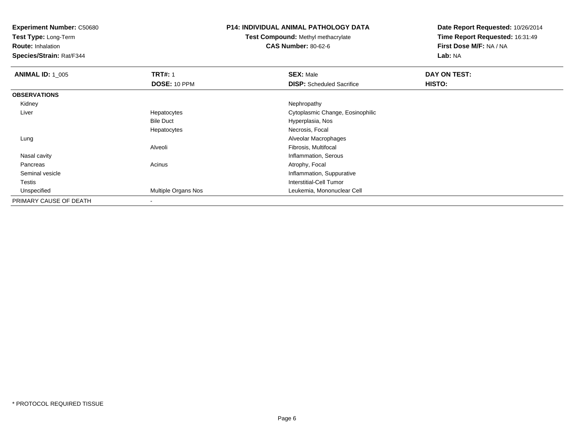**Test Type:** Long-Term

**Route:** Inhalation

**Species/Strain:** Rat/F344

#### **P14: INDIVIDUAL ANIMAL PATHOLOGY DATA**

**Test Compound:** Methyl methacrylate**CAS Number:** 80-62-6

| <b>ANIMAL ID: 1_005</b> | <b>TRT#: 1</b>      | <b>SEX: Male</b>                 | DAY ON TEST: |  |
|-------------------------|---------------------|----------------------------------|--------------|--|
|                         | DOSE: 10 PPM        | <b>DISP:</b> Scheduled Sacrifice | HISTO:       |  |
| <b>OBSERVATIONS</b>     |                     |                                  |              |  |
| Kidney                  |                     | Nephropathy                      |              |  |
| Liver                   | Hepatocytes         | Cytoplasmic Change, Eosinophilic |              |  |
|                         | <b>Bile Duct</b>    | Hyperplasia, Nos                 |              |  |
|                         | Hepatocytes         | Necrosis, Focal                  |              |  |
| Lung                    |                     | Alveolar Macrophages             |              |  |
|                         | Alveoli             | Fibrosis, Multifocal             |              |  |
| Nasal cavity            |                     | Inflammation, Serous             |              |  |
| Pancreas                | Acinus              | Atrophy, Focal                   |              |  |
| Seminal vesicle         |                     | Inflammation, Suppurative        |              |  |
| Testis                  |                     | Interstitial-Cell Tumor          |              |  |
| Unspecified             | Multiple Organs Nos | Leukemia, Mononuclear Cell       |              |  |
| PRIMARY CAUSE OF DEATH  |                     |                                  |              |  |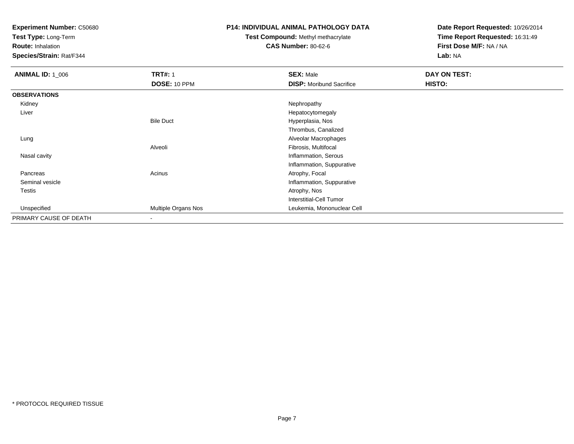**Test Type:** Long-Term

**Route:** Inhalation

**Species/Strain:** Rat/F344

#### **P14: INDIVIDUAL ANIMAL PATHOLOGY DATA**

# **Test Compound:** Methyl methacrylate**CAS Number:** 80-62-6

| <b>ANIMAL ID: 1_006</b> | <b>TRT#: 1</b>      | <b>SEX: Male</b>                | <b>DAY ON TEST:</b> |  |
|-------------------------|---------------------|---------------------------------|---------------------|--|
|                         | <b>DOSE: 10 PPM</b> | <b>DISP:</b> Moribund Sacrifice | HISTO:              |  |
| <b>OBSERVATIONS</b>     |                     |                                 |                     |  |
| Kidney                  |                     | Nephropathy                     |                     |  |
| Liver                   |                     | Hepatocytomegaly                |                     |  |
|                         | <b>Bile Duct</b>    | Hyperplasia, Nos                |                     |  |
|                         |                     | Thrombus, Canalized             |                     |  |
| Lung                    |                     | Alveolar Macrophages            |                     |  |
|                         | Alveoli             | Fibrosis, Multifocal            |                     |  |
| Nasal cavity            |                     | Inflammation, Serous            |                     |  |
|                         |                     | Inflammation, Suppurative       |                     |  |
| Pancreas                | Acinus              | Atrophy, Focal                  |                     |  |
| Seminal vesicle         |                     | Inflammation, Suppurative       |                     |  |
| <b>Testis</b>           |                     | Atrophy, Nos                    |                     |  |
|                         |                     | <b>Interstitial-Cell Tumor</b>  |                     |  |
| Unspecified             | Multiple Organs Nos | Leukemia, Mononuclear Cell      |                     |  |
| PRIMARY CAUSE OF DEATH  | ۰                   |                                 |                     |  |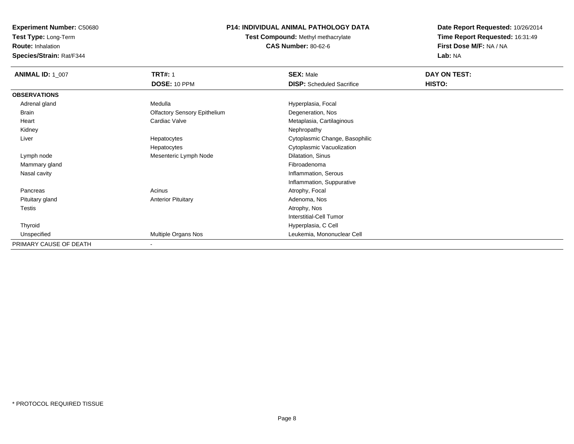**Test Type:** Long-Term

**Route:** Inhalation

**Species/Strain:** Rat/F344

# **P14: INDIVIDUAL ANIMAL PATHOLOGY DATA**

**Test Compound:** Methyl methacrylate**CAS Number:** 80-62-6

| <b>ANIMAL ID: 1 007</b> | <b>TRT#: 1</b>                      | <b>SEX: Male</b>                 | DAY ON TEST: |  |
|-------------------------|-------------------------------------|----------------------------------|--------------|--|
|                         | DOSE: 10 PPM                        | <b>DISP:</b> Scheduled Sacrifice | HISTO:       |  |
| <b>OBSERVATIONS</b>     |                                     |                                  |              |  |
| Adrenal gland           | Medulla                             | Hyperplasia, Focal               |              |  |
| Brain                   | <b>Olfactory Sensory Epithelium</b> | Degeneration, Nos                |              |  |
| Heart                   | Cardiac Valve                       | Metaplasia, Cartilaginous        |              |  |
| Kidney                  |                                     | Nephropathy                      |              |  |
| Liver                   | Hepatocytes                         | Cytoplasmic Change, Basophilic   |              |  |
|                         | Hepatocytes                         | Cytoplasmic Vacuolization        |              |  |
| Lymph node              | Mesenteric Lymph Node               | Dilatation, Sinus                |              |  |
| Mammary gland           |                                     | Fibroadenoma                     |              |  |
| Nasal cavity            |                                     | Inflammation, Serous             |              |  |
|                         |                                     | Inflammation, Suppurative        |              |  |
| Pancreas                | Acinus                              | Atrophy, Focal                   |              |  |
| Pituitary gland         | <b>Anterior Pituitary</b>           | Adenoma, Nos                     |              |  |
| Testis                  |                                     | Atrophy, Nos                     |              |  |
|                         |                                     | <b>Interstitial-Cell Tumor</b>   |              |  |
| Thyroid                 |                                     | Hyperplasia, C Cell              |              |  |
| Unspecified             | Multiple Organs Nos                 | Leukemia, Mononuclear Cell       |              |  |
| PRIMARY CAUSE OF DEATH  | ۰                                   |                                  |              |  |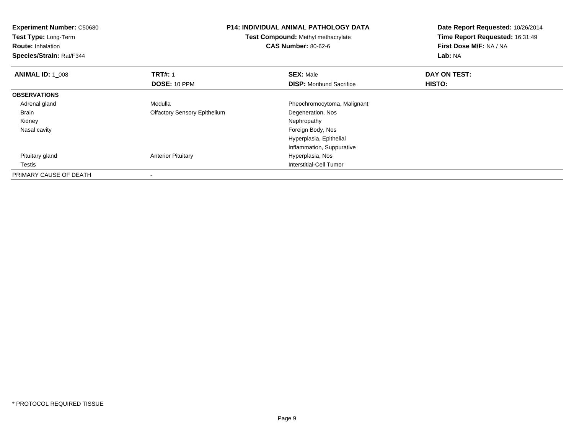| <b>Experiment Number: C50680</b><br>Test Type: Long-Term<br><b>Route: Inhalation</b><br>Species/Strain: Rat/F344 | <b>P14: INDIVIDUAL ANIMAL PATHOLOGY DATA</b><br>Test Compound: Methyl methacrylate<br><b>CAS Number: 80-62-6</b> |                                 | Date Report Requested: 10/26/2014<br>Time Report Requested: 16:31:49<br>First Dose M/F: NA / NA<br>Lab: NA |
|------------------------------------------------------------------------------------------------------------------|------------------------------------------------------------------------------------------------------------------|---------------------------------|------------------------------------------------------------------------------------------------------------|
| <b>ANIMAL ID: 1 008</b>                                                                                          | <b>TRT#: 1</b>                                                                                                   | <b>SEX: Male</b>                | DAY ON TEST:                                                                                               |
|                                                                                                                  | DOSE: 10 PPM                                                                                                     | <b>DISP:</b> Moribund Sacrifice | HISTO:                                                                                                     |
| <b>OBSERVATIONS</b>                                                                                              |                                                                                                                  |                                 |                                                                                                            |
| Adrenal gland                                                                                                    | Medulla                                                                                                          | Pheochromocytoma, Malignant     |                                                                                                            |
| Brain                                                                                                            | <b>Olfactory Sensory Epithelium</b>                                                                              | Degeneration, Nos               |                                                                                                            |
| Kidney                                                                                                           |                                                                                                                  | Nephropathy                     |                                                                                                            |
| Nasal cavity                                                                                                     |                                                                                                                  | Foreign Body, Nos               |                                                                                                            |
|                                                                                                                  |                                                                                                                  | Hyperplasia, Epithelial         |                                                                                                            |
|                                                                                                                  |                                                                                                                  | Inflammation, Suppurative       |                                                                                                            |
| Pituitary gland                                                                                                  | <b>Anterior Pituitary</b>                                                                                        | Hyperplasia, Nos                |                                                                                                            |
| Testis                                                                                                           |                                                                                                                  | <b>Interstitial-Cell Tumor</b>  |                                                                                                            |
| PRIMARY CAUSE OF DEATH                                                                                           | $\overline{\phantom{a}}$                                                                                         |                                 |                                                                                                            |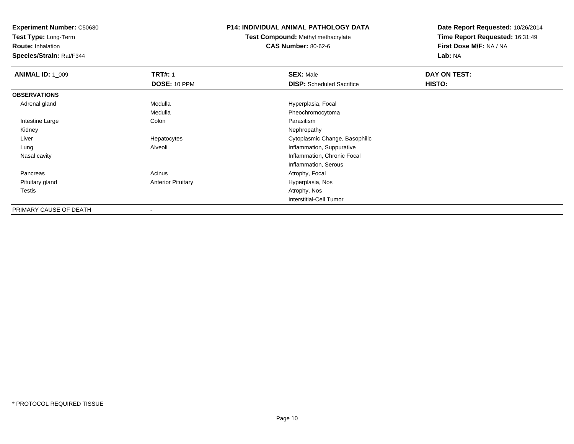**Test Type:** Long-Term

**Route:** Inhalation

**Species/Strain:** Rat/F344

### **P14: INDIVIDUAL ANIMAL PATHOLOGY DATA**

**Test Compound:** Methyl methacrylate**CAS Number:** 80-62-6

| <b>ANIMAL ID: 1_009</b> | <b>TRT#: 1</b>            | <b>SEX: Male</b>                 | DAY ON TEST: |  |
|-------------------------|---------------------------|----------------------------------|--------------|--|
|                         | DOSE: 10 PPM              | <b>DISP:</b> Scheduled Sacrifice | HISTO:       |  |
| <b>OBSERVATIONS</b>     |                           |                                  |              |  |
| Adrenal gland           | Medulla                   | Hyperplasia, Focal               |              |  |
|                         | Medulla                   | Pheochromocytoma                 |              |  |
| Intestine Large         | Colon                     | Parasitism                       |              |  |
| Kidney                  |                           | Nephropathy                      |              |  |
| Liver                   | Hepatocytes               | Cytoplasmic Change, Basophilic   |              |  |
| Lung                    | Alveoli                   | Inflammation, Suppurative        |              |  |
| Nasal cavity            |                           | Inflammation, Chronic Focal      |              |  |
|                         |                           | Inflammation, Serous             |              |  |
| Pancreas                | Acinus                    | Atrophy, Focal                   |              |  |
| Pituitary gland         | <b>Anterior Pituitary</b> | Hyperplasia, Nos                 |              |  |
| Testis                  |                           | Atrophy, Nos                     |              |  |
|                         |                           | <b>Interstitial-Cell Tumor</b>   |              |  |
| PRIMARY CAUSE OF DEATH  |                           |                                  |              |  |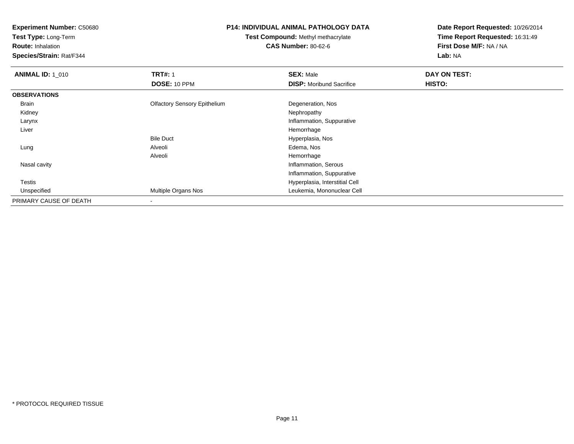**Test Type:** Long-Term

**Route:** Inhalation

**Species/Strain:** Rat/F344

#### **P14: INDIVIDUAL ANIMAL PATHOLOGY DATA**

**Test Compound:** Methyl methacrylate**CAS Number:** 80-62-6

| <b>ANIMAL ID: 1_010</b> | <b>TRT#: 1</b>                      | <b>SEX: Male</b>                | DAY ON TEST: |
|-------------------------|-------------------------------------|---------------------------------|--------------|
|                         | DOSE: 10 PPM                        | <b>DISP:</b> Moribund Sacrifice | HISTO:       |
| <b>OBSERVATIONS</b>     |                                     |                                 |              |
| Brain                   | <b>Olfactory Sensory Epithelium</b> | Degeneration, Nos               |              |
| Kidney                  |                                     | Nephropathy                     |              |
| Larynx                  |                                     | Inflammation, Suppurative       |              |
| Liver                   |                                     | Hemorrhage                      |              |
|                         | <b>Bile Duct</b>                    | Hyperplasia, Nos                |              |
| Lung                    | Alveoli                             | Edema, Nos                      |              |
|                         | Alveoli                             | Hemorrhage                      |              |
| Nasal cavity            |                                     | Inflammation, Serous            |              |
|                         |                                     | Inflammation, Suppurative       |              |
| <b>Testis</b>           |                                     | Hyperplasia, Interstitial Cell  |              |
| Unspecified             | <b>Multiple Organs Nos</b>          | Leukemia, Mononuclear Cell      |              |
| PRIMARY CAUSE OF DEATH  |                                     |                                 |              |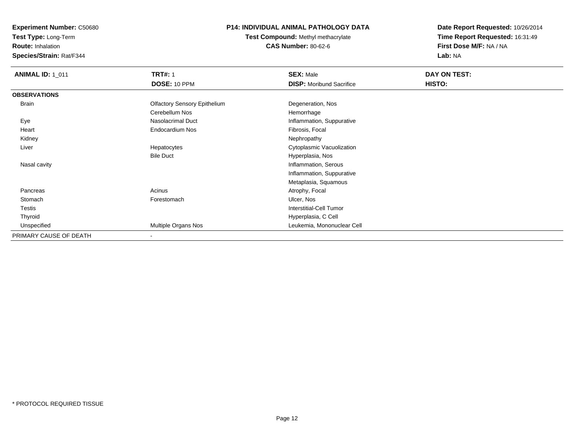**Test Type:** Long-Term

**Route:** Inhalation

**Species/Strain:** Rat/F344

# **P14: INDIVIDUAL ANIMAL PATHOLOGY DATA**

**Test Compound:** Methyl methacrylate**CAS Number:** 80-62-6

| <b>ANIMAL ID: 1_011</b> | <b>TRT#: 1</b>                      | <b>SEX: Male</b>                | DAY ON TEST: |  |
|-------------------------|-------------------------------------|---------------------------------|--------------|--|
|                         | DOSE: 10 PPM                        | <b>DISP:</b> Moribund Sacrifice | HISTO:       |  |
| <b>OBSERVATIONS</b>     |                                     |                                 |              |  |
| <b>Brain</b>            | <b>Olfactory Sensory Epithelium</b> | Degeneration, Nos               |              |  |
|                         | Cerebellum Nos                      | Hemorrhage                      |              |  |
| Eye                     | Nasolacrimal Duct                   | Inflammation, Suppurative       |              |  |
| Heart                   | Endocardium Nos                     | Fibrosis, Focal                 |              |  |
| Kidney                  |                                     | Nephropathy                     |              |  |
| Liver                   | Hepatocytes                         | Cytoplasmic Vacuolization       |              |  |
|                         | <b>Bile Duct</b>                    | Hyperplasia, Nos                |              |  |
| Nasal cavity            |                                     | Inflammation, Serous            |              |  |
|                         |                                     | Inflammation, Suppurative       |              |  |
|                         |                                     | Metaplasia, Squamous            |              |  |
| Pancreas                | Acinus                              | Atrophy, Focal                  |              |  |
| Stomach                 | Forestomach                         | Ulcer, Nos                      |              |  |
| Testis                  |                                     | Interstitial-Cell Tumor         |              |  |
| Thyroid                 |                                     | Hyperplasia, C Cell             |              |  |
| Unspecified             | Multiple Organs Nos                 | Leukemia, Mononuclear Cell      |              |  |
| PRIMARY CAUSE OF DEATH  | $\overline{\phantom{a}}$            |                                 |              |  |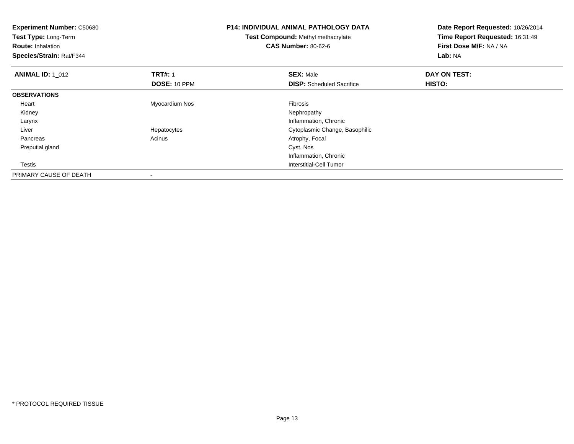| <b>Experiment Number: C50680</b><br>Test Type: Long-Term<br><b>Route: Inhalation</b><br>Species/Strain: Rat/F344 |                | <b>P14: INDIVIDUAL ANIMAL PATHOLOGY DATA</b><br>Test Compound: Methyl methacrylate<br><b>CAS Number: 80-62-6</b> | Date Report Requested: 10/26/2014<br>Time Report Requested: 16:31:49<br>First Dose M/F: NA / NA<br>Lab: NA |  |
|------------------------------------------------------------------------------------------------------------------|----------------|------------------------------------------------------------------------------------------------------------------|------------------------------------------------------------------------------------------------------------|--|
| <b>ANIMAL ID: 1 012</b>                                                                                          | <b>TRT#: 1</b> | <b>SEX: Male</b>                                                                                                 | DAY ON TEST:                                                                                               |  |
|                                                                                                                  | DOSE: 10 PPM   | <b>DISP:</b> Scheduled Sacrifice                                                                                 | HISTO:                                                                                                     |  |
| <b>OBSERVATIONS</b>                                                                                              |                |                                                                                                                  |                                                                                                            |  |
| Heart                                                                                                            | Myocardium Nos | <b>Fibrosis</b>                                                                                                  |                                                                                                            |  |
| Kidney                                                                                                           |                | Nephropathy                                                                                                      |                                                                                                            |  |
| Larynx                                                                                                           |                | Inflammation, Chronic                                                                                            |                                                                                                            |  |
| Liver                                                                                                            | Hepatocytes    | Cytoplasmic Change, Basophilic                                                                                   |                                                                                                            |  |
| Pancreas                                                                                                         | Acinus         | Atrophy, Focal                                                                                                   |                                                                                                            |  |
| Preputial gland                                                                                                  |                | Cyst, Nos                                                                                                        |                                                                                                            |  |
|                                                                                                                  |                | Inflammation, Chronic                                                                                            |                                                                                                            |  |
| Testis                                                                                                           |                | Interstitial-Cell Tumor                                                                                          |                                                                                                            |  |
| PRIMARY CAUSE OF DEATH                                                                                           |                |                                                                                                                  |                                                                                                            |  |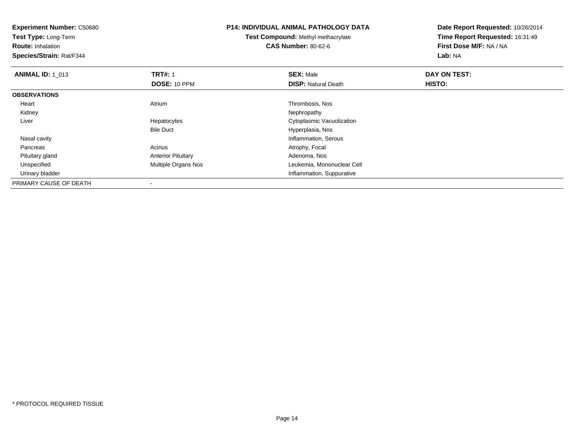**Experiment Number:** C50680**Test Type:** Long-Term**Route:** Inhalation **Species/Strain:** Rat/F344**P14: INDIVIDUAL ANIMAL PATHOLOGY DATATest Compound:** Methyl methacrylate**CAS Number:** 80-62-6**Date Report Requested:** 10/26/2014**Time Report Requested:** 16:31:49**First Dose M/F:** NA / NA**Lab:** NA**ANIMAL ID: 1\_013 TRT#:** 1 **SEX:** Male **DAY ON TEST: DOSE:** 10 PPM**DISP:** Natural Death **HISTO: OBSERVATIONS** Heart Atrium Thrombosis, Nos Kidneyy the control of the control of the control of the control of the control of the control of the control of the control of the control of the control of the control of the control of the control of the control of the contro Liver Hepatocytes Cytoplasmic VacuolizationBile Duct Hyperplasia, Nos**Inflammation, Serous**  Nasal cavity PancreasAcinus **Acinus** Atrophy, Focal Pituitary glandAnterior Pituitary **Adenoma, Nos**<br>
Multiple Organs Nos<br>
Leukemia, Mon UnspecifiedLeukemia, Mononuclear Cell Urinary bladder Inflammation, SuppurativePRIMARY CAUSE OF DEATH-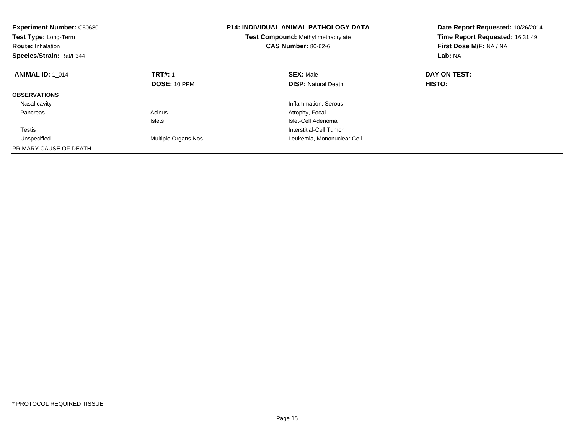| <b>Experiment Number: C50680</b><br>Test Type: Long-Term<br><b>Route: Inhalation</b><br>Species/Strain: Rat/F344 |                     | <b>P14: INDIVIDUAL ANIMAL PATHOLOGY DATA</b><br>Test Compound: Methyl methacrylate<br><b>CAS Number: 80-62-6</b> | Date Report Requested: 10/26/2014<br>Time Report Requested: 16:31:49<br>First Dose M/F: NA / NA<br>Lab: NA |
|------------------------------------------------------------------------------------------------------------------|---------------------|------------------------------------------------------------------------------------------------------------------|------------------------------------------------------------------------------------------------------------|
| <b>ANIMAL ID: 1 014</b>                                                                                          | <b>TRT#: 1</b>      | <b>SEX: Male</b>                                                                                                 | DAY ON TEST:                                                                                               |
|                                                                                                                  | DOSE: 10 PPM        | <b>DISP:</b> Natural Death                                                                                       | HISTO:                                                                                                     |
| <b>OBSERVATIONS</b>                                                                                              |                     |                                                                                                                  |                                                                                                            |
| Nasal cavity                                                                                                     |                     | Inflammation, Serous                                                                                             |                                                                                                            |
| Pancreas                                                                                                         | Acinus              | Atrophy, Focal                                                                                                   |                                                                                                            |
|                                                                                                                  | <b>Islets</b>       | Islet-Cell Adenoma                                                                                               |                                                                                                            |
| <b>Testis</b>                                                                                                    |                     | Interstitial-Cell Tumor                                                                                          |                                                                                                            |
| Unspecified                                                                                                      | Multiple Organs Nos | Leukemia, Mononuclear Cell                                                                                       |                                                                                                            |
| PRIMARY CAUSE OF DEATH                                                                                           |                     |                                                                                                                  |                                                                                                            |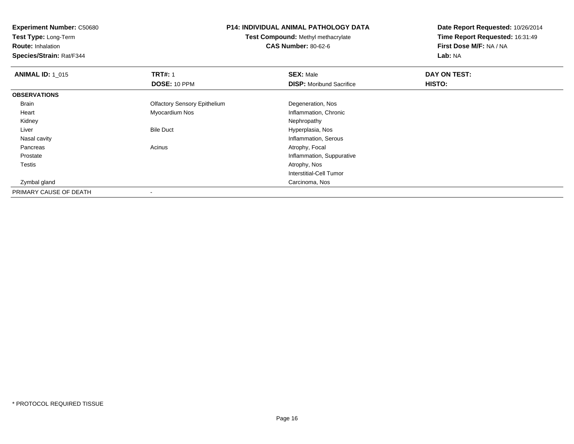**Test Type:** Long-Term

**Route:** Inhalation

**Species/Strain:** Rat/F344

### **P14: INDIVIDUAL ANIMAL PATHOLOGY DATA**

**Test Compound:** Methyl methacrylate**CAS Number:** 80-62-6

| <b>ANIMAL ID: 1_015</b> | <b>TRT#: 1</b>                      | <b>SEX: Male</b>                | DAY ON TEST: |  |
|-------------------------|-------------------------------------|---------------------------------|--------------|--|
|                         | DOSE: 10 PPM                        | <b>DISP:</b> Moribund Sacrifice | HISTO:       |  |
| <b>OBSERVATIONS</b>     |                                     |                                 |              |  |
| Brain                   | <b>Olfactory Sensory Epithelium</b> | Degeneration, Nos               |              |  |
| Heart                   | Myocardium Nos                      | Inflammation, Chronic           |              |  |
| Kidney                  |                                     | Nephropathy                     |              |  |
| Liver                   | <b>Bile Duct</b>                    | Hyperplasia, Nos                |              |  |
| Nasal cavity            |                                     | Inflammation, Serous            |              |  |
| Pancreas                | Acinus                              | Atrophy, Focal                  |              |  |
| Prostate                |                                     | Inflammation, Suppurative       |              |  |
| Testis                  |                                     | Atrophy, Nos                    |              |  |
|                         |                                     | Interstitial-Cell Tumor         |              |  |
| Zymbal gland            |                                     | Carcinoma, Nos                  |              |  |
| PRIMARY CAUSE OF DEATH  |                                     |                                 |              |  |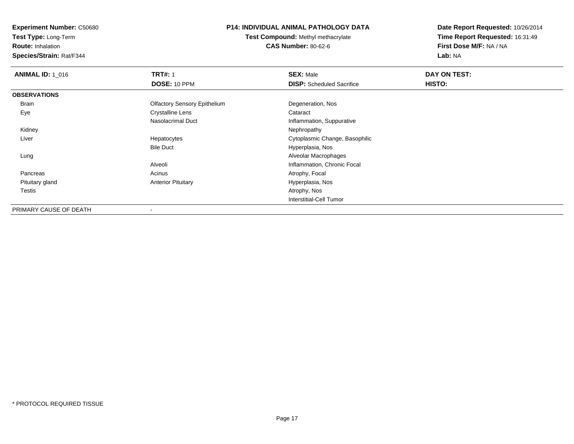**Test Type:** Long-Term

**Route:** Inhalation

**Species/Strain:** Rat/F344

### **P14: INDIVIDUAL ANIMAL PATHOLOGY DATA**

**Test Compound:** Methyl methacrylate**CAS Number:** 80-62-6

| <b>ANIMAL ID: 1 016</b> | <b>TRT#: 1</b>                      | <b>SEX: Male</b>                 | DAY ON TEST: |
|-------------------------|-------------------------------------|----------------------------------|--------------|
|                         | <b>DOSE: 10 PPM</b>                 | <b>DISP:</b> Scheduled Sacrifice | HISTO:       |
| <b>OBSERVATIONS</b>     |                                     |                                  |              |
| <b>Brain</b>            | <b>Olfactory Sensory Epithelium</b> | Degeneration, Nos                |              |
| Eye                     | <b>Crystalline Lens</b>             | Cataract                         |              |
|                         | Nasolacrimal Duct                   | Inflammation, Suppurative        |              |
| Kidney                  |                                     | Nephropathy                      |              |
| Liver                   | Hepatocytes                         | Cytoplasmic Change, Basophilic   |              |
|                         | <b>Bile Duct</b>                    | Hyperplasia, Nos                 |              |
| Lung                    |                                     | Alveolar Macrophages             |              |
|                         | Alveoli                             | Inflammation, Chronic Focal      |              |
| Pancreas                | Acinus                              | Atrophy, Focal                   |              |
| Pituitary gland         | <b>Anterior Pituitary</b>           | Hyperplasia, Nos                 |              |
| <b>Testis</b>           |                                     | Atrophy, Nos                     |              |
|                         |                                     | Interstitial-Cell Tumor          |              |
| PRIMARY CAUSE OF DEATH  |                                     |                                  |              |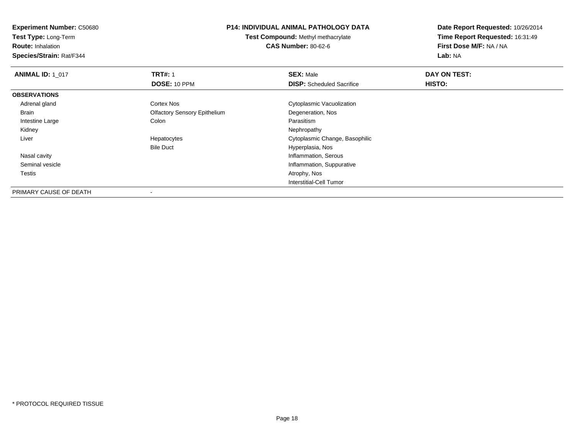**Test Type:** Long-Term

**Route:** Inhalation

**Species/Strain:** Rat/F344

#### **P14: INDIVIDUAL ANIMAL PATHOLOGY DATA**

**Test Compound:** Methyl methacrylate**CAS Number:** 80-62-6

| <b>ANIMAL ID: 1_017</b> | <b>TRT#: 1</b>                      | <b>SEX: Male</b>                 | DAY ON TEST: |  |
|-------------------------|-------------------------------------|----------------------------------|--------------|--|
|                         | <b>DOSE: 10 PPM</b>                 | <b>DISP:</b> Scheduled Sacrifice | HISTO:       |  |
| <b>OBSERVATIONS</b>     |                                     |                                  |              |  |
| Adrenal gland           | Cortex Nos                          | Cytoplasmic Vacuolization        |              |  |
| Brain                   | <b>Olfactory Sensory Epithelium</b> | Degeneration, Nos                |              |  |
| Intestine Large         | Colon                               | Parasitism                       |              |  |
| Kidney                  |                                     | Nephropathy                      |              |  |
| Liver                   | Hepatocytes                         | Cytoplasmic Change, Basophilic   |              |  |
|                         | <b>Bile Duct</b>                    | Hyperplasia, Nos                 |              |  |
| Nasal cavity            |                                     | Inflammation, Serous             |              |  |
| Seminal vesicle         |                                     | Inflammation, Suppurative        |              |  |
| Testis                  |                                     | Atrophy, Nos                     |              |  |
|                         |                                     | Interstitial-Cell Tumor          |              |  |
| PRIMARY CAUSE OF DEATH  |                                     |                                  |              |  |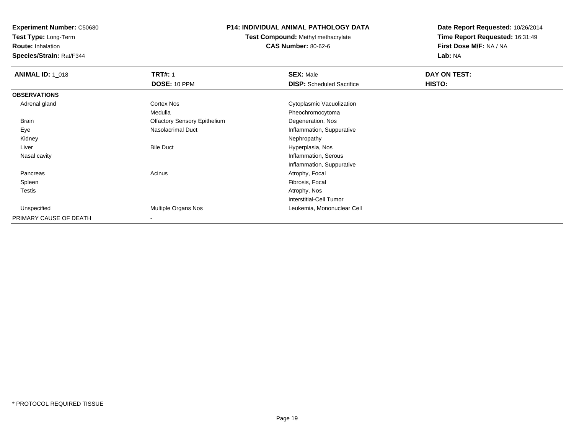**Test Type:** Long-Term

**Route:** Inhalation

**Species/Strain:** Rat/F344

### **P14: INDIVIDUAL ANIMAL PATHOLOGY DATA**

**Test Compound:** Methyl methacrylate**CAS Number:** 80-62-6

| <b>ANIMAL ID: 1_018</b> | <b>TRT#: 1</b>                      | <b>SEX: Male</b>                 | DAY ON TEST: |  |
|-------------------------|-------------------------------------|----------------------------------|--------------|--|
|                         | DOSE: 10 PPM                        | <b>DISP:</b> Scheduled Sacrifice | HISTO:       |  |
| <b>OBSERVATIONS</b>     |                                     |                                  |              |  |
| Adrenal gland           | <b>Cortex Nos</b>                   | Cytoplasmic Vacuolization        |              |  |
|                         | Medulla                             | Pheochromocytoma                 |              |  |
| Brain                   | <b>Olfactory Sensory Epithelium</b> | Degeneration, Nos                |              |  |
| Eye                     | Nasolacrimal Duct                   | Inflammation, Suppurative        |              |  |
| Kidney                  |                                     | Nephropathy                      |              |  |
| Liver                   | <b>Bile Duct</b>                    | Hyperplasia, Nos                 |              |  |
| Nasal cavity            |                                     | Inflammation, Serous             |              |  |
|                         |                                     | Inflammation, Suppurative        |              |  |
| Pancreas                | Acinus                              | Atrophy, Focal                   |              |  |
| Spleen                  |                                     | Fibrosis, Focal                  |              |  |
| <b>Testis</b>           |                                     | Atrophy, Nos                     |              |  |
|                         |                                     | <b>Interstitial-Cell Tumor</b>   |              |  |
| Unspecified             | Multiple Organs Nos                 | Leukemia, Mononuclear Cell       |              |  |
| PRIMARY CAUSE OF DEATH  |                                     |                                  |              |  |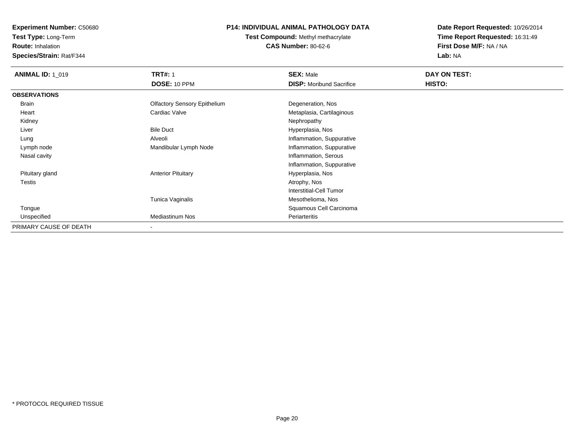**Test Type:** Long-Term

**Route:** Inhalation

**Species/Strain:** Rat/F344

# **P14: INDIVIDUAL ANIMAL PATHOLOGY DATA**

# **Test Compound:** Methyl methacrylate**CAS Number:** 80-62-6

| <b>ANIMAL ID: 1 019</b> | <b>TRT#: 1</b>                      | <b>SEX: Male</b>                | DAY ON TEST: |  |
|-------------------------|-------------------------------------|---------------------------------|--------------|--|
|                         | DOSE: 10 PPM                        | <b>DISP:</b> Moribund Sacrifice | HISTO:       |  |
| <b>OBSERVATIONS</b>     |                                     |                                 |              |  |
| Brain                   | <b>Olfactory Sensory Epithelium</b> | Degeneration, Nos               |              |  |
| Heart                   | Cardiac Valve                       | Metaplasia, Cartilaginous       |              |  |
| Kidney                  |                                     | Nephropathy                     |              |  |
| Liver                   | <b>Bile Duct</b>                    | Hyperplasia, Nos                |              |  |
| Lung                    | Alveoli                             | Inflammation, Suppurative       |              |  |
| Lymph node              | Mandibular Lymph Node               | Inflammation, Suppurative       |              |  |
| Nasal cavity            |                                     | Inflammation, Serous            |              |  |
|                         |                                     | Inflammation, Suppurative       |              |  |
| Pituitary gland         | <b>Anterior Pituitary</b>           | Hyperplasia, Nos                |              |  |
| Testis                  |                                     | Atrophy, Nos                    |              |  |
|                         |                                     | Interstitial-Cell Tumor         |              |  |
|                         | Tunica Vaginalis                    | Mesothelioma, Nos               |              |  |
| Tongue                  |                                     | Squamous Cell Carcinoma         |              |  |
| Unspecified             | <b>Mediastinum Nos</b>              | Periarteritis                   |              |  |
| PRIMARY CAUSE OF DEATH  | $\overline{\phantom{a}}$            |                                 |              |  |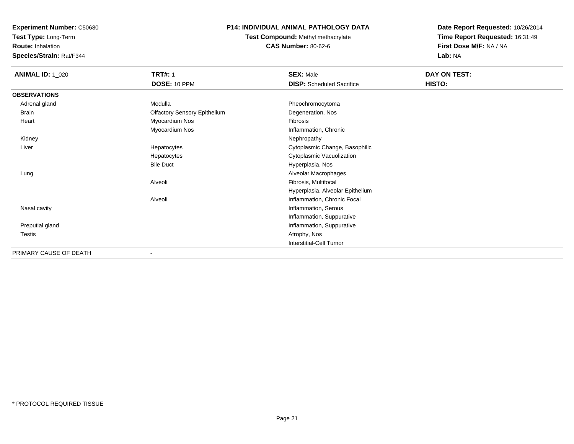**Test Type:** Long-Term

**Route:** Inhalation

**Species/Strain:** Rat/F344

# **P14: INDIVIDUAL ANIMAL PATHOLOGY DATA**

**Test Compound:** Methyl methacrylate**CAS Number:** 80-62-6

| <b>ANIMAL ID: 1_020</b> | <b>TRT#: 1</b>                      | <b>SEX: Male</b>                 | DAY ON TEST: |
|-------------------------|-------------------------------------|----------------------------------|--------------|
|                         | DOSE: 10 PPM                        | <b>DISP:</b> Scheduled Sacrifice | HISTO:       |
| <b>OBSERVATIONS</b>     |                                     |                                  |              |
| Adrenal gland           | Medulla                             | Pheochromocytoma                 |              |
| Brain                   | <b>Olfactory Sensory Epithelium</b> | Degeneration, Nos                |              |
| Heart                   | Myocardium Nos                      | Fibrosis                         |              |
|                         | Myocardium Nos                      | Inflammation, Chronic            |              |
| Kidney                  |                                     | Nephropathy                      |              |
| Liver                   | Hepatocytes                         | Cytoplasmic Change, Basophilic   |              |
|                         | Hepatocytes                         | Cytoplasmic Vacuolization        |              |
|                         | <b>Bile Duct</b>                    | Hyperplasia, Nos                 |              |
| Lung                    |                                     | Alveolar Macrophages             |              |
|                         | Alveoli                             | Fibrosis, Multifocal             |              |
|                         |                                     | Hyperplasia, Alveolar Epithelium |              |
|                         | Alveoli                             | Inflammation, Chronic Focal      |              |
| Nasal cavity            |                                     | Inflammation, Serous             |              |
|                         |                                     | Inflammation, Suppurative        |              |
| Preputial gland         |                                     | Inflammation, Suppurative        |              |
| <b>Testis</b>           |                                     | Atrophy, Nos                     |              |
|                         |                                     | Interstitial-Cell Tumor          |              |
| PRIMARY CAUSE OF DEATH  |                                     |                                  |              |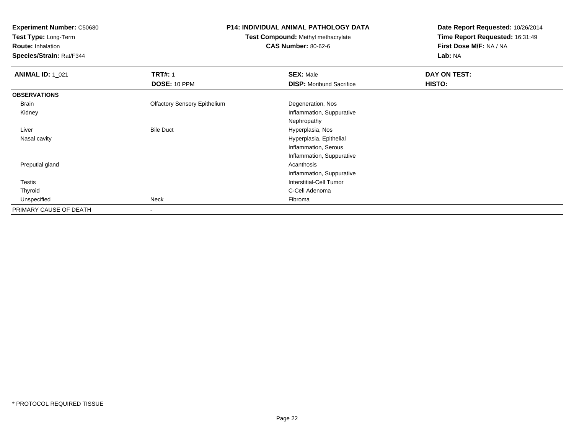**Test Type:** Long-Term

**Route:** Inhalation

**Species/Strain:** Rat/F344

#### **P14: INDIVIDUAL ANIMAL PATHOLOGY DATA**

# **Test Compound:** Methyl methacrylate**CAS Number:** 80-62-6

| <b>ANIMAL ID: 1_021</b> | <b>TRT#: 1</b>                      | <b>SEX: Male</b>                | DAY ON TEST: |  |
|-------------------------|-------------------------------------|---------------------------------|--------------|--|
|                         | DOSE: 10 PPM                        | <b>DISP:</b> Moribund Sacrifice | HISTO:       |  |
| <b>OBSERVATIONS</b>     |                                     |                                 |              |  |
| Brain                   | <b>Olfactory Sensory Epithelium</b> | Degeneration, Nos               |              |  |
| Kidney                  |                                     | Inflammation, Suppurative       |              |  |
|                         |                                     | Nephropathy                     |              |  |
| Liver                   | <b>Bile Duct</b>                    | Hyperplasia, Nos                |              |  |
| Nasal cavity            |                                     | Hyperplasia, Epithelial         |              |  |
|                         |                                     | Inflammation, Serous            |              |  |
|                         |                                     | Inflammation, Suppurative       |              |  |
| Preputial gland         |                                     | Acanthosis                      |              |  |
|                         |                                     | Inflammation, Suppurative       |              |  |
| Testis                  |                                     | <b>Interstitial-Cell Tumor</b>  |              |  |
| Thyroid                 |                                     | C-Cell Adenoma                  |              |  |
| Unspecified             | Neck                                | Fibroma                         |              |  |
| PRIMARY CAUSE OF DEATH  | ۰                                   |                                 |              |  |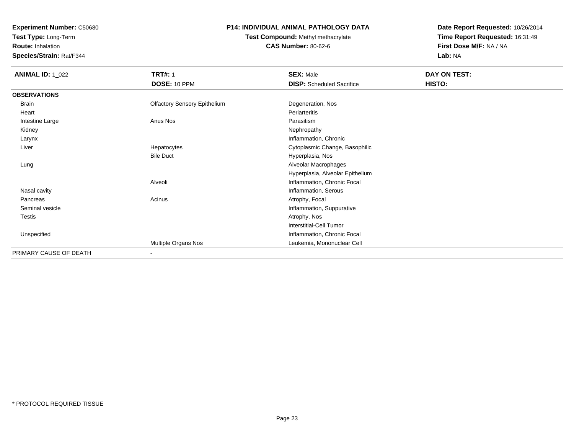**Test Type:** Long-Term

**Route:** Inhalation

**Species/Strain:** Rat/F344

# **P14: INDIVIDUAL ANIMAL PATHOLOGY DATA**

# **Test Compound:** Methyl methacrylate**CAS Number:** 80-62-6

| <b>ANIMAL ID: 1_022</b> | <b>TRT#: 1</b>                      | <b>SEX: Male</b>                 | DAY ON TEST: |  |
|-------------------------|-------------------------------------|----------------------------------|--------------|--|
|                         | DOSE: 10 PPM                        | <b>DISP:</b> Scheduled Sacrifice | HISTO:       |  |
| <b>OBSERVATIONS</b>     |                                     |                                  |              |  |
| Brain                   | <b>Olfactory Sensory Epithelium</b> | Degeneration, Nos                |              |  |
| Heart                   |                                     | Periarteritis                    |              |  |
| Intestine Large         | Anus Nos                            | Parasitism                       |              |  |
| Kidney                  |                                     | Nephropathy                      |              |  |
| Larynx                  |                                     | Inflammation, Chronic            |              |  |
| Liver                   | Hepatocytes                         | Cytoplasmic Change, Basophilic   |              |  |
|                         | <b>Bile Duct</b>                    | Hyperplasia, Nos                 |              |  |
| Lung                    |                                     | Alveolar Macrophages             |              |  |
|                         |                                     | Hyperplasia, Alveolar Epithelium |              |  |
|                         | Alveoli                             | Inflammation, Chronic Focal      |              |  |
| Nasal cavity            |                                     | Inflammation, Serous             |              |  |
| Pancreas                | Acinus                              | Atrophy, Focal                   |              |  |
| Seminal vesicle         |                                     | Inflammation, Suppurative        |              |  |
| Testis                  |                                     | Atrophy, Nos                     |              |  |
|                         |                                     | <b>Interstitial-Cell Tumor</b>   |              |  |
| Unspecified             |                                     | Inflammation, Chronic Focal      |              |  |
|                         | Multiple Organs Nos                 | Leukemia, Mononuclear Cell       |              |  |
| PRIMARY CAUSE OF DEATH  | $\blacksquare$                      |                                  |              |  |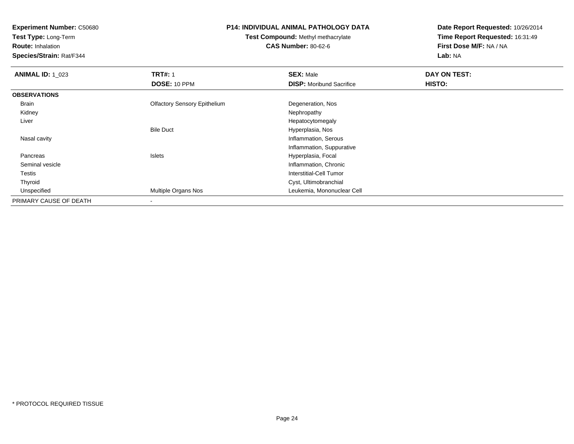**Test Type:** Long-Term

**Route:** Inhalation

**Species/Strain:** Rat/F344

#### **P14: INDIVIDUAL ANIMAL PATHOLOGY DATA**

# **Test Compound:** Methyl methacrylate**CAS Number:** 80-62-6

| <b>ANIMAL ID: 1 023</b> | <b>TRT#: 1</b>                      | <b>SEX: Male</b>                | DAY ON TEST: |  |
|-------------------------|-------------------------------------|---------------------------------|--------------|--|
|                         | <b>DOSE: 10 PPM</b>                 | <b>DISP:</b> Moribund Sacrifice | HISTO:       |  |
| <b>OBSERVATIONS</b>     |                                     |                                 |              |  |
| Brain                   | <b>Olfactory Sensory Epithelium</b> | Degeneration, Nos               |              |  |
| Kidney                  |                                     | Nephropathy                     |              |  |
| Liver                   |                                     | Hepatocytomegaly                |              |  |
|                         | <b>Bile Duct</b>                    | Hyperplasia, Nos                |              |  |
| Nasal cavity            |                                     | Inflammation, Serous            |              |  |
|                         |                                     | Inflammation, Suppurative       |              |  |
| Pancreas                | <b>Islets</b>                       | Hyperplasia, Focal              |              |  |
| Seminal vesicle         |                                     | Inflammation, Chronic           |              |  |
| Testis                  |                                     | Interstitial-Cell Tumor         |              |  |
| Thyroid                 |                                     | Cyst, Ultimobranchial           |              |  |
| Unspecified             | Multiple Organs Nos                 | Leukemia, Mononuclear Cell      |              |  |
| PRIMARY CAUSE OF DEATH  | $\blacksquare$                      |                                 |              |  |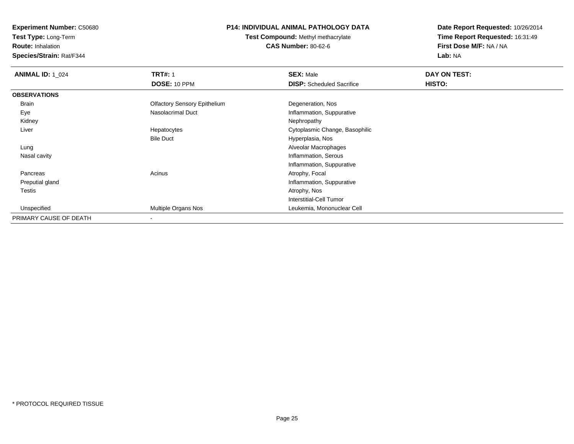**Test Type:** Long-Term

**Route:** Inhalation

**Species/Strain:** Rat/F344

### **P14: INDIVIDUAL ANIMAL PATHOLOGY DATA**

**Test Compound:** Methyl methacrylate**CAS Number:** 80-62-6

| <b>ANIMAL ID: 1_024</b> | <b>TRT#: 1</b>                      | <b>SEX: Male</b>                 | DAY ON TEST:  |  |
|-------------------------|-------------------------------------|----------------------------------|---------------|--|
|                         | DOSE: 10 PPM                        | <b>DISP:</b> Scheduled Sacrifice | <b>HISTO:</b> |  |
| <b>OBSERVATIONS</b>     |                                     |                                  |               |  |
| Brain                   | <b>Olfactory Sensory Epithelium</b> | Degeneration, Nos                |               |  |
| Eye                     | Nasolacrimal Duct                   | Inflammation, Suppurative        |               |  |
| Kidney                  |                                     | Nephropathy                      |               |  |
| Liver                   | Hepatocytes                         | Cytoplasmic Change, Basophilic   |               |  |
|                         | <b>Bile Duct</b>                    | Hyperplasia, Nos                 |               |  |
| Lung                    |                                     | Alveolar Macrophages             |               |  |
| Nasal cavity            |                                     | Inflammation, Serous             |               |  |
|                         |                                     | Inflammation, Suppurative        |               |  |
| Pancreas                | Acinus                              | Atrophy, Focal                   |               |  |
| Preputial gland         |                                     | Inflammation, Suppurative        |               |  |
| Testis                  |                                     | Atrophy, Nos                     |               |  |
|                         |                                     | Interstitial-Cell Tumor          |               |  |
| Unspecified             | Multiple Organs Nos                 | Leukemia, Mononuclear Cell       |               |  |
| PRIMARY CAUSE OF DEATH  |                                     |                                  |               |  |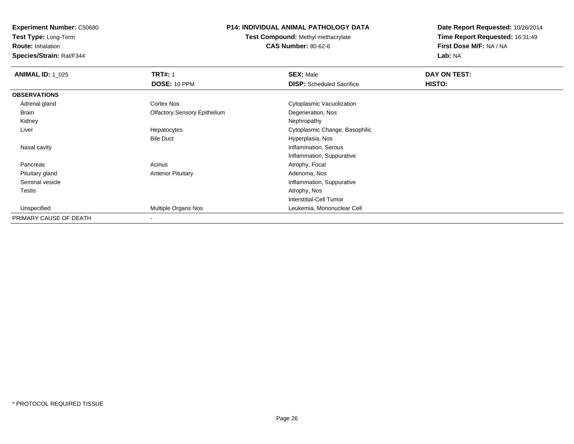**Test Type:** Long-Term

**Route:** Inhalation

**Species/Strain:** Rat/F344

### **P14: INDIVIDUAL ANIMAL PATHOLOGY DATA**

**Test Compound:** Methyl methacrylate**CAS Number:** 80-62-6

| <b>ANIMAL ID: 1_025</b> | <b>TRT#: 1</b>                      | <b>SEX: Male</b>                 | DAY ON TEST: |  |
|-------------------------|-------------------------------------|----------------------------------|--------------|--|
|                         | DOSE: 10 PPM                        | <b>DISP:</b> Scheduled Sacrifice | HISTO:       |  |
| <b>OBSERVATIONS</b>     |                                     |                                  |              |  |
| Adrenal gland           | <b>Cortex Nos</b>                   | Cytoplasmic Vacuolization        |              |  |
| Brain                   | <b>Olfactory Sensory Epithelium</b> | Degeneration, Nos                |              |  |
| Kidney                  |                                     | Nephropathy                      |              |  |
| Liver                   | Hepatocytes                         | Cytoplasmic Change, Basophilic   |              |  |
|                         | <b>Bile Duct</b>                    | Hyperplasia, Nos                 |              |  |
| Nasal cavity            |                                     | Inflammation, Serous             |              |  |
|                         |                                     | Inflammation, Suppurative        |              |  |
| Pancreas                | Acinus                              | Atrophy, Focal                   |              |  |
| Pituitary gland         | <b>Anterior Pituitary</b>           | Adenoma, Nos                     |              |  |
| Seminal vesicle         |                                     | Inflammation, Suppurative        |              |  |
| Testis                  |                                     | Atrophy, Nos                     |              |  |
|                         |                                     | <b>Interstitial-Cell Tumor</b>   |              |  |
| Unspecified             | <b>Multiple Organs Nos</b>          | Leukemia, Mononuclear Cell       |              |  |
| PRIMARY CAUSE OF DEATH  |                                     |                                  |              |  |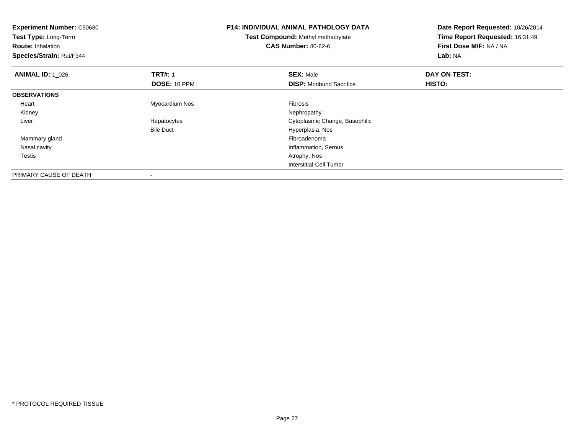| <b>Experiment Number: C50680</b><br>Test Type: Long-Term<br><b>Route: Inhalation</b><br>Species/Strain: Rat/F344 |                  | <b>P14: INDIVIDUAL ANIMAL PATHOLOGY DATA</b><br>Test Compound: Methyl methacrylate<br><b>CAS Number: 80-62-6</b> | Date Report Requested: 10/26/2014<br>Time Report Requested: 16:31:49<br>First Dose M/F: NA / NA<br>Lab: NA |
|------------------------------------------------------------------------------------------------------------------|------------------|------------------------------------------------------------------------------------------------------------------|------------------------------------------------------------------------------------------------------------|
| <b>ANIMAL ID: 1_026</b>                                                                                          | <b>TRT#: 1</b>   | <b>SEX: Male</b>                                                                                                 | DAY ON TEST:                                                                                               |
|                                                                                                                  | DOSE: 10 PPM     | <b>DISP:</b> Moribund Sacrifice                                                                                  | HISTO:                                                                                                     |
| <b>OBSERVATIONS</b>                                                                                              |                  |                                                                                                                  |                                                                                                            |
| Heart                                                                                                            | Myocardium Nos   | <b>Fibrosis</b>                                                                                                  |                                                                                                            |
| Kidney                                                                                                           |                  | Nephropathy                                                                                                      |                                                                                                            |
| Liver                                                                                                            | Hepatocytes      | Cytoplasmic Change, Basophilic                                                                                   |                                                                                                            |
|                                                                                                                  | <b>Bile Duct</b> | Hyperplasia, Nos                                                                                                 |                                                                                                            |
| Mammary gland                                                                                                    |                  | Fibroadenoma                                                                                                     |                                                                                                            |
| Nasal cavity                                                                                                     |                  | Inflammation, Serous                                                                                             |                                                                                                            |
| Testis                                                                                                           |                  | Atrophy, Nos                                                                                                     |                                                                                                            |
|                                                                                                                  |                  | <b>Interstitial-Cell Tumor</b>                                                                                   |                                                                                                            |
| PRIMARY CAUSE OF DEATH                                                                                           |                  |                                                                                                                  |                                                                                                            |

-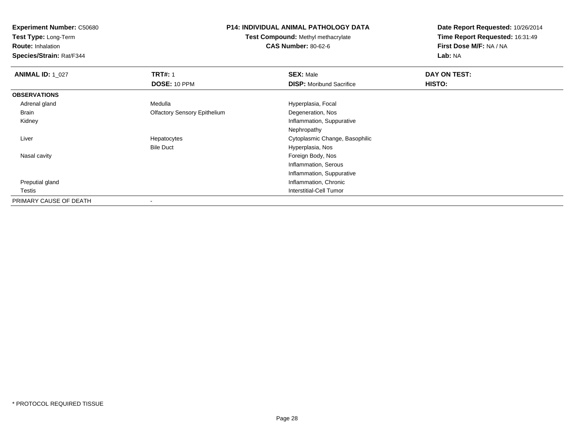**Test Type:** Long-Term

**Route:** Inhalation

**Species/Strain:** Rat/F344

#### **P14: INDIVIDUAL ANIMAL PATHOLOGY DATA**

**Test Compound:** Methyl methacrylate**CAS Number:** 80-62-6

| <b>ANIMAL ID: 1_027</b> | <b>TRT#: 1</b>                      | <b>SEX: Male</b>                | DAY ON TEST: |  |
|-------------------------|-------------------------------------|---------------------------------|--------------|--|
|                         | DOSE: 10 PPM                        | <b>DISP:</b> Moribund Sacrifice | HISTO:       |  |
| <b>OBSERVATIONS</b>     |                                     |                                 |              |  |
| Adrenal gland           | Medulla                             | Hyperplasia, Focal              |              |  |
| Brain                   | <b>Olfactory Sensory Epithelium</b> | Degeneration, Nos               |              |  |
| Kidney                  |                                     | Inflammation, Suppurative       |              |  |
|                         |                                     | Nephropathy                     |              |  |
| Liver                   | Hepatocytes                         | Cytoplasmic Change, Basophilic  |              |  |
|                         | <b>Bile Duct</b>                    | Hyperplasia, Nos                |              |  |
| Nasal cavity            |                                     | Foreign Body, Nos               |              |  |
|                         |                                     | Inflammation, Serous            |              |  |
|                         |                                     | Inflammation, Suppurative       |              |  |
| Preputial gland         |                                     | Inflammation, Chronic           |              |  |
| Testis                  |                                     | Interstitial-Cell Tumor         |              |  |
| PRIMARY CAUSE OF DEATH  |                                     |                                 |              |  |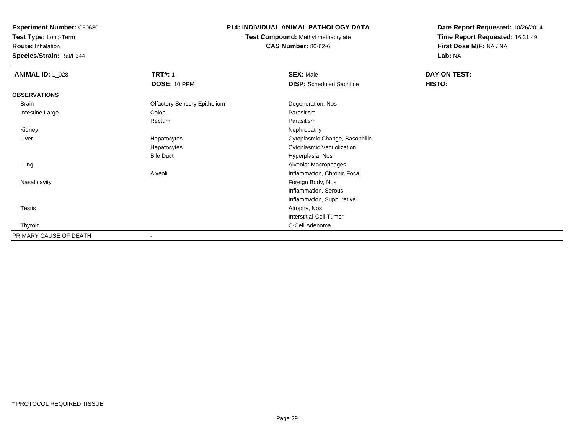**Test Type:** Long-Term

**Route:** Inhalation

**Species/Strain:** Rat/F344

### **P14: INDIVIDUAL ANIMAL PATHOLOGY DATA**

**Test Compound:** Methyl methacrylate**CAS Number:** 80-62-6

| <b>ANIMAL ID: 1_028</b> | <b>TRT#: 1</b>                      | <b>SEX: Male</b>                 | DAY ON TEST: |  |
|-------------------------|-------------------------------------|----------------------------------|--------------|--|
|                         | DOSE: 10 PPM                        | <b>DISP:</b> Scheduled Sacrifice | HISTO:       |  |
| <b>OBSERVATIONS</b>     |                                     |                                  |              |  |
| Brain                   | <b>Olfactory Sensory Epithelium</b> | Degeneration, Nos                |              |  |
| Intestine Large         | Colon                               | Parasitism                       |              |  |
|                         | Rectum                              | Parasitism                       |              |  |
| Kidney                  |                                     | Nephropathy                      |              |  |
| Liver                   | Hepatocytes                         | Cytoplasmic Change, Basophilic   |              |  |
|                         | Hepatocytes                         | Cytoplasmic Vacuolization        |              |  |
|                         | <b>Bile Duct</b>                    | Hyperplasia, Nos                 |              |  |
| Lung                    |                                     | Alveolar Macrophages             |              |  |
|                         | Alveoli                             | Inflammation, Chronic Focal      |              |  |
| Nasal cavity            |                                     | Foreign Body, Nos                |              |  |
|                         |                                     | Inflammation, Serous             |              |  |
|                         |                                     | Inflammation, Suppurative        |              |  |
| <b>Testis</b>           |                                     | Atrophy, Nos                     |              |  |
|                         |                                     | Interstitial-Cell Tumor          |              |  |
| Thyroid                 |                                     | C-Cell Adenoma                   |              |  |
| PRIMARY CAUSE OF DEATH  |                                     |                                  |              |  |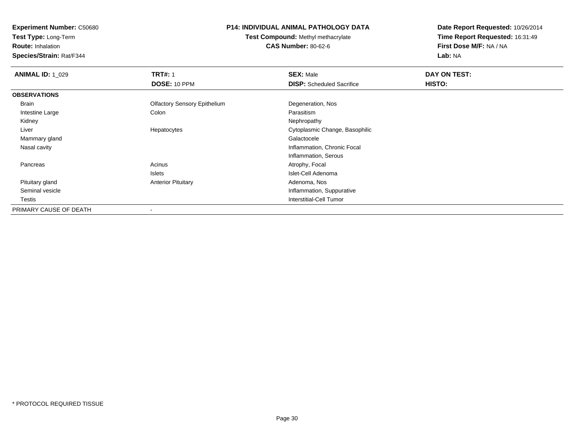**Test Type:** Long-Term

**Route:** Inhalation

**Species/Strain:** Rat/F344

#### **P14: INDIVIDUAL ANIMAL PATHOLOGY DATA**

**Test Compound:** Methyl methacrylate**CAS Number:** 80-62-6

| <b>ANIMAL ID: 1_029</b> | <b>TRT#: 1</b>                      | <b>SEX: Male</b>                 | DAY ON TEST: |  |
|-------------------------|-------------------------------------|----------------------------------|--------------|--|
|                         | DOSE: 10 PPM                        | <b>DISP:</b> Scheduled Sacrifice | HISTO:       |  |
| <b>OBSERVATIONS</b>     |                                     |                                  |              |  |
| Brain                   | <b>Olfactory Sensory Epithelium</b> | Degeneration, Nos                |              |  |
| Intestine Large         | Colon                               | Parasitism                       |              |  |
| Kidney                  |                                     | Nephropathy                      |              |  |
| Liver                   | Hepatocytes                         | Cytoplasmic Change, Basophilic   |              |  |
| Mammary gland           |                                     | Galactocele                      |              |  |
| Nasal cavity            |                                     | Inflammation, Chronic Focal      |              |  |
|                         |                                     | Inflammation, Serous             |              |  |
| Pancreas                | Acinus                              | Atrophy, Focal                   |              |  |
|                         | Islets                              | Islet-Cell Adenoma               |              |  |
| Pituitary gland         | <b>Anterior Pituitary</b>           | Adenoma, Nos                     |              |  |
| Seminal vesicle         |                                     | Inflammation, Suppurative        |              |  |
| Testis                  |                                     | Interstitial-Cell Tumor          |              |  |
| PRIMARY CAUSE OF DEATH  |                                     |                                  |              |  |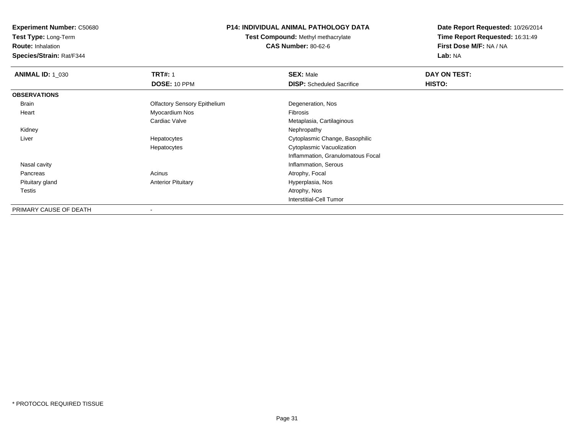**Test Type:** Long-Term

**Route:** Inhalation

**Species/Strain:** Rat/F344

### **P14: INDIVIDUAL ANIMAL PATHOLOGY DATA**

**Test Compound:** Methyl methacrylate**CAS Number:** 80-62-6

| <b>ANIMAL ID: 1 030</b> | <b>TRT#: 1</b>                      | <b>SEX: Male</b>                  | DAY ON TEST: |
|-------------------------|-------------------------------------|-----------------------------------|--------------|
|                         | <b>DOSE: 10 PPM</b>                 | <b>DISP:</b> Scheduled Sacrifice  | HISTO:       |
| <b>OBSERVATIONS</b>     |                                     |                                   |              |
| Brain                   | <b>Olfactory Sensory Epithelium</b> | Degeneration, Nos                 |              |
| Heart                   | Myocardium Nos                      | Fibrosis                          |              |
|                         | Cardiac Valve                       | Metaplasia, Cartilaginous         |              |
| Kidney                  |                                     | Nephropathy                       |              |
| Liver                   | Hepatocytes                         | Cytoplasmic Change, Basophilic    |              |
|                         | Hepatocytes                         | Cytoplasmic Vacuolization         |              |
|                         |                                     | Inflammation, Granulomatous Focal |              |
| Nasal cavity            |                                     | Inflammation, Serous              |              |
| Pancreas                | Acinus                              | Atrophy, Focal                    |              |
| Pituitary gland         | <b>Anterior Pituitary</b>           | Hyperplasia, Nos                  |              |
| Testis                  |                                     | Atrophy, Nos                      |              |
|                         |                                     | Interstitial-Cell Tumor           |              |
| PRIMARY CAUSE OF DEATH  |                                     |                                   |              |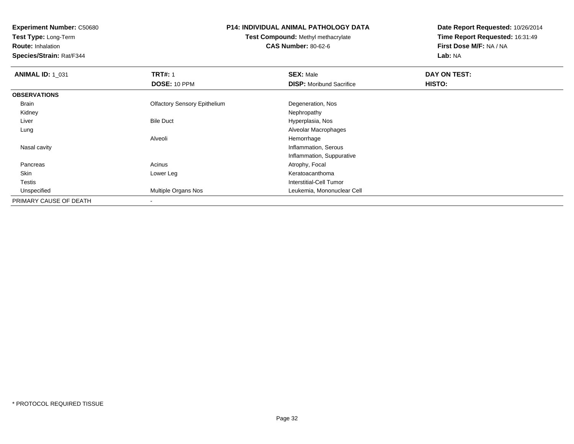**Test Type:** Long-Term

**Route:** Inhalation

**Species/Strain:** Rat/F344

#### **P14: INDIVIDUAL ANIMAL PATHOLOGY DATA**

**Test Compound:** Methyl methacrylate**CAS Number:** 80-62-6

| <b>ANIMAL ID: 1_031</b> | <b>TRT#: 1</b><br>DOSE: 10 PPM      | <b>SEX: Male</b>                | DAY ON TEST: |
|-------------------------|-------------------------------------|---------------------------------|--------------|
|                         |                                     | <b>DISP:</b> Moribund Sacrifice | HISTO:       |
| <b>OBSERVATIONS</b>     |                                     |                                 |              |
| Brain                   | <b>Olfactory Sensory Epithelium</b> | Degeneration, Nos               |              |
| Kidney                  |                                     | Nephropathy                     |              |
| Liver                   | <b>Bile Duct</b>                    | Hyperplasia, Nos                |              |
| Lung                    |                                     | Alveolar Macrophages            |              |
|                         | Alveoli                             | Hemorrhage                      |              |
| Nasal cavity            |                                     | Inflammation, Serous            |              |
|                         |                                     | Inflammation, Suppurative       |              |
| Pancreas                | Acinus                              | Atrophy, Focal                  |              |
| Skin                    | Lower Leg                           | Keratoacanthoma                 |              |
| <b>Testis</b>           |                                     | <b>Interstitial-Cell Tumor</b>  |              |
| Unspecified             | <b>Multiple Organs Nos</b>          | Leukemia, Mononuclear Cell      |              |
| PRIMARY CAUSE OF DEATH  |                                     |                                 |              |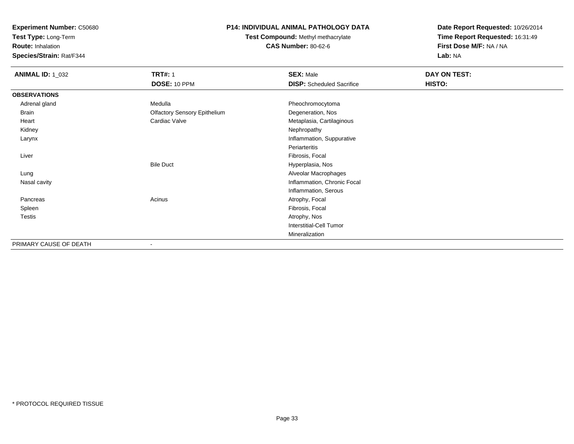**Test Type:** Long-Term

**Route:** Inhalation

**Species/Strain:** Rat/F344

# **P14: INDIVIDUAL ANIMAL PATHOLOGY DATA**

**Test Compound:** Methyl methacrylate**CAS Number:** 80-62-6

| <b>ANIMAL ID: 1_032</b> | <b>TRT#: 1</b>                      | <b>SEX: Male</b>                 | DAY ON TEST: |  |
|-------------------------|-------------------------------------|----------------------------------|--------------|--|
|                         | <b>DOSE: 10 PPM</b>                 | <b>DISP:</b> Scheduled Sacrifice | HISTO:       |  |
| <b>OBSERVATIONS</b>     |                                     |                                  |              |  |
| Adrenal gland           | Medulla                             | Pheochromocytoma                 |              |  |
| <b>Brain</b>            | <b>Olfactory Sensory Epithelium</b> | Degeneration, Nos                |              |  |
| Heart                   | Cardiac Valve                       | Metaplasia, Cartilaginous        |              |  |
| Kidney                  |                                     | Nephropathy                      |              |  |
| Larynx                  |                                     | Inflammation, Suppurative        |              |  |
|                         |                                     | Periarteritis                    |              |  |
| Liver                   |                                     | Fibrosis, Focal                  |              |  |
|                         | <b>Bile Duct</b>                    | Hyperplasia, Nos                 |              |  |
| Lung                    |                                     | Alveolar Macrophages             |              |  |
| Nasal cavity            |                                     | Inflammation, Chronic Focal      |              |  |
|                         |                                     | Inflammation, Serous             |              |  |
| Pancreas                | Acinus                              | Atrophy, Focal                   |              |  |
| Spleen                  |                                     | Fibrosis, Focal                  |              |  |
| Testis                  |                                     | Atrophy, Nos                     |              |  |
|                         |                                     | <b>Interstitial-Cell Tumor</b>   |              |  |
|                         |                                     | Mineralization                   |              |  |
| PRIMARY CAUSE OF DEATH  |                                     |                                  |              |  |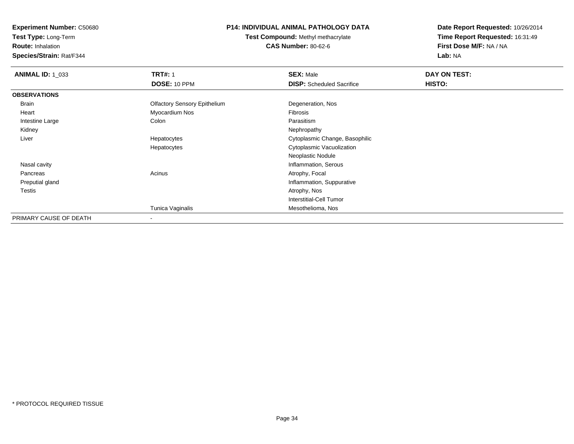**Test Type:** Long-Term

**Route:** Inhalation

**Species/Strain:** Rat/F344

# **P14: INDIVIDUAL ANIMAL PATHOLOGY DATA**

**Test Compound:** Methyl methacrylate**CAS Number:** 80-62-6

| <b>ANIMAL ID: 1_033</b> | <b>TRT#: 1</b>                      | <b>SEX: Male</b>                 | DAY ON TEST: |  |
|-------------------------|-------------------------------------|----------------------------------|--------------|--|
|                         | DOSE: 10 PPM                        | <b>DISP:</b> Scheduled Sacrifice | HISTO:       |  |
| <b>OBSERVATIONS</b>     |                                     |                                  |              |  |
| Brain                   | <b>Olfactory Sensory Epithelium</b> | Degeneration, Nos                |              |  |
| Heart                   | Myocardium Nos                      | Fibrosis                         |              |  |
| Intestine Large         | Colon                               | Parasitism                       |              |  |
| Kidney                  |                                     | Nephropathy                      |              |  |
| Liver                   | Hepatocytes                         | Cytoplasmic Change, Basophilic   |              |  |
|                         | Hepatocytes                         | Cytoplasmic Vacuolization        |              |  |
|                         |                                     | Neoplastic Nodule                |              |  |
| Nasal cavity            |                                     | Inflammation, Serous             |              |  |
| Pancreas                | Acinus                              | Atrophy, Focal                   |              |  |
| Preputial gland         |                                     | Inflammation, Suppurative        |              |  |
| <b>Testis</b>           |                                     | Atrophy, Nos                     |              |  |
|                         |                                     | <b>Interstitial-Cell Tumor</b>   |              |  |
|                         | Tunica Vaginalis                    | Mesothelioma, Nos                |              |  |
| PRIMARY CAUSE OF DEATH  | $\overline{\phantom{a}}$            |                                  |              |  |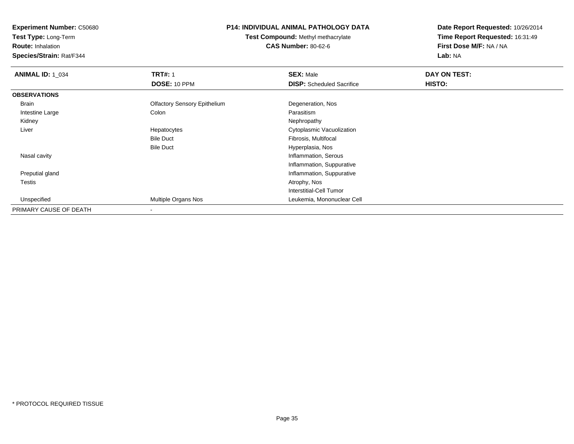**Test Type:** Long-Term

**Route:** Inhalation

**Species/Strain:** Rat/F344

#### **P14: INDIVIDUAL ANIMAL PATHOLOGY DATA**

**Test Compound:** Methyl methacrylate**CAS Number:** 80-62-6

| <b>ANIMAL ID: 1 034</b> | <b>TRT#: 1</b>                      | <b>SEX: Male</b>                 | DAY ON TEST: |  |
|-------------------------|-------------------------------------|----------------------------------|--------------|--|
|                         | DOSE: 10 PPM                        | <b>DISP:</b> Scheduled Sacrifice | HISTO:       |  |
| <b>OBSERVATIONS</b>     |                                     |                                  |              |  |
| Brain                   | <b>Olfactory Sensory Epithelium</b> | Degeneration, Nos                |              |  |
| Intestine Large         | Colon                               | Parasitism                       |              |  |
| Kidney                  |                                     | Nephropathy                      |              |  |
| Liver                   | Hepatocytes                         | Cytoplasmic Vacuolization        |              |  |
|                         | <b>Bile Duct</b>                    | Fibrosis, Multifocal             |              |  |
|                         | <b>Bile Duct</b>                    | Hyperplasia, Nos                 |              |  |
| Nasal cavity            |                                     | Inflammation, Serous             |              |  |
|                         |                                     | Inflammation, Suppurative        |              |  |
| Preputial gland         |                                     | Inflammation, Suppurative        |              |  |
| Testis                  |                                     | Atrophy, Nos                     |              |  |
|                         |                                     | Interstitial-Cell Tumor          |              |  |
| Unspecified             | <b>Multiple Organs Nos</b>          | Leukemia, Mononuclear Cell       |              |  |
| PRIMARY CAUSE OF DEATH  |                                     |                                  |              |  |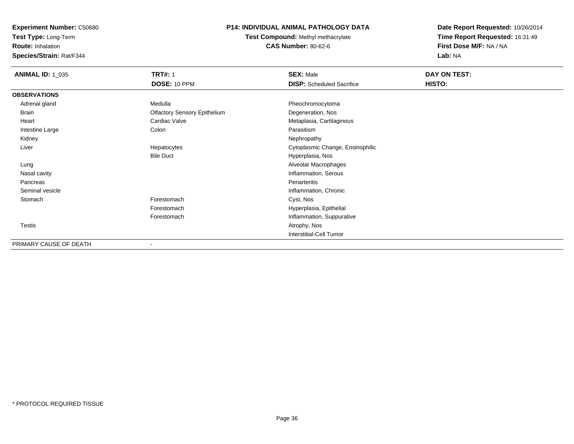**Test Type:** Long-Term

**Route:** Inhalation

**Species/Strain:** Rat/F344

# **P14: INDIVIDUAL ANIMAL PATHOLOGY DATA**

**Test Compound:** Methyl methacrylate**CAS Number:** 80-62-6

| <b>ANIMAL ID: 1_035</b> | <b>TRT#: 1</b>                      | <b>SEX: Male</b>                 | DAY ON TEST: |  |
|-------------------------|-------------------------------------|----------------------------------|--------------|--|
|                         | DOSE: 10 PPM                        | <b>DISP:</b> Scheduled Sacrifice | HISTO:       |  |
| <b>OBSERVATIONS</b>     |                                     |                                  |              |  |
| Adrenal gland           | Medulla                             | Pheochromocytoma                 |              |  |
| Brain                   | <b>Olfactory Sensory Epithelium</b> | Degeneration, Nos                |              |  |
| Heart                   | Cardiac Valve                       | Metaplasia, Cartilaginous        |              |  |
| Intestine Large         | Colon                               | Parasitism                       |              |  |
| Kidney                  |                                     | Nephropathy                      |              |  |
| Liver                   | Hepatocytes                         | Cytoplasmic Change, Eosinophilic |              |  |
|                         | <b>Bile Duct</b>                    | Hyperplasia, Nos                 |              |  |
| Lung                    |                                     | Alveolar Macrophages             |              |  |
| Nasal cavity            |                                     | Inflammation, Serous             |              |  |
| Pancreas                |                                     | Periarteritis                    |              |  |
| Seminal vesicle         |                                     | Inflammation, Chronic            |              |  |
| Stomach                 | Forestomach                         | Cyst, Nos                        |              |  |
|                         | Forestomach                         | Hyperplasia, Epithelial          |              |  |
|                         | Forestomach                         | Inflammation, Suppurative        |              |  |
| <b>Testis</b>           |                                     | Atrophy, Nos                     |              |  |
|                         |                                     | <b>Interstitial-Cell Tumor</b>   |              |  |
| PRIMARY CAUSE OF DEATH  |                                     |                                  |              |  |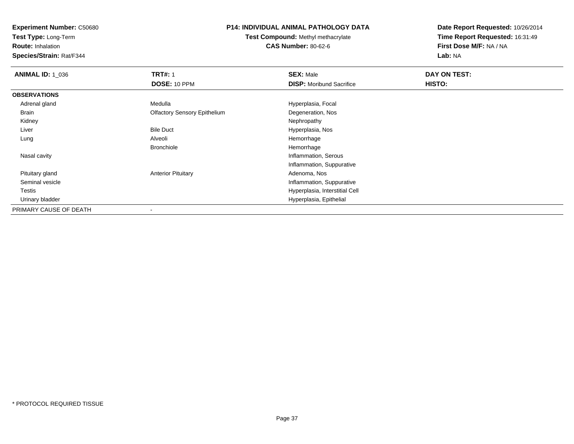**Test Type:** Long-Term

**Route:** Inhalation

**Species/Strain:** Rat/F344

## **P14: INDIVIDUAL ANIMAL PATHOLOGY DATA**

**Test Compound:** Methyl methacrylate**CAS Number:** 80-62-6

| <b>ANIMAL ID: 1_036</b> | <b>TRT#: 1</b>                      | <b>SEX: Male</b>                | DAY ON TEST: |  |
|-------------------------|-------------------------------------|---------------------------------|--------------|--|
|                         | DOSE: 10 PPM                        | <b>DISP:</b> Moribund Sacrifice | HISTO:       |  |
| <b>OBSERVATIONS</b>     |                                     |                                 |              |  |
| Adrenal gland           | Medulla                             | Hyperplasia, Focal              |              |  |
| Brain                   | <b>Olfactory Sensory Epithelium</b> | Degeneration, Nos               |              |  |
| Kidney                  |                                     | Nephropathy                     |              |  |
| Liver                   | <b>Bile Duct</b>                    | Hyperplasia, Nos                |              |  |
| Lung                    | Alveoli                             | Hemorrhage                      |              |  |
|                         | <b>Bronchiole</b>                   | Hemorrhage                      |              |  |
| Nasal cavity            |                                     | Inflammation, Serous            |              |  |
|                         |                                     | Inflammation, Suppurative       |              |  |
| Pituitary gland         | <b>Anterior Pituitary</b>           | Adenoma, Nos                    |              |  |
| Seminal vesicle         |                                     | Inflammation, Suppurative       |              |  |
| Testis                  |                                     | Hyperplasia, Interstitial Cell  |              |  |
| Urinary bladder         |                                     | Hyperplasia, Epithelial         |              |  |
| PRIMARY CAUSE OF DEATH  |                                     |                                 |              |  |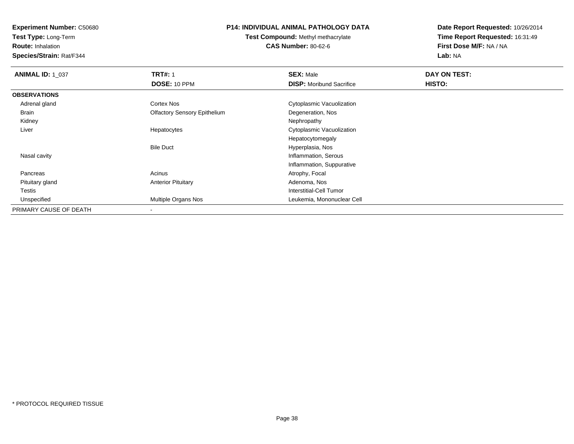**Test Type:** Long-Term

**Route:** Inhalation

**Species/Strain:** Rat/F344

### **P14: INDIVIDUAL ANIMAL PATHOLOGY DATA**

**Test Compound:** Methyl methacrylate**CAS Number:** 80-62-6

| <b>ANIMAL ID: 1_037</b> | <b>TRT#: 1</b>                      | <b>SEX: Male</b>                | DAY ON TEST: |  |
|-------------------------|-------------------------------------|---------------------------------|--------------|--|
|                         | DOSE: 10 PPM                        | <b>DISP:</b> Moribund Sacrifice | HISTO:       |  |
| <b>OBSERVATIONS</b>     |                                     |                                 |              |  |
| Adrenal gland           | <b>Cortex Nos</b>                   | Cytoplasmic Vacuolization       |              |  |
| Brain                   | <b>Olfactory Sensory Epithelium</b> | Degeneration, Nos               |              |  |
| Kidney                  |                                     | Nephropathy                     |              |  |
| Liver                   | Hepatocytes                         | Cytoplasmic Vacuolization       |              |  |
|                         |                                     | Hepatocytomegaly                |              |  |
|                         | <b>Bile Duct</b>                    | Hyperplasia, Nos                |              |  |
| Nasal cavity            |                                     | Inflammation, Serous            |              |  |
|                         |                                     | Inflammation, Suppurative       |              |  |
| Pancreas                | Acinus                              | Atrophy, Focal                  |              |  |
| Pituitary gland         | <b>Anterior Pituitary</b>           | Adenoma, Nos                    |              |  |
| Testis                  |                                     | Interstitial-Cell Tumor         |              |  |
| Unspecified             | <b>Multiple Organs Nos</b>          | Leukemia, Mononuclear Cell      |              |  |
| PRIMARY CAUSE OF DEATH  |                                     |                                 |              |  |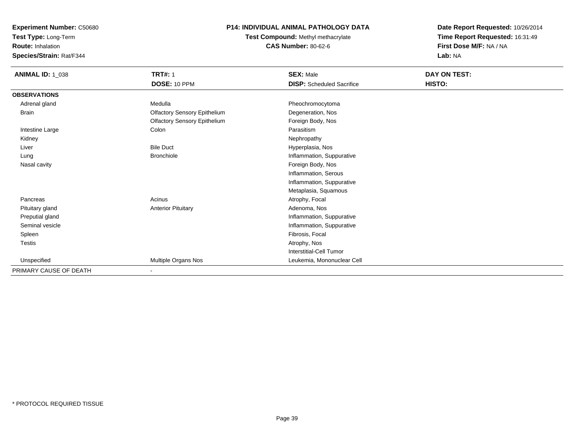**Test Type:** Long-Term

**Route:** Inhalation

**Species/Strain:** Rat/F344

# **P14: INDIVIDUAL ANIMAL PATHOLOGY DATA**

**Test Compound:** Methyl methacrylate**CAS Number:** 80-62-6

| <b>ANIMAL ID: 1_038</b> | <b>TRT#: 1</b>                      | <b>SEX: Male</b>                 | DAY ON TEST: |
|-------------------------|-------------------------------------|----------------------------------|--------------|
|                         | <b>DOSE: 10 PPM</b>                 | <b>DISP:</b> Scheduled Sacrifice | HISTO:       |
| <b>OBSERVATIONS</b>     |                                     |                                  |              |
| Adrenal gland           | Medulla                             | Pheochromocytoma                 |              |
| Brain                   | <b>Olfactory Sensory Epithelium</b> | Degeneration, Nos                |              |
|                         | <b>Olfactory Sensory Epithelium</b> | Foreign Body, Nos                |              |
| Intestine Large         | Colon                               | Parasitism                       |              |
| Kidney                  |                                     | Nephropathy                      |              |
| Liver                   | <b>Bile Duct</b>                    | Hyperplasia, Nos                 |              |
| Lung                    | <b>Bronchiole</b>                   | Inflammation, Suppurative        |              |
| Nasal cavity            |                                     | Foreign Body, Nos                |              |
|                         |                                     | Inflammation, Serous             |              |
|                         |                                     | Inflammation, Suppurative        |              |
|                         |                                     | Metaplasia, Squamous             |              |
| Pancreas                | Acinus                              | Atrophy, Focal                   |              |
| Pituitary gland         | <b>Anterior Pituitary</b>           | Adenoma, Nos                     |              |
| Preputial gland         |                                     | Inflammation, Suppurative        |              |
| Seminal vesicle         |                                     | Inflammation, Suppurative        |              |
| Spleen                  |                                     | Fibrosis, Focal                  |              |
| Testis                  |                                     | Atrophy, Nos                     |              |
|                         |                                     | <b>Interstitial-Cell Tumor</b>   |              |
| Unspecified             | Multiple Organs Nos                 | Leukemia, Mononuclear Cell       |              |
| PRIMARY CAUSE OF DEATH  | $\blacksquare$                      |                                  |              |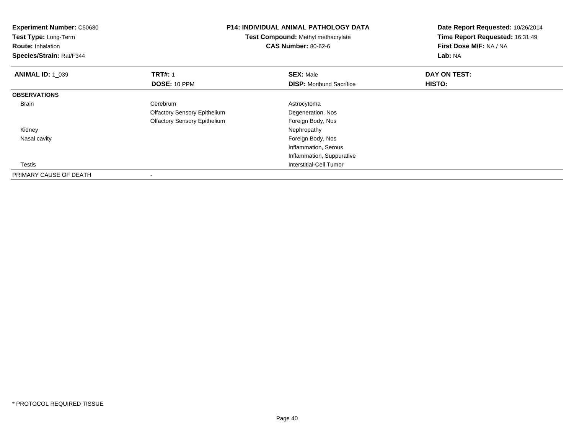| <b>Experiment Number: C50680</b><br>Test Type: Long-Term<br><b>Route: Inhalation</b><br>Species/Strain: Rat/F344 |                                     | <b>P14: INDIVIDUAL ANIMAL PATHOLOGY DATA</b><br>Test Compound: Methyl methacrylate<br><b>CAS Number: 80-62-6</b><br>Lab: NA |              | Date Report Requested: 10/26/2014<br>Time Report Requested: 16:31:49<br>First Dose M/F: NA / NA |  |
|------------------------------------------------------------------------------------------------------------------|-------------------------------------|-----------------------------------------------------------------------------------------------------------------------------|--------------|-------------------------------------------------------------------------------------------------|--|
| <b>ANIMAL ID: 1_039</b>                                                                                          | <b>TRT#: 1</b>                      | <b>SEX: Male</b>                                                                                                            | DAY ON TEST: |                                                                                                 |  |
|                                                                                                                  | DOSE: 10 PPM                        | <b>DISP:</b> Moribund Sacrifice                                                                                             | HISTO:       |                                                                                                 |  |
| <b>OBSERVATIONS</b>                                                                                              |                                     |                                                                                                                             |              |                                                                                                 |  |
| <b>Brain</b>                                                                                                     | Cerebrum                            | Astrocytoma                                                                                                                 |              |                                                                                                 |  |
|                                                                                                                  | <b>Olfactory Sensory Epithelium</b> | Degeneration, Nos                                                                                                           |              |                                                                                                 |  |
|                                                                                                                  | <b>Olfactory Sensory Epithelium</b> | Foreign Body, Nos                                                                                                           |              |                                                                                                 |  |
| Kidney                                                                                                           |                                     | Nephropathy                                                                                                                 |              |                                                                                                 |  |
| Nasal cavity                                                                                                     |                                     | Foreign Body, Nos                                                                                                           |              |                                                                                                 |  |
|                                                                                                                  |                                     | Inflammation, Serous                                                                                                        |              |                                                                                                 |  |
|                                                                                                                  |                                     | Inflammation, Suppurative                                                                                                   |              |                                                                                                 |  |
| Testis                                                                                                           |                                     | <b>Interstitial-Cell Tumor</b>                                                                                              |              |                                                                                                 |  |
| PRIMARY CAUSE OF DEATH                                                                                           |                                     |                                                                                                                             |              |                                                                                                 |  |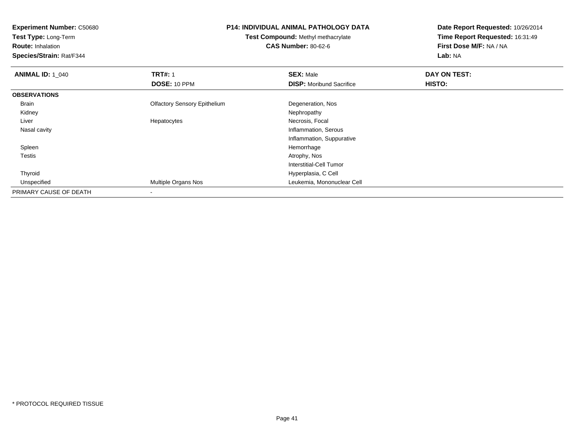**Test Type:** Long-Term

**Route:** Inhalation

**Species/Strain:** Rat/F344

## **P14: INDIVIDUAL ANIMAL PATHOLOGY DATA**

**Test Compound:** Methyl methacrylate**CAS Number:** 80-62-6

| <b>ANIMAL ID: 1_040</b> | <b>TRT#: 1</b>                      | <b>SEX: Male</b>                | DAY ON TEST: |  |
|-------------------------|-------------------------------------|---------------------------------|--------------|--|
|                         | <b>DOSE: 10 PPM</b>                 | <b>DISP:</b> Moribund Sacrifice | HISTO:       |  |
| <b>OBSERVATIONS</b>     |                                     |                                 |              |  |
| Brain                   | <b>Olfactory Sensory Epithelium</b> | Degeneration, Nos               |              |  |
| Kidney                  |                                     | Nephropathy                     |              |  |
| Liver                   | Hepatocytes                         | Necrosis, Focal                 |              |  |
| Nasal cavity            |                                     | Inflammation, Serous            |              |  |
|                         |                                     | Inflammation, Suppurative       |              |  |
| Spleen                  |                                     | Hemorrhage                      |              |  |
| Testis                  |                                     | Atrophy, Nos                    |              |  |
|                         |                                     | Interstitial-Cell Tumor         |              |  |
| Thyroid                 |                                     | Hyperplasia, C Cell             |              |  |
| Unspecified             | Multiple Organs Nos                 | Leukemia, Mononuclear Cell      |              |  |
| PRIMARY CAUSE OF DEATH  |                                     |                                 |              |  |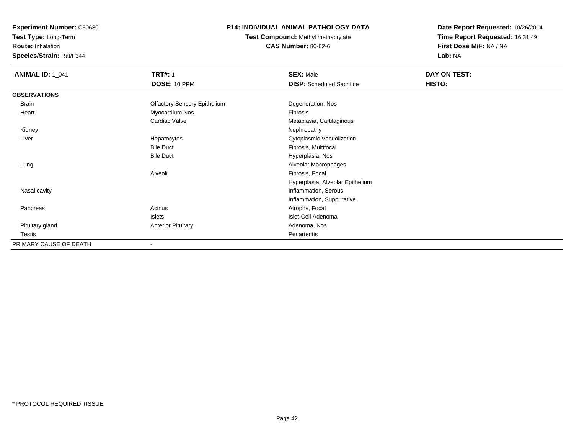**Test Type:** Long-Term

**Route:** Inhalation

**Species/Strain:** Rat/F344

## **P14: INDIVIDUAL ANIMAL PATHOLOGY DATA**

**Test Compound:** Methyl methacrylate**CAS Number:** 80-62-6

| <b>ANIMAL ID: 1_041</b> | <b>TRT#: 1</b>                      | <b>SEX: Male</b>                 | DAY ON TEST: |  |
|-------------------------|-------------------------------------|----------------------------------|--------------|--|
|                         | DOSE: 10 PPM                        | <b>DISP:</b> Scheduled Sacrifice | HISTO:       |  |
| <b>OBSERVATIONS</b>     |                                     |                                  |              |  |
| <b>Brain</b>            | <b>Olfactory Sensory Epithelium</b> | Degeneration, Nos                |              |  |
| Heart                   | Myocardium Nos                      | Fibrosis                         |              |  |
|                         | Cardiac Valve                       | Metaplasia, Cartilaginous        |              |  |
| Kidney                  |                                     | Nephropathy                      |              |  |
| Liver                   | Hepatocytes                         | Cytoplasmic Vacuolization        |              |  |
|                         | <b>Bile Duct</b>                    | Fibrosis, Multifocal             |              |  |
|                         | <b>Bile Duct</b>                    | Hyperplasia, Nos                 |              |  |
| Lung                    |                                     | Alveolar Macrophages             |              |  |
|                         | Alveoli                             | Fibrosis, Focal                  |              |  |
|                         |                                     | Hyperplasia, Alveolar Epithelium |              |  |
| Nasal cavity            |                                     | Inflammation, Serous             |              |  |
|                         |                                     | Inflammation, Suppurative        |              |  |
| Pancreas                | Acinus                              | Atrophy, Focal                   |              |  |
|                         | Islets                              | Islet-Cell Adenoma               |              |  |
| Pituitary gland         | <b>Anterior Pituitary</b>           | Adenoma, Nos                     |              |  |
| Testis                  |                                     | Periarteritis                    |              |  |
| PRIMARY CAUSE OF DEATH  |                                     |                                  |              |  |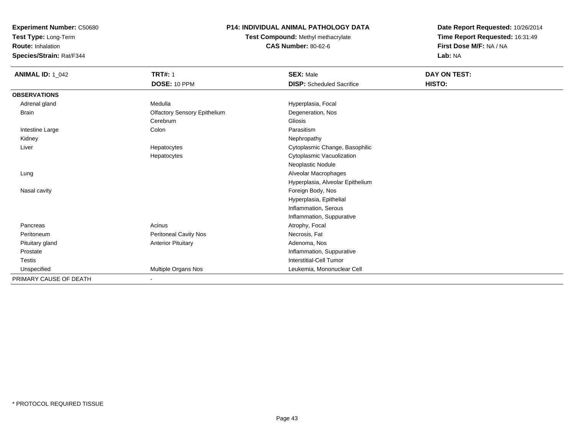**Test Type:** Long-Term

**Route:** Inhalation

**Species/Strain:** Rat/F344

## **P14: INDIVIDUAL ANIMAL PATHOLOGY DATA**

**Test Compound:** Methyl methacrylate**CAS Number:** 80-62-6

| <b>ANIMAL ID: 1_042</b> | <b>TRT#: 1</b>                      | <b>SEX: Male</b>                 | DAY ON TEST: |  |
|-------------------------|-------------------------------------|----------------------------------|--------------|--|
|                         | DOSE: 10 PPM                        | <b>DISP:</b> Scheduled Sacrifice | HISTO:       |  |
| <b>OBSERVATIONS</b>     |                                     |                                  |              |  |
| Adrenal gland           | Medulla                             | Hyperplasia, Focal               |              |  |
| <b>Brain</b>            | <b>Olfactory Sensory Epithelium</b> | Degeneration, Nos                |              |  |
|                         | Cerebrum                            | Gliosis                          |              |  |
| Intestine Large         | Colon                               | Parasitism                       |              |  |
| Kidney                  |                                     | Nephropathy                      |              |  |
| Liver                   | Hepatocytes                         | Cytoplasmic Change, Basophilic   |              |  |
|                         | Hepatocytes                         | Cytoplasmic Vacuolization        |              |  |
|                         |                                     | Neoplastic Nodule                |              |  |
| Lung                    |                                     | Alveolar Macrophages             |              |  |
|                         |                                     | Hyperplasia, Alveolar Epithelium |              |  |
| Nasal cavity            |                                     | Foreign Body, Nos                |              |  |
|                         |                                     | Hyperplasia, Epithelial          |              |  |
|                         |                                     | Inflammation, Serous             |              |  |
|                         |                                     | Inflammation, Suppurative        |              |  |
| Pancreas                | Acinus                              | Atrophy, Focal                   |              |  |
| Peritoneum              | Peritoneal Cavity Nos               | Necrosis, Fat                    |              |  |
| Pituitary gland         | <b>Anterior Pituitary</b>           | Adenoma, Nos                     |              |  |
| Prostate                |                                     | Inflammation, Suppurative        |              |  |
| <b>Testis</b>           |                                     | Interstitial-Cell Tumor          |              |  |
| Unspecified             | Multiple Organs Nos                 | Leukemia, Mononuclear Cell       |              |  |
| PRIMARY CAUSE OF DEATH  |                                     |                                  |              |  |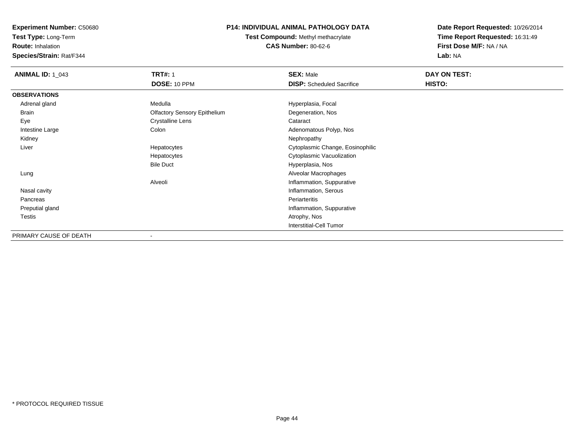**Test Type:** Long-Term

**Route:** Inhalation

**Species/Strain:** Rat/F344

## **P14: INDIVIDUAL ANIMAL PATHOLOGY DATA**

**Test Compound:** Methyl methacrylate**CAS Number:** 80-62-6

| <b>ANIMAL ID: 1_043</b> | <b>TRT#: 1</b>                      | <b>SEX: Male</b>                 | DAY ON TEST: |  |
|-------------------------|-------------------------------------|----------------------------------|--------------|--|
|                         | DOSE: 10 PPM                        | <b>DISP:</b> Scheduled Sacrifice | HISTO:       |  |
| <b>OBSERVATIONS</b>     |                                     |                                  |              |  |
| Adrenal gland           | Medulla                             | Hyperplasia, Focal               |              |  |
| Brain                   | <b>Olfactory Sensory Epithelium</b> | Degeneration, Nos                |              |  |
| Eye                     | <b>Crystalline Lens</b>             | Cataract                         |              |  |
| Intestine Large         | Colon                               | Adenomatous Polyp, Nos           |              |  |
| Kidney                  |                                     | Nephropathy                      |              |  |
| Liver                   | Hepatocytes                         | Cytoplasmic Change, Eosinophilic |              |  |
|                         | Hepatocytes                         | Cytoplasmic Vacuolization        |              |  |
|                         | <b>Bile Duct</b>                    | Hyperplasia, Nos                 |              |  |
| Lung                    |                                     | Alveolar Macrophages             |              |  |
|                         | Alveoli                             | Inflammation, Suppurative        |              |  |
| Nasal cavity            |                                     | Inflammation, Serous             |              |  |
| Pancreas                |                                     | Periarteritis                    |              |  |
| Preputial gland         |                                     | Inflammation, Suppurative        |              |  |
| Testis                  |                                     | Atrophy, Nos                     |              |  |
|                         |                                     | Interstitial-Cell Tumor          |              |  |
| PRIMARY CAUSE OF DEATH  |                                     |                                  |              |  |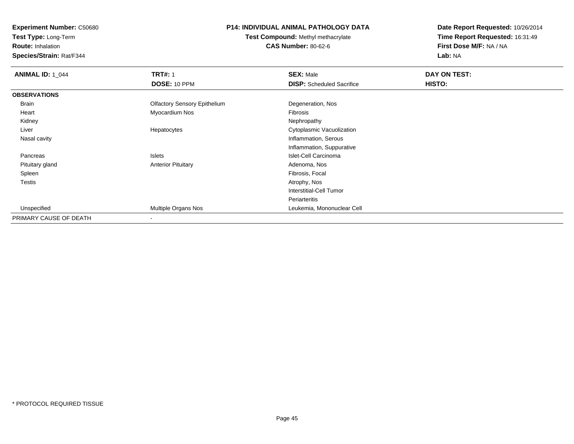**Test Type:** Long-Term

**Route:** Inhalation

**Species/Strain:** Rat/F344

## **P14: INDIVIDUAL ANIMAL PATHOLOGY DATA**

**Test Compound:** Methyl methacrylate**CAS Number:** 80-62-6

| <b>ANIMAL ID: 1_044</b> | <b>TRT#: 1</b>                      | <b>SEX: Male</b>                 | DAY ON TEST: |  |
|-------------------------|-------------------------------------|----------------------------------|--------------|--|
|                         | <b>DOSE: 10 PPM</b>                 | <b>DISP:</b> Scheduled Sacrifice | HISTO:       |  |
| <b>OBSERVATIONS</b>     |                                     |                                  |              |  |
| Brain                   | <b>Olfactory Sensory Epithelium</b> | Degeneration, Nos                |              |  |
| Heart                   | Myocardium Nos                      | Fibrosis                         |              |  |
| Kidney                  |                                     | Nephropathy                      |              |  |
| Liver                   | Hepatocytes                         | Cytoplasmic Vacuolization        |              |  |
| Nasal cavity            |                                     | Inflammation, Serous             |              |  |
|                         |                                     | Inflammation, Suppurative        |              |  |
| Pancreas                | Islets                              | Islet-Cell Carcinoma             |              |  |
| Pituitary gland         | <b>Anterior Pituitary</b>           | Adenoma, Nos                     |              |  |
| Spleen                  |                                     | Fibrosis, Focal                  |              |  |
| <b>Testis</b>           |                                     | Atrophy, Nos                     |              |  |
|                         |                                     | <b>Interstitial-Cell Tumor</b>   |              |  |
|                         |                                     | Periarteritis                    |              |  |
| Unspecified             | Multiple Organs Nos                 | Leukemia, Mononuclear Cell       |              |  |
| PRIMARY CAUSE OF DEATH  | $\overline{\phantom{a}}$            |                                  |              |  |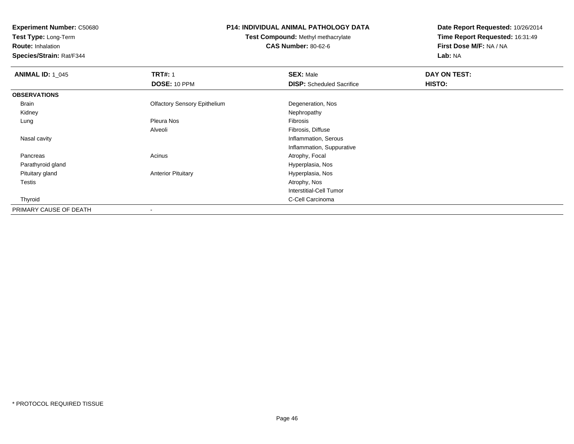**Test Type:** Long-Term

**Route:** Inhalation

**Species/Strain:** Rat/F344

## **P14: INDIVIDUAL ANIMAL PATHOLOGY DATA**

**Test Compound:** Methyl methacrylate**CAS Number:** 80-62-6

| <b>ANIMAL ID: 1_045</b> | <b>TRT#: 1</b>                      | <b>SEX: Male</b>                 | DAY ON TEST: |  |
|-------------------------|-------------------------------------|----------------------------------|--------------|--|
|                         | DOSE: 10 PPM                        | <b>DISP:</b> Scheduled Sacrifice | HISTO:       |  |
| <b>OBSERVATIONS</b>     |                                     |                                  |              |  |
| Brain                   | <b>Olfactory Sensory Epithelium</b> | Degeneration, Nos                |              |  |
| Kidney                  |                                     | Nephropathy                      |              |  |
| Lung                    | Pleura Nos                          | Fibrosis                         |              |  |
|                         | Alveoli                             | Fibrosis, Diffuse                |              |  |
| Nasal cavity            |                                     | Inflammation, Serous             |              |  |
|                         |                                     | Inflammation, Suppurative        |              |  |
| Pancreas                | Acinus                              | Atrophy, Focal                   |              |  |
| Parathyroid gland       |                                     | Hyperplasia, Nos                 |              |  |
| Pituitary gland         | <b>Anterior Pituitary</b>           | Hyperplasia, Nos                 |              |  |
| <b>Testis</b>           |                                     | Atrophy, Nos                     |              |  |
|                         |                                     | Interstitial-Cell Tumor          |              |  |
| Thyroid                 |                                     | C-Cell Carcinoma                 |              |  |
| PRIMARY CAUSE OF DEATH  |                                     |                                  |              |  |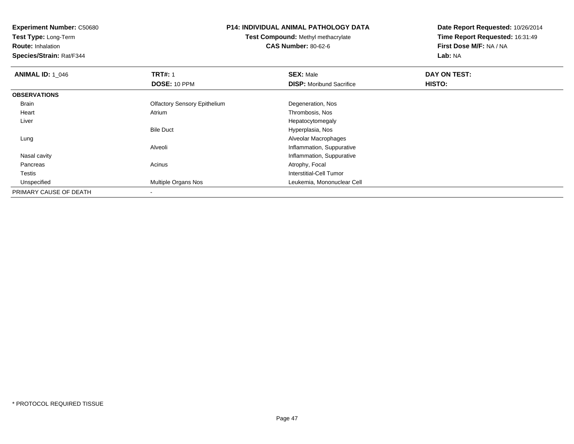**Test Type:** Long-Term

**Route:** Inhalation

**Species/Strain:** Rat/F344

## **P14: INDIVIDUAL ANIMAL PATHOLOGY DATA**

**Test Compound:** Methyl methacrylate**CAS Number:** 80-62-6

| <b>ANIMAL ID: 1 046</b> | <b>TRT#: 1</b>                      | <b>SEX: Male</b>                | DAY ON TEST: |  |
|-------------------------|-------------------------------------|---------------------------------|--------------|--|
|                         | <b>DOSE: 10 PPM</b>                 | <b>DISP:</b> Moribund Sacrifice | HISTO:       |  |
| <b>OBSERVATIONS</b>     |                                     |                                 |              |  |
| Brain                   | <b>Olfactory Sensory Epithelium</b> | Degeneration, Nos               |              |  |
| Heart                   | Atrium                              | Thrombosis, Nos                 |              |  |
| Liver                   |                                     | Hepatocytomegaly                |              |  |
|                         | <b>Bile Duct</b>                    | Hyperplasia, Nos                |              |  |
| Lung                    |                                     | Alveolar Macrophages            |              |  |
|                         | Alveoli                             | Inflammation, Suppurative       |              |  |
| Nasal cavity            |                                     | Inflammation, Suppurative       |              |  |
| Pancreas                | Acinus                              | Atrophy, Focal                  |              |  |
| <b>Testis</b>           |                                     | Interstitial-Cell Tumor         |              |  |
| Unspecified             | Multiple Organs Nos                 | Leukemia, Mononuclear Cell      |              |  |
| PRIMARY CAUSE OF DEATH  |                                     |                                 |              |  |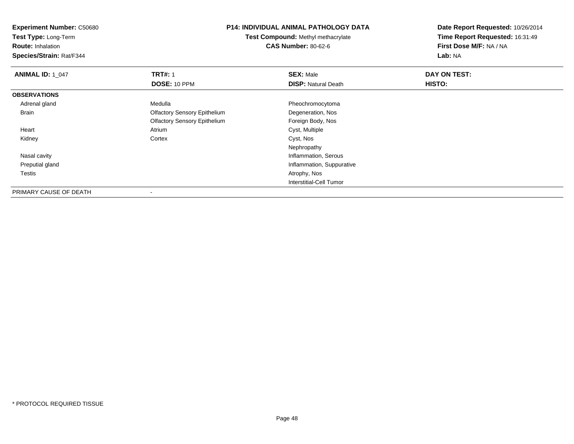**Experiment Number:** C50680**Test Type:** Long-Term**Route:** Inhalation **Species/Strain:** Rat/F344**P14: INDIVIDUAL ANIMAL PATHOLOGY DATATest Compound:** Methyl methacrylate**CAS Number:** 80-62-6**Date Report Requested:** 10/26/2014**Time Report Requested:** 16:31:49**First Dose M/F:** NA / NA**Lab:** NA**ANIMAL ID: 1\_047 TRT#:** <sup>1</sup> **SEX:** Male **DAY ON TEST: DOSE:** 10 PPM**DISP:** Natural Death **HISTO: OBSERVATIONS** Adrenal glandMedulla **Pheochromocytoma**  Brain Olfactory Sensory Epithelium Degeneration, Nos Olfactory Sensory Epithelium Foreign Body, Nos Heart AtriumAtrium Cyst, Multiple<br>Cortex Cyst, Nos Kidneyy cortex Cortex Cortex Cortex Cyst, Nos Nephropathy**Inflammation, Serous**  Nasal cavity Preputial gland Inflammation, Suppurative Testiss and the contract of the contract of the contract of the contract of the contract of the contract of the contract of the contract of the contract of the contract of the contract of the contract of the contract of the cont Interstitial-Cell TumorPRIMARY CAUSE OF DEATH

\* PROTOCOL REQUIRED TISSUE

-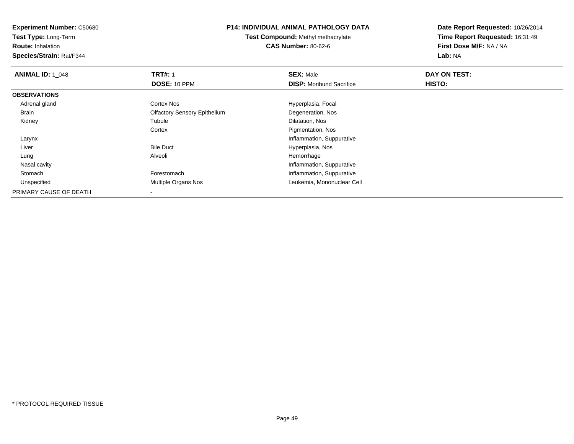**Experiment Number:** C50680**Test Type:** Long-Term**Route:** Inhalation **Species/Strain:** Rat/F344**P14: INDIVIDUAL ANIMAL PATHOLOGY DATATest Compound:** Methyl methacrylate**CAS Number:** 80-62-6**Date Report Requested:** 10/26/2014**Time Report Requested:** 16:31:49**First Dose M/F:** NA / NA**Lab:** NA**ANIMAL ID: 1\_048 REX:** Male **DAY ON TEST: TRT#:** 1 **SEX:** Male **SEX:** Male **DOSE:** 10 PPM**DISP:** Moribund Sacrifice **HISTO: OBSERVATIONS** Adrenal glandCortex Nos **Hyperplasia**, Focal Brain Olfactory Sensory Epithelium Degeneration, Nos Kidneyy the contract of the contract of the contract of the contract of the contract of the contract of the contract of the contract of the contract of the contract of the contract of the contract of the contract of the contract Dilatation, Nos **Cortex**  Pigmentation, Nos Larynx Inflammation, Suppurative LiverBile Duct **Hyperplasia**, Nos Lung Alveoli Hemorrhage Nasal cavity Inflammation, Suppurativeh **Forestomach Inflammation, Suppurative**  Stomach Unspecified Multiple Organs Nos Leukemia, Mononuclear Cell PRIMARY CAUSE OF DEATH

-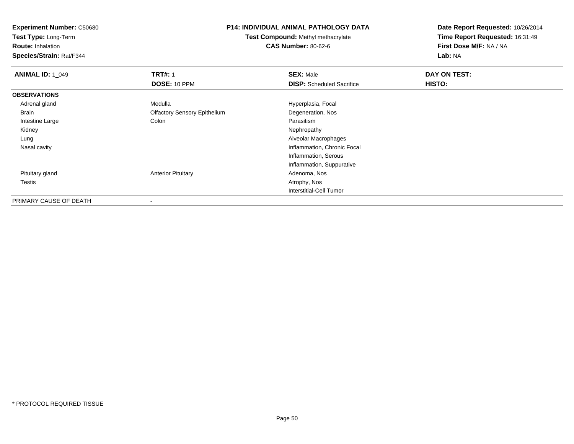**Test Type:** Long-Term

**Route:** Inhalation

**Species/Strain:** Rat/F344

## **P14: INDIVIDUAL ANIMAL PATHOLOGY DATA**

**Test Compound:** Methyl methacrylate**CAS Number:** 80-62-6

| <b>ANIMAL ID: 1 049</b> | <b>TRT#: 1</b>                      | <b>SEX: Male</b>                 | DAY ON TEST: |  |
|-------------------------|-------------------------------------|----------------------------------|--------------|--|
|                         | <b>DOSE: 10 PPM</b>                 | <b>DISP:</b> Scheduled Sacrifice | HISTO:       |  |
| <b>OBSERVATIONS</b>     |                                     |                                  |              |  |
| Adrenal gland           | Medulla                             | Hyperplasia, Focal               |              |  |
| Brain                   | <b>Olfactory Sensory Epithelium</b> | Degeneration, Nos                |              |  |
| Intestine Large         | Colon                               | Parasitism                       |              |  |
| Kidney                  |                                     | Nephropathy                      |              |  |
| Lung                    |                                     | Alveolar Macrophages             |              |  |
| Nasal cavity            |                                     | Inflammation, Chronic Focal      |              |  |
|                         |                                     | Inflammation, Serous             |              |  |
|                         |                                     | Inflammation, Suppurative        |              |  |
| Pituitary gland         | <b>Anterior Pituitary</b>           | Adenoma, Nos                     |              |  |
| Testis                  |                                     | Atrophy, Nos                     |              |  |
|                         |                                     | <b>Interstitial-Cell Tumor</b>   |              |  |
| PRIMARY CAUSE OF DEATH  | $\blacksquare$                      |                                  |              |  |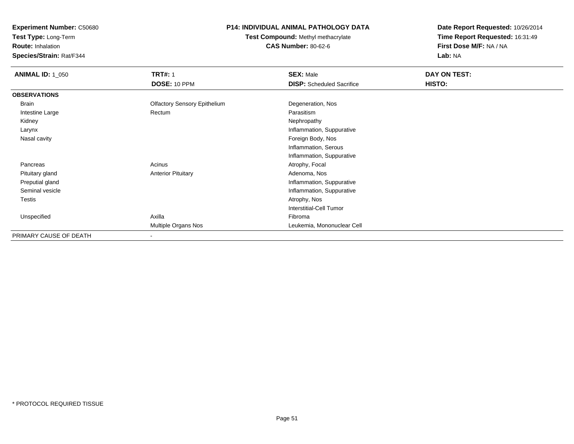**Test Type:** Long-Term

**Route:** Inhalation

**Species/Strain:** Rat/F344

# **P14: INDIVIDUAL ANIMAL PATHOLOGY DATA**

# **Test Compound:** Methyl methacrylate**CAS Number:** 80-62-6

| <b>ANIMAL ID: 1_050</b> | <b>TRT#: 1</b>                      | <b>SEX: Male</b>                 | DAY ON TEST: |  |
|-------------------------|-------------------------------------|----------------------------------|--------------|--|
|                         | DOSE: 10 PPM                        | <b>DISP:</b> Scheduled Sacrifice | HISTO:       |  |
| <b>OBSERVATIONS</b>     |                                     |                                  |              |  |
| Brain                   | <b>Olfactory Sensory Epithelium</b> | Degeneration, Nos                |              |  |
| Intestine Large         | Rectum                              | Parasitism                       |              |  |
| Kidney                  |                                     | Nephropathy                      |              |  |
| Larynx                  |                                     | Inflammation, Suppurative        |              |  |
| Nasal cavity            |                                     | Foreign Body, Nos                |              |  |
|                         |                                     | Inflammation, Serous             |              |  |
|                         |                                     | Inflammation, Suppurative        |              |  |
| Pancreas                | Acinus                              | Atrophy, Focal                   |              |  |
| Pituitary gland         | <b>Anterior Pituitary</b>           | Adenoma, Nos                     |              |  |
| Preputial gland         |                                     | Inflammation, Suppurative        |              |  |
| Seminal vesicle         |                                     | Inflammation, Suppurative        |              |  |
| Testis                  |                                     | Atrophy, Nos                     |              |  |
|                         |                                     | <b>Interstitial-Cell Tumor</b>   |              |  |
| Unspecified             | Axilla                              | Fibroma                          |              |  |
|                         | Multiple Organs Nos                 | Leukemia, Mononuclear Cell       |              |  |
| PRIMARY CAUSE OF DEATH  |                                     |                                  |              |  |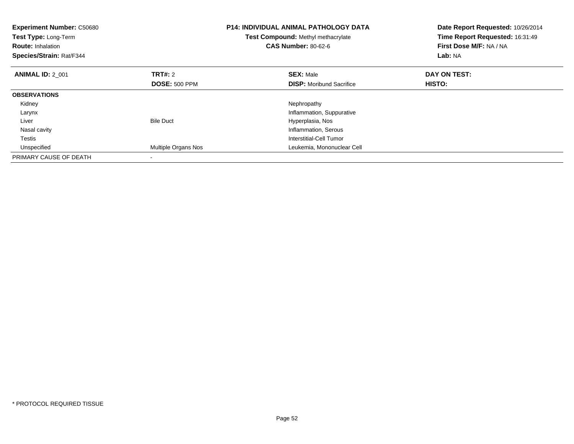| <b>Experiment Number: C50680</b><br>Test Type: Long-Term<br><b>Route: Inhalation</b><br>Species/Strain: Rat/F344 |                      | <b>P14: INDIVIDUAL ANIMAL PATHOLOGY DATA</b><br><b>Test Compound: Methyl methacrylate</b><br><b>CAS Number: 80-62-6</b> | Date Report Requested: 10/26/2014<br>Time Report Requested: 16:31:49<br>First Dose M/F: NA / NA<br>Lab: NA |
|------------------------------------------------------------------------------------------------------------------|----------------------|-------------------------------------------------------------------------------------------------------------------------|------------------------------------------------------------------------------------------------------------|
| <b>ANIMAL ID: 2 001</b>                                                                                          | <b>TRT#: 2</b>       | <b>SEX: Male</b>                                                                                                        | DAY ON TEST:                                                                                               |
|                                                                                                                  | <b>DOSE: 500 PPM</b> | <b>DISP:</b> Moribund Sacrifice                                                                                         | HISTO:                                                                                                     |
| <b>OBSERVATIONS</b>                                                                                              |                      |                                                                                                                         |                                                                                                            |
| Kidney                                                                                                           |                      | Nephropathy                                                                                                             |                                                                                                            |
| Larynx                                                                                                           |                      | Inflammation, Suppurative                                                                                               |                                                                                                            |
| Liver                                                                                                            | <b>Bile Duct</b>     | Hyperplasia, Nos                                                                                                        |                                                                                                            |
| Nasal cavity                                                                                                     |                      | Inflammation, Serous                                                                                                    |                                                                                                            |
| Testis                                                                                                           |                      | Interstitial-Cell Tumor                                                                                                 |                                                                                                            |
| Unspecified                                                                                                      | Multiple Organs Nos  | Leukemia, Mononuclear Cell                                                                                              |                                                                                                            |
| PRIMARY CAUSE OF DEATH                                                                                           |                      |                                                                                                                         |                                                                                                            |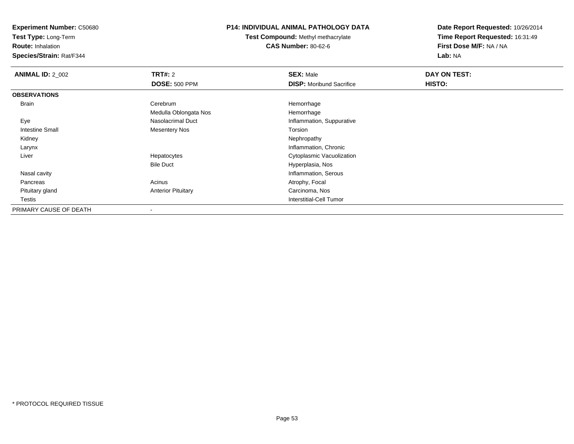**Test Type:** Long-Term

**Route:** Inhalation

**Species/Strain:** Rat/F344

## **P14: INDIVIDUAL ANIMAL PATHOLOGY DATA**

**Test Compound:** Methyl methacrylate**CAS Number:** 80-62-6

| <b>ANIMAL ID: 2_002</b> | TRT#: 2                   | <b>SEX: Male</b>                | DAY ON TEST: |  |
|-------------------------|---------------------------|---------------------------------|--------------|--|
|                         | <b>DOSE: 500 PPM</b>      | <b>DISP:</b> Moribund Sacrifice | HISTO:       |  |
| <b>OBSERVATIONS</b>     |                           |                                 |              |  |
| Brain                   | Cerebrum                  | Hemorrhage                      |              |  |
|                         | Medulla Oblongata Nos     | Hemorrhage                      |              |  |
| Eye                     | Nasolacrimal Duct         | Inflammation, Suppurative       |              |  |
| Intestine Small         | <b>Mesentery Nos</b>      | Torsion                         |              |  |
| Kidney                  |                           | Nephropathy                     |              |  |
| Larynx                  |                           | Inflammation, Chronic           |              |  |
| Liver                   | Hepatocytes               | Cytoplasmic Vacuolization       |              |  |
|                         | <b>Bile Duct</b>          | Hyperplasia, Nos                |              |  |
| Nasal cavity            |                           | Inflammation, Serous            |              |  |
| Pancreas                | Acinus                    | Atrophy, Focal                  |              |  |
| Pituitary gland         | <b>Anterior Pituitary</b> | Carcinoma, Nos                  |              |  |
| Testis                  |                           | Interstitial-Cell Tumor         |              |  |
| PRIMARY CAUSE OF DEATH  |                           |                                 |              |  |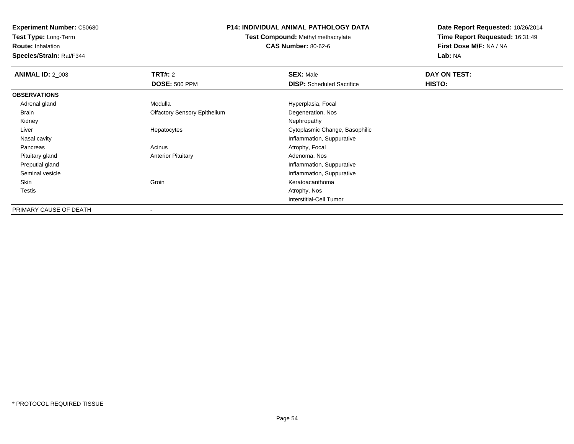**Test Type:** Long-Term

**Route:** Inhalation

**Species/Strain:** Rat/F344

### **P14: INDIVIDUAL ANIMAL PATHOLOGY DATA**

**Test Compound:** Methyl methacrylate**CAS Number:** 80-62-6

| <b>ANIMAL ID: 2 003</b> | TRT#: 2                             | <b>SEX: Male</b>                 | DAY ON TEST: |  |
|-------------------------|-------------------------------------|----------------------------------|--------------|--|
|                         | <b>DOSE: 500 PPM</b>                | <b>DISP:</b> Scheduled Sacrifice | HISTO:       |  |
| <b>OBSERVATIONS</b>     |                                     |                                  |              |  |
| Adrenal gland           | Medulla                             | Hyperplasia, Focal               |              |  |
| Brain                   | <b>Olfactory Sensory Epithelium</b> | Degeneration, Nos                |              |  |
| Kidney                  |                                     | Nephropathy                      |              |  |
| Liver                   | Hepatocytes                         | Cytoplasmic Change, Basophilic   |              |  |
| Nasal cavity            |                                     | Inflammation, Suppurative        |              |  |
| Pancreas                | Acinus                              | Atrophy, Focal                   |              |  |
| Pituitary gland         | <b>Anterior Pituitary</b>           | Adenoma, Nos                     |              |  |
| Preputial gland         |                                     | Inflammation, Suppurative        |              |  |
| Seminal vesicle         |                                     | Inflammation, Suppurative        |              |  |
| Skin                    | Groin                               | Keratoacanthoma                  |              |  |
| Testis                  |                                     | Atrophy, Nos                     |              |  |
|                         |                                     | Interstitial-Cell Tumor          |              |  |
| PRIMARY CAUSE OF DEATH  | $\overline{\phantom{a}}$            |                                  |              |  |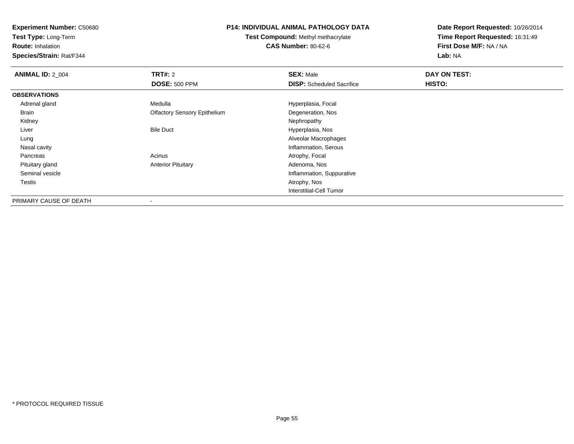**Test Type:** Long-Term

**Route:** Inhalation

**Species/Strain:** Rat/F344

#### **P14: INDIVIDUAL ANIMAL PATHOLOGY DATA**

**Test Compound:** Methyl methacrylate**CAS Number:** 80-62-6

| <b>ANIMAL ID: 2_004</b> | <b>TRT#: 2</b>                      | <b>SEX: Male</b>                 | DAY ON TEST: |  |
|-------------------------|-------------------------------------|----------------------------------|--------------|--|
|                         | <b>DOSE: 500 PPM</b>                | <b>DISP:</b> Scheduled Sacrifice | HISTO:       |  |
| <b>OBSERVATIONS</b>     |                                     |                                  |              |  |
| Adrenal gland           | Medulla                             | Hyperplasia, Focal               |              |  |
| Brain                   | <b>Olfactory Sensory Epithelium</b> | Degeneration, Nos                |              |  |
| Kidney                  |                                     | Nephropathy                      |              |  |
| Liver                   | <b>Bile Duct</b>                    | Hyperplasia, Nos                 |              |  |
| Lung                    |                                     | Alveolar Macrophages             |              |  |
| Nasal cavity            |                                     | Inflammation, Serous             |              |  |
| Pancreas                | Acinus                              | Atrophy, Focal                   |              |  |
| Pituitary gland         | <b>Anterior Pituitary</b>           | Adenoma, Nos                     |              |  |
| Seminal vesicle         |                                     | Inflammation, Suppurative        |              |  |
| Testis                  |                                     | Atrophy, Nos                     |              |  |
|                         |                                     | <b>Interstitial-Cell Tumor</b>   |              |  |
| PRIMARY CAUSE OF DEATH  | $\overline{\phantom{a}}$            |                                  |              |  |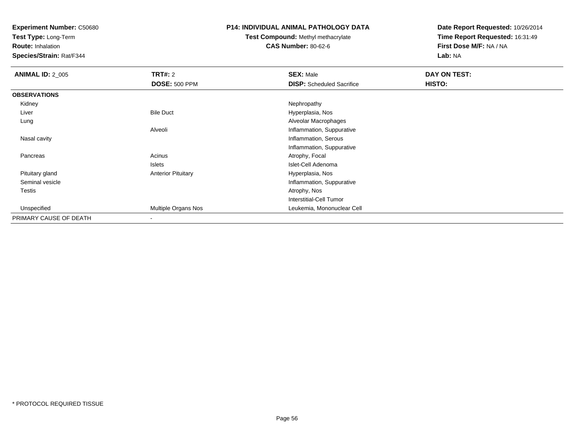**Test Type:** Long-Term

**Route:** Inhalation

**Species/Strain:** Rat/F344

#### **P14: INDIVIDUAL ANIMAL PATHOLOGY DATA**

# **Test Compound:** Methyl methacrylate**CAS Number:** 80-62-6

| <b>ANIMAL ID: 2_005</b> | <b>TRT#: 2</b>            | <b>SEX: Male</b>                 | DAY ON TEST: |  |
|-------------------------|---------------------------|----------------------------------|--------------|--|
|                         | <b>DOSE: 500 PPM</b>      | <b>DISP:</b> Scheduled Sacrifice | HISTO:       |  |
| <b>OBSERVATIONS</b>     |                           |                                  |              |  |
| Kidney                  |                           | Nephropathy                      |              |  |
| Liver                   | <b>Bile Duct</b>          | Hyperplasia, Nos                 |              |  |
| Lung                    |                           | Alveolar Macrophages             |              |  |
|                         | Alveoli                   | Inflammation, Suppurative        |              |  |
| Nasal cavity            |                           | Inflammation, Serous             |              |  |
|                         |                           | Inflammation, Suppurative        |              |  |
| Pancreas                | Acinus                    | Atrophy, Focal                   |              |  |
|                         | Islets                    | Islet-Cell Adenoma               |              |  |
| Pituitary gland         | <b>Anterior Pituitary</b> | Hyperplasia, Nos                 |              |  |
| Seminal vesicle         |                           | Inflammation, Suppurative        |              |  |
| Testis                  |                           | Atrophy, Nos                     |              |  |
|                         |                           | Interstitial-Cell Tumor          |              |  |
| Unspecified             | Multiple Organs Nos       | Leukemia, Mononuclear Cell       |              |  |
| PRIMARY CAUSE OF DEATH  |                           |                                  |              |  |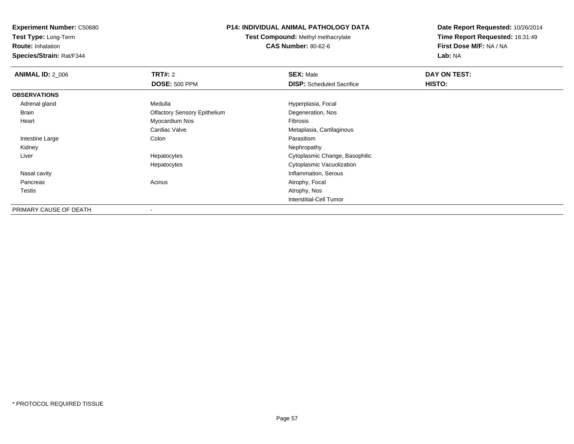**Test Type:** Long-Term

**Route:** Inhalation

**Species/Strain:** Rat/F344

## **P14: INDIVIDUAL ANIMAL PATHOLOGY DATA**

**Test Compound:** Methyl methacrylate**CAS Number:** 80-62-6

| <b>ANIMAL ID: 2 006</b> | <b>TRT#: 2</b>                      | <b>SEX: Male</b>                 | DAY ON TEST: |  |
|-------------------------|-------------------------------------|----------------------------------|--------------|--|
|                         | <b>DOSE: 500 PPM</b>                | <b>DISP:</b> Scheduled Sacrifice | HISTO:       |  |
| <b>OBSERVATIONS</b>     |                                     |                                  |              |  |
| Adrenal gland           | Medulla                             | Hyperplasia, Focal               |              |  |
| Brain                   | <b>Olfactory Sensory Epithelium</b> | Degeneration, Nos                |              |  |
| Heart                   | Myocardium Nos                      | Fibrosis                         |              |  |
|                         | Cardiac Valve                       | Metaplasia, Cartilaginous        |              |  |
| Intestine Large         | Colon                               | Parasitism                       |              |  |
| Kidney                  |                                     | Nephropathy                      |              |  |
| Liver                   | Hepatocytes                         | Cytoplasmic Change, Basophilic   |              |  |
|                         | Hepatocytes                         | Cytoplasmic Vacuolization        |              |  |
| Nasal cavity            |                                     | Inflammation, Serous             |              |  |
| Pancreas                | Acinus                              | Atrophy, Focal                   |              |  |
| Testis                  |                                     | Atrophy, Nos                     |              |  |
|                         |                                     | Interstitial-Cell Tumor          |              |  |
| PRIMARY CAUSE OF DEATH  |                                     |                                  |              |  |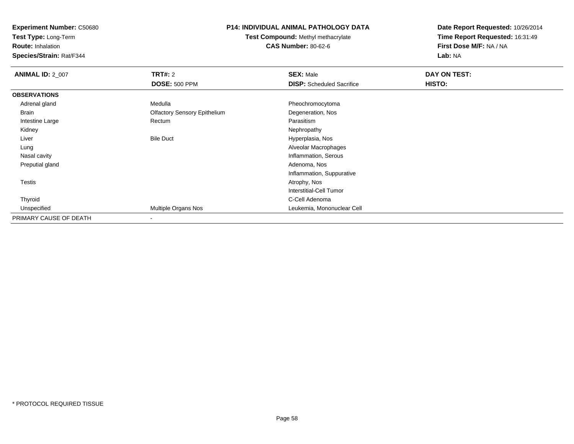**Test Type:** Long-Term

**Route:** Inhalation

**Species/Strain:** Rat/F344

### **P14: INDIVIDUAL ANIMAL PATHOLOGY DATA**

**Test Compound:** Methyl methacrylate**CAS Number:** 80-62-6

| <b>ANIMAL ID: 2_007</b> | TRT#: 2                             | <b>SEX: Male</b>                 | DAY ON TEST: |  |
|-------------------------|-------------------------------------|----------------------------------|--------------|--|
|                         | <b>DOSE: 500 PPM</b>                | <b>DISP:</b> Scheduled Sacrifice | HISTO:       |  |
| <b>OBSERVATIONS</b>     |                                     |                                  |              |  |
| Adrenal gland           | Medulla                             | Pheochromocytoma                 |              |  |
| Brain                   | <b>Olfactory Sensory Epithelium</b> | Degeneration, Nos                |              |  |
| Intestine Large         | Rectum                              | Parasitism                       |              |  |
| Kidney                  |                                     | Nephropathy                      |              |  |
| Liver                   | <b>Bile Duct</b>                    | Hyperplasia, Nos                 |              |  |
| Lung                    |                                     | Alveolar Macrophages             |              |  |
| Nasal cavity            |                                     | Inflammation, Serous             |              |  |
| Preputial gland         |                                     | Adenoma, Nos                     |              |  |
|                         |                                     | Inflammation, Suppurative        |              |  |
| <b>Testis</b>           |                                     | Atrophy, Nos                     |              |  |
|                         |                                     | <b>Interstitial-Cell Tumor</b>   |              |  |
| Thyroid                 |                                     | C-Cell Adenoma                   |              |  |
| Unspecified             | Multiple Organs Nos                 | Leukemia, Mononuclear Cell       |              |  |
| PRIMARY CAUSE OF DEATH  |                                     |                                  |              |  |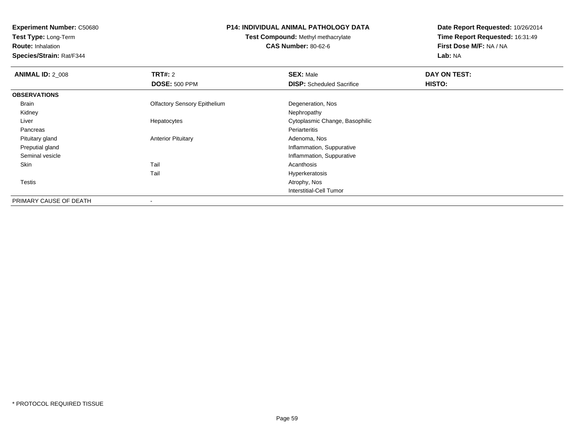**Test Type:** Long-Term

**Route:** Inhalation

**Species/Strain:** Rat/F344

## **P14: INDIVIDUAL ANIMAL PATHOLOGY DATA**

**Test Compound:** Methyl methacrylate**CAS Number:** 80-62-6

| <b>ANIMAL ID: 2 008</b> | TRT#: 2<br><b>DOSE: 500 PPM</b>     | <b>SEX: Male</b><br><b>DISP:</b> Scheduled Sacrifice | DAY ON TEST:<br>HISTO: |
|-------------------------|-------------------------------------|------------------------------------------------------|------------------------|
|                         |                                     |                                                      |                        |
| <b>OBSERVATIONS</b>     |                                     |                                                      |                        |
| Brain                   | <b>Olfactory Sensory Epithelium</b> | Degeneration, Nos                                    |                        |
| Kidney                  |                                     | Nephropathy                                          |                        |
| Liver                   | Hepatocytes                         | Cytoplasmic Change, Basophilic                       |                        |
| Pancreas                |                                     | Periarteritis                                        |                        |
| Pituitary gland         | <b>Anterior Pituitary</b>           | Adenoma, Nos                                         |                        |
| Preputial gland         |                                     | Inflammation, Suppurative                            |                        |
| Seminal vesicle         |                                     | Inflammation, Suppurative                            |                        |
| Skin                    | Tail                                | Acanthosis                                           |                        |
|                         | Tail                                | Hyperkeratosis                                       |                        |
| Testis                  |                                     | Atrophy, Nos                                         |                        |
|                         |                                     | Interstitial-Cell Tumor                              |                        |
| PRIMARY CAUSE OF DEATH  | $\,$                                |                                                      |                        |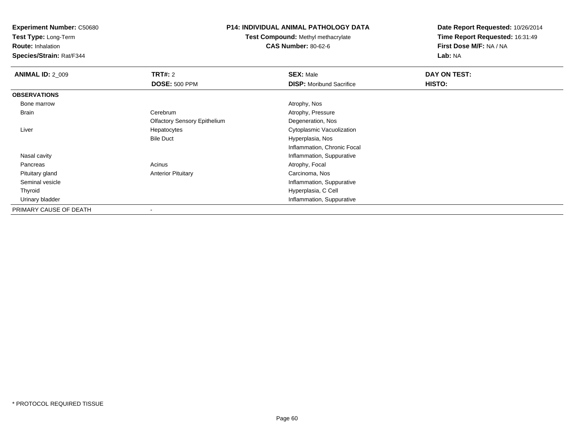**Test Type:** Long-Term

**Route:** Inhalation

**Species/Strain:** Rat/F344

## **P14: INDIVIDUAL ANIMAL PATHOLOGY DATA**

**Test Compound:** Methyl methacrylate**CAS Number:** 80-62-6

| <b>ANIMAL ID: 2_009</b> | TRT#: 2                             | <b>SEX: Male</b>                | DAY ON TEST: |  |
|-------------------------|-------------------------------------|---------------------------------|--------------|--|
|                         | <b>DOSE: 500 PPM</b>                | <b>DISP:</b> Moribund Sacrifice | HISTO:       |  |
| <b>OBSERVATIONS</b>     |                                     |                                 |              |  |
| Bone marrow             |                                     | Atrophy, Nos                    |              |  |
| Brain                   | Cerebrum                            | Atrophy, Pressure               |              |  |
|                         | <b>Olfactory Sensory Epithelium</b> | Degeneration, Nos               |              |  |
| Liver                   | Hepatocytes                         | Cytoplasmic Vacuolization       |              |  |
|                         | <b>Bile Duct</b>                    | Hyperplasia, Nos                |              |  |
|                         |                                     | Inflammation, Chronic Focal     |              |  |
| Nasal cavity            |                                     | Inflammation, Suppurative       |              |  |
| Pancreas                | Acinus                              | Atrophy, Focal                  |              |  |
| Pituitary gland         | <b>Anterior Pituitary</b>           | Carcinoma, Nos                  |              |  |
| Seminal vesicle         |                                     | Inflammation, Suppurative       |              |  |
| Thyroid                 |                                     | Hyperplasia, C Cell             |              |  |
| Urinary bladder         |                                     | Inflammation, Suppurative       |              |  |
| PRIMARY CAUSE OF DEATH  |                                     |                                 |              |  |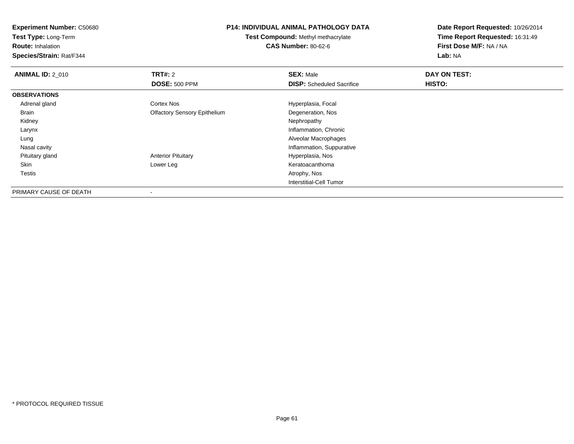**Test Type:** Long-Term

**Route:** Inhalation

**Species/Strain:** Rat/F344

### **P14: INDIVIDUAL ANIMAL PATHOLOGY DATA**

**Test Compound:** Methyl methacrylate**CAS Number:** 80-62-6

| <b>ANIMAL ID: 2 010</b> | TRT#: 2                             | <b>SEX: Male</b>                 | DAY ON TEST: |  |
|-------------------------|-------------------------------------|----------------------------------|--------------|--|
|                         | <b>DOSE: 500 PPM</b>                | <b>DISP:</b> Scheduled Sacrifice | HISTO:       |  |
| <b>OBSERVATIONS</b>     |                                     |                                  |              |  |
| Adrenal gland           | Cortex Nos                          | Hyperplasia, Focal               |              |  |
| Brain                   | <b>Olfactory Sensory Epithelium</b> | Degeneration, Nos                |              |  |
| Kidney                  |                                     | Nephropathy                      |              |  |
| Larynx                  |                                     | Inflammation, Chronic            |              |  |
| Lung                    |                                     | Alveolar Macrophages             |              |  |
| Nasal cavity            |                                     | Inflammation, Suppurative        |              |  |
| Pituitary gland         | <b>Anterior Pituitary</b>           | Hyperplasia, Nos                 |              |  |
| Skin                    | Lower Leg                           | Keratoacanthoma                  |              |  |
| Testis                  |                                     | Atrophy, Nos                     |              |  |
|                         |                                     | Interstitial-Cell Tumor          |              |  |
| PRIMARY CAUSE OF DEATH  | -                                   |                                  |              |  |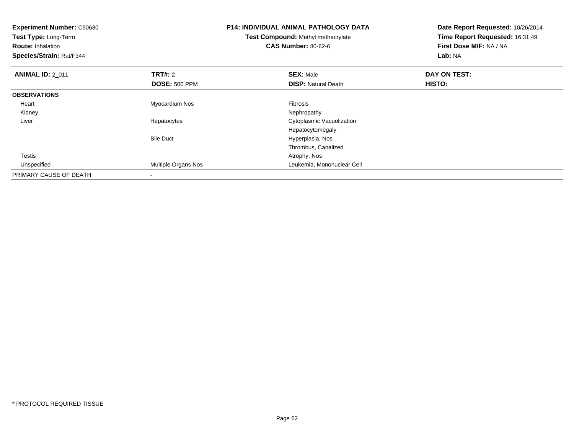| <b>Experiment Number: C50680</b><br>Test Type: Long-Term<br><b>Route: Inhalation</b><br>Species/Strain: Rat/F344 |                            | <b>P14: INDIVIDUAL ANIMAL PATHOLOGY DATA</b><br>Test Compound: Methyl methacrylate<br><b>CAS Number: 80-62-6</b> | Date Report Requested: 10/26/2014<br>Time Report Requested: 16:31:49<br>First Dose M/F: NA / NA<br>Lab: NA |
|------------------------------------------------------------------------------------------------------------------|----------------------------|------------------------------------------------------------------------------------------------------------------|------------------------------------------------------------------------------------------------------------|
| <b>ANIMAL ID: 2 011</b>                                                                                          | <b>TRT#: 2</b>             | <b>SEX: Male</b>                                                                                                 | DAY ON TEST:                                                                                               |
|                                                                                                                  | <b>DOSE: 500 PPM</b>       | <b>DISP: Natural Death</b>                                                                                       | <b>HISTO:</b>                                                                                              |
| <b>OBSERVATIONS</b>                                                                                              |                            |                                                                                                                  |                                                                                                            |
| Heart                                                                                                            | Myocardium Nos             | Fibrosis                                                                                                         |                                                                                                            |
| Kidney                                                                                                           |                            | Nephropathy                                                                                                      |                                                                                                            |
| Liver                                                                                                            | Hepatocytes                | Cytoplasmic Vacuolization                                                                                        |                                                                                                            |
|                                                                                                                  |                            | Hepatocytomegaly                                                                                                 |                                                                                                            |
|                                                                                                                  | <b>Bile Duct</b>           | Hyperplasia, Nos                                                                                                 |                                                                                                            |
|                                                                                                                  |                            | Thrombus, Canalized                                                                                              |                                                                                                            |
| <b>Testis</b>                                                                                                    |                            | Atrophy, Nos                                                                                                     |                                                                                                            |
| Unspecified                                                                                                      | <b>Multiple Organs Nos</b> | Leukemia, Mononuclear Cell                                                                                       |                                                                                                            |
| PRIMARY CAUSE OF DEATH                                                                                           |                            |                                                                                                                  |                                                                                                            |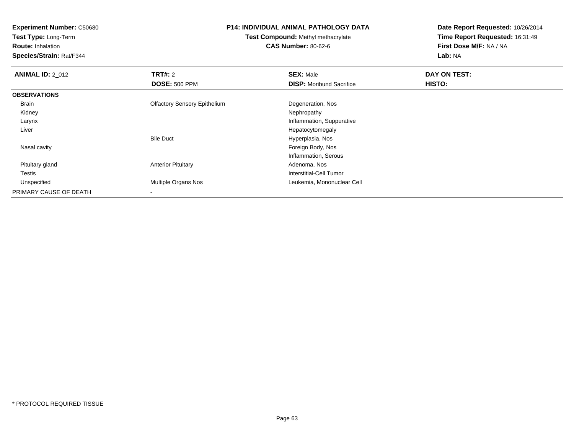**Test Type:** Long-Term

**Route:** Inhalation

**Species/Strain:** Rat/F344

#### **P14: INDIVIDUAL ANIMAL PATHOLOGY DATA**

**Test Compound:** Methyl methacrylate**CAS Number:** 80-62-6

| <b>ANIMAL ID: 2 012</b> | <b>TRT#: 2</b>                      | <b>SEX: Male</b>                | DAY ON TEST: |  |
|-------------------------|-------------------------------------|---------------------------------|--------------|--|
|                         | <b>DOSE: 500 PPM</b>                | <b>DISP:</b> Moribund Sacrifice | HISTO:       |  |
| <b>OBSERVATIONS</b>     |                                     |                                 |              |  |
| Brain                   | <b>Olfactory Sensory Epithelium</b> | Degeneration, Nos               |              |  |
| Kidney                  |                                     | Nephropathy                     |              |  |
| Larynx                  |                                     | Inflammation, Suppurative       |              |  |
| Liver                   |                                     | Hepatocytomegaly                |              |  |
|                         | <b>Bile Duct</b>                    | Hyperplasia, Nos                |              |  |
| Nasal cavity            |                                     | Foreign Body, Nos               |              |  |
|                         |                                     | Inflammation, Serous            |              |  |
| Pituitary gland         | <b>Anterior Pituitary</b>           | Adenoma, Nos                    |              |  |
| Testis                  |                                     | Interstitial-Cell Tumor         |              |  |
| Unspecified             | Multiple Organs Nos                 | Leukemia, Mononuclear Cell      |              |  |
| PRIMARY CAUSE OF DEATH  |                                     |                                 |              |  |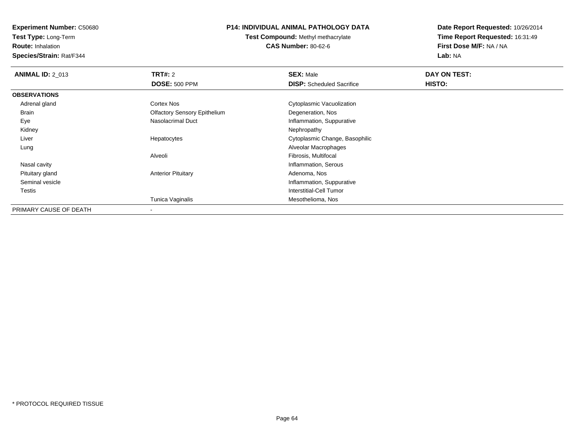**Test Type:** Long-Term

**Route:** Inhalation

**Species/Strain:** Rat/F344

## **P14: INDIVIDUAL ANIMAL PATHOLOGY DATA**

**Test Compound:** Methyl methacrylate**CAS Number:** 80-62-6

| <b>ANIMAL ID: 2 013</b> | TRT#: 2                             | <b>SEX: Male</b>                 | DAY ON TEST: |  |
|-------------------------|-------------------------------------|----------------------------------|--------------|--|
|                         | <b>DOSE: 500 PPM</b>                | <b>DISP:</b> Scheduled Sacrifice | HISTO:       |  |
| <b>OBSERVATIONS</b>     |                                     |                                  |              |  |
| Adrenal gland           | Cortex Nos                          | Cytoplasmic Vacuolization        |              |  |
| <b>Brain</b>            | <b>Olfactory Sensory Epithelium</b> | Degeneration, Nos                |              |  |
| Eye                     | Nasolacrimal Duct                   | Inflammation, Suppurative        |              |  |
| Kidney                  |                                     | Nephropathy                      |              |  |
| Liver                   | Hepatocytes                         | Cytoplasmic Change, Basophilic   |              |  |
| Lung                    |                                     | Alveolar Macrophages             |              |  |
|                         | Alveoli                             | Fibrosis, Multifocal             |              |  |
| Nasal cavity            |                                     | Inflammation, Serous             |              |  |
| Pituitary gland         | <b>Anterior Pituitary</b>           | Adenoma, Nos                     |              |  |
| Seminal vesicle         |                                     | Inflammation, Suppurative        |              |  |
| Testis                  |                                     | Interstitial-Cell Tumor          |              |  |
|                         | Tunica Vaginalis                    | Mesothelioma, Nos                |              |  |
| PRIMARY CAUSE OF DEATH  | $\,$                                |                                  |              |  |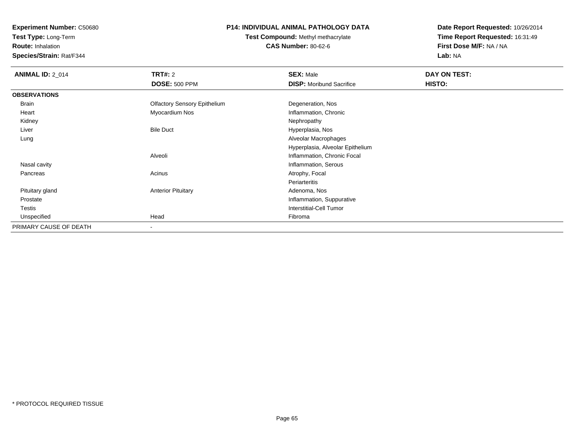**Test Type:** Long-Term

**Route:** Inhalation

**Species/Strain:** Rat/F344

# **P14: INDIVIDUAL ANIMAL PATHOLOGY DATA**

# **Test Compound:** Methyl methacrylate**CAS Number:** 80-62-6

| <b>ANIMAL ID: 2_014</b> | <b>TRT#:</b> 2                      | <b>SEX: Male</b>                 | DAY ON TEST: |  |
|-------------------------|-------------------------------------|----------------------------------|--------------|--|
|                         | <b>DOSE: 500 PPM</b>                | <b>DISP:</b> Moribund Sacrifice  | HISTO:       |  |
| <b>OBSERVATIONS</b>     |                                     |                                  |              |  |
| Brain                   | <b>Olfactory Sensory Epithelium</b> | Degeneration, Nos                |              |  |
| Heart                   | Myocardium Nos                      | Inflammation, Chronic            |              |  |
| Kidney                  |                                     | Nephropathy                      |              |  |
| Liver                   | <b>Bile Duct</b>                    | Hyperplasia, Nos                 |              |  |
| Lung                    |                                     | Alveolar Macrophages             |              |  |
|                         |                                     | Hyperplasia, Alveolar Epithelium |              |  |
|                         | Alveoli                             | Inflammation, Chronic Focal      |              |  |
| Nasal cavity            |                                     | Inflammation, Serous             |              |  |
| Pancreas                | Acinus                              | Atrophy, Focal                   |              |  |
|                         |                                     | Periarteritis                    |              |  |
| Pituitary gland         | <b>Anterior Pituitary</b>           | Adenoma, Nos                     |              |  |
| Prostate                |                                     | Inflammation, Suppurative        |              |  |
| <b>Testis</b>           |                                     | <b>Interstitial-Cell Tumor</b>   |              |  |
| Unspecified             | Head                                | Fibroma                          |              |  |
| PRIMARY CAUSE OF DEATH  | $\blacksquare$                      |                                  |              |  |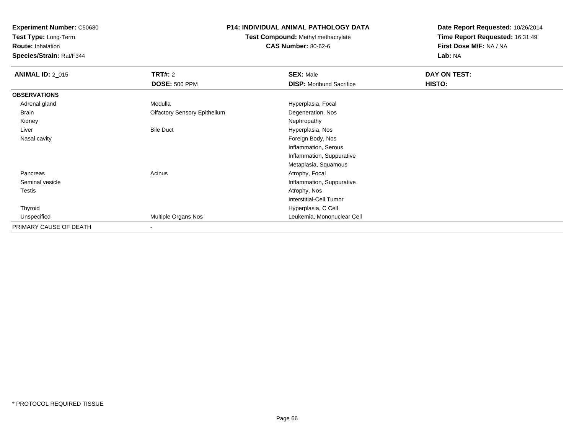**Test Type:** Long-Term

**Route:** Inhalation

**Species/Strain:** Rat/F344

## **P14: INDIVIDUAL ANIMAL PATHOLOGY DATA**

# **Test Compound:** Methyl methacrylate**CAS Number:** 80-62-6

| <b>ANIMAL ID: 2_015</b> | <b>TRT#: 2</b>                      | <b>SEX: Male</b>                | DAY ON TEST: |  |
|-------------------------|-------------------------------------|---------------------------------|--------------|--|
|                         | <b>DOSE: 500 PPM</b>                | <b>DISP:</b> Moribund Sacrifice | HISTO:       |  |
| <b>OBSERVATIONS</b>     |                                     |                                 |              |  |
| Adrenal gland           | Medulla                             | Hyperplasia, Focal              |              |  |
| Brain                   | <b>Olfactory Sensory Epithelium</b> | Degeneration, Nos               |              |  |
| Kidney                  |                                     | Nephropathy                     |              |  |
| Liver                   | <b>Bile Duct</b>                    | Hyperplasia, Nos                |              |  |
| Nasal cavity            |                                     | Foreign Body, Nos               |              |  |
|                         |                                     | Inflammation, Serous            |              |  |
|                         |                                     | Inflammation, Suppurative       |              |  |
|                         |                                     | Metaplasia, Squamous            |              |  |
| Pancreas                | Acinus                              | Atrophy, Focal                  |              |  |
| Seminal vesicle         |                                     | Inflammation, Suppurative       |              |  |
| Testis                  |                                     | Atrophy, Nos                    |              |  |
|                         |                                     | Interstitial-Cell Tumor         |              |  |
| Thyroid                 |                                     | Hyperplasia, C Cell             |              |  |
| Unspecified             | Multiple Organs Nos                 | Leukemia, Mononuclear Cell      |              |  |
| PRIMARY CAUSE OF DEATH  | $\overline{\phantom{a}}$            |                                 |              |  |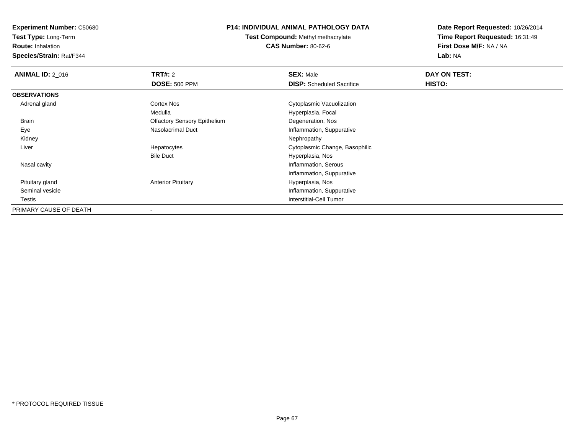**Test Type:** Long-Term

**Route:** Inhalation

**Species/Strain:** Rat/F344

### **P14: INDIVIDUAL ANIMAL PATHOLOGY DATA**

**Test Compound:** Methyl methacrylate**CAS Number:** 80-62-6

| <b>ANIMAL ID: 2 016</b> | TRT#: 2                             | <b>SEX: Male</b>                 | DAY ON TEST: |  |
|-------------------------|-------------------------------------|----------------------------------|--------------|--|
|                         | <b>DOSE: 500 PPM</b>                | <b>DISP:</b> Scheduled Sacrifice | HISTO:       |  |
| <b>OBSERVATIONS</b>     |                                     |                                  |              |  |
| Adrenal gland           | Cortex Nos                          | Cytoplasmic Vacuolization        |              |  |
|                         | Medulla                             | Hyperplasia, Focal               |              |  |
| Brain                   | <b>Olfactory Sensory Epithelium</b> | Degeneration, Nos                |              |  |
| Eye                     | <b>Nasolacrimal Duct</b>            | Inflammation, Suppurative        |              |  |
| Kidney                  |                                     | Nephropathy                      |              |  |
| Liver                   | Hepatocytes                         | Cytoplasmic Change, Basophilic   |              |  |
|                         | <b>Bile Duct</b>                    | Hyperplasia, Nos                 |              |  |
| Nasal cavity            |                                     | Inflammation, Serous             |              |  |
|                         |                                     | Inflammation, Suppurative        |              |  |
| Pituitary gland         | <b>Anterior Pituitary</b>           | Hyperplasia, Nos                 |              |  |
| Seminal vesicle         |                                     | Inflammation, Suppurative        |              |  |
| Testis                  |                                     | Interstitial-Cell Tumor          |              |  |
| PRIMARY CAUSE OF DEATH  |                                     |                                  |              |  |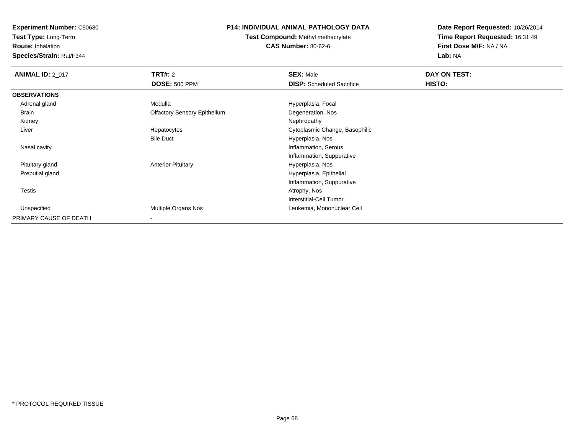**Test Type:** Long-Term

**Route:** Inhalation

**Species/Strain:** Rat/F344

## **P14: INDIVIDUAL ANIMAL PATHOLOGY DATA**

**Test Compound:** Methyl methacrylate**CAS Number:** 80-62-6

| <b>ANIMAL ID: 2_017</b> | <b>TRT#: 2</b>                      | <b>SEX: Male</b>                 | DAY ON TEST: |  |
|-------------------------|-------------------------------------|----------------------------------|--------------|--|
|                         | <b>DOSE: 500 PPM</b>                | <b>DISP:</b> Scheduled Sacrifice | HISTO:       |  |
| <b>OBSERVATIONS</b>     |                                     |                                  |              |  |
| Adrenal gland           | Medulla                             | Hyperplasia, Focal               |              |  |
| Brain                   | <b>Olfactory Sensory Epithelium</b> | Degeneration, Nos                |              |  |
| Kidney                  |                                     | Nephropathy                      |              |  |
| Liver                   | Hepatocytes                         | Cytoplasmic Change, Basophilic   |              |  |
|                         | <b>Bile Duct</b>                    | Hyperplasia, Nos                 |              |  |
| Nasal cavity            |                                     | Inflammation, Serous             |              |  |
|                         |                                     | Inflammation, Suppurative        |              |  |
| Pituitary gland         | <b>Anterior Pituitary</b>           | Hyperplasia, Nos                 |              |  |
| Preputial gland         |                                     | Hyperplasia, Epithelial          |              |  |
|                         |                                     | Inflammation, Suppurative        |              |  |
| <b>Testis</b>           |                                     | Atrophy, Nos                     |              |  |
|                         |                                     | Interstitial-Cell Tumor          |              |  |
| Unspecified             | Multiple Organs Nos                 | Leukemia, Mononuclear Cell       |              |  |
| PRIMARY CAUSE OF DEATH  | $\overline{\phantom{a}}$            |                                  |              |  |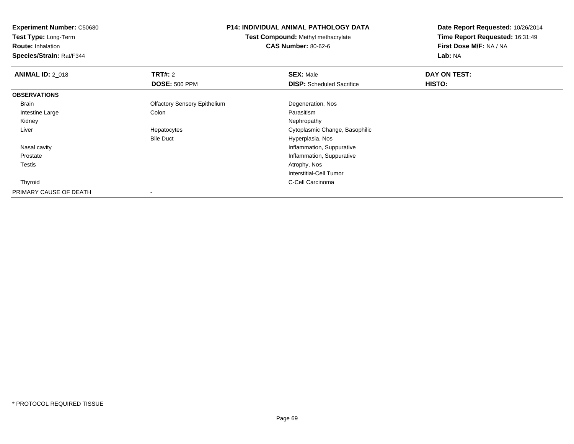**Test Type:** Long-Term

**Route:** Inhalation

**Species/Strain:** Rat/F344

#### **P14: INDIVIDUAL ANIMAL PATHOLOGY DATA**

**Test Compound:** Methyl methacrylate**CAS Number:** 80-62-6

| <b>ANIMAL ID: 2 018</b> | TRT#: 2                             | <b>SEX: Male</b>                 | DAY ON TEST: |  |
|-------------------------|-------------------------------------|----------------------------------|--------------|--|
|                         | <b>DOSE: 500 PPM</b>                | <b>DISP:</b> Scheduled Sacrifice | HISTO:       |  |
| <b>OBSERVATIONS</b>     |                                     |                                  |              |  |
| Brain                   | <b>Olfactory Sensory Epithelium</b> | Degeneration, Nos                |              |  |
| Intestine Large         | Colon                               | Parasitism                       |              |  |
| Kidney                  |                                     | Nephropathy                      |              |  |
| Liver                   | Hepatocytes                         | Cytoplasmic Change, Basophilic   |              |  |
|                         | <b>Bile Duct</b>                    | Hyperplasia, Nos                 |              |  |
| Nasal cavity            |                                     | Inflammation, Suppurative        |              |  |
| Prostate                |                                     | Inflammation, Suppurative        |              |  |
| Testis                  |                                     | Atrophy, Nos                     |              |  |
|                         |                                     | Interstitial-Cell Tumor          |              |  |
| Thyroid                 |                                     | C-Cell Carcinoma                 |              |  |
| PRIMARY CAUSE OF DEATH  | $\,$                                |                                  |              |  |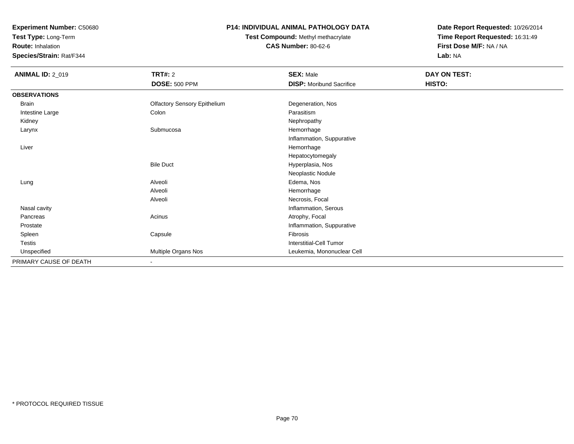**Test Type:** Long-Term

**Route:** Inhalation

**Species/Strain:** Rat/F344

## **P14: INDIVIDUAL ANIMAL PATHOLOGY DATA**

# **Test Compound:** Methyl methacrylate**CAS Number:** 80-62-6

| <b>ANIMAL ID: 2_019</b> | <b>TRT#: 2</b>                      | <b>SEX: Male</b>                | DAY ON TEST: |  |
|-------------------------|-------------------------------------|---------------------------------|--------------|--|
|                         | <b>DOSE: 500 PPM</b>                | <b>DISP:</b> Moribund Sacrifice | HISTO:       |  |
| <b>OBSERVATIONS</b>     |                                     |                                 |              |  |
| <b>Brain</b>            | <b>Olfactory Sensory Epithelium</b> | Degeneration, Nos               |              |  |
| Intestine Large         | Colon                               | Parasitism                      |              |  |
| Kidney                  |                                     | Nephropathy                     |              |  |
| Larynx                  | Submucosa                           | Hemorrhage                      |              |  |
|                         |                                     | Inflammation, Suppurative       |              |  |
| Liver                   |                                     | Hemorrhage                      |              |  |
|                         |                                     | Hepatocytomegaly                |              |  |
|                         | <b>Bile Duct</b>                    | Hyperplasia, Nos                |              |  |
|                         |                                     | Neoplastic Nodule               |              |  |
| Lung                    | Alveoli                             | Edema, Nos                      |              |  |
|                         | Alveoli                             | Hemorrhage                      |              |  |
|                         | Alveoli                             | Necrosis, Focal                 |              |  |
| Nasal cavity            |                                     | Inflammation, Serous            |              |  |
| Pancreas                | Acinus                              | Atrophy, Focal                  |              |  |
| Prostate                |                                     | Inflammation, Suppurative       |              |  |
| Spleen                  | Capsule                             | Fibrosis                        |              |  |
| Testis                  |                                     | Interstitial-Cell Tumor         |              |  |
| Unspecified             | Multiple Organs Nos                 | Leukemia, Mononuclear Cell      |              |  |
| PRIMARY CAUSE OF DEATH  | $\blacksquare$                      |                                 |              |  |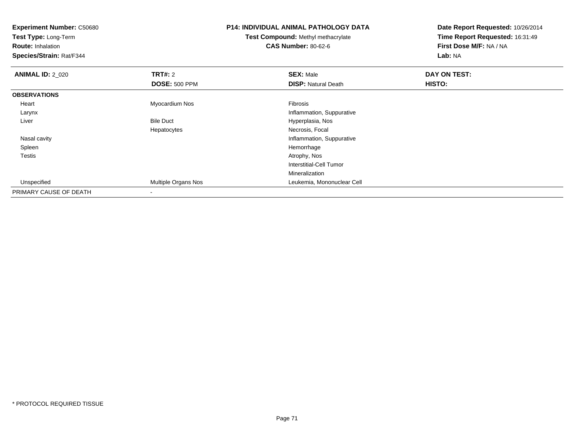| <b>Experiment Number: C50680</b><br>Test Type: Long-Term<br><b>Route: Inhalation</b><br>Species/Strain: Rat/F344 |                      | <b>P14: INDIVIDUAL ANIMAL PATHOLOGY DATA</b><br><b>Test Compound: Methyl methacrylate</b><br><b>CAS Number: 80-62-6</b> | Date Report Requested: 10/26/2014<br>Time Report Requested: 16:31:49<br>First Dose M/F: NA / NA |  |
|------------------------------------------------------------------------------------------------------------------|----------------------|-------------------------------------------------------------------------------------------------------------------------|-------------------------------------------------------------------------------------------------|--|
|                                                                                                                  |                      |                                                                                                                         | Lab: NA                                                                                         |  |
| <b>ANIMAL ID: 2_020</b>                                                                                          | <b>TRT#: 2</b>       | <b>SEX: Male</b>                                                                                                        | DAY ON TEST:                                                                                    |  |
|                                                                                                                  | <b>DOSE: 500 PPM</b> | <b>DISP: Natural Death</b>                                                                                              | HISTO:                                                                                          |  |
| <b>OBSERVATIONS</b>                                                                                              |                      |                                                                                                                         |                                                                                                 |  |
| Heart                                                                                                            | Myocardium Nos       | Fibrosis                                                                                                                |                                                                                                 |  |
| Larynx                                                                                                           |                      | Inflammation, Suppurative                                                                                               |                                                                                                 |  |
| Liver                                                                                                            | <b>Bile Duct</b>     | Hyperplasia, Nos                                                                                                        |                                                                                                 |  |
|                                                                                                                  | Hepatocytes          | Necrosis, Focal                                                                                                         |                                                                                                 |  |
| Nasal cavity                                                                                                     |                      | Inflammation, Suppurative                                                                                               |                                                                                                 |  |
| Spleen                                                                                                           |                      | Hemorrhage                                                                                                              |                                                                                                 |  |
| Testis                                                                                                           |                      | Atrophy, Nos                                                                                                            |                                                                                                 |  |
|                                                                                                                  |                      | <b>Interstitial-Cell Tumor</b>                                                                                          |                                                                                                 |  |
|                                                                                                                  |                      | Mineralization                                                                                                          |                                                                                                 |  |
| Unspecified                                                                                                      | Multiple Organs Nos  | Leukemia, Mononuclear Cell                                                                                              |                                                                                                 |  |
| PRIMARY CAUSE OF DEATH                                                                                           |                      |                                                                                                                         |                                                                                                 |  |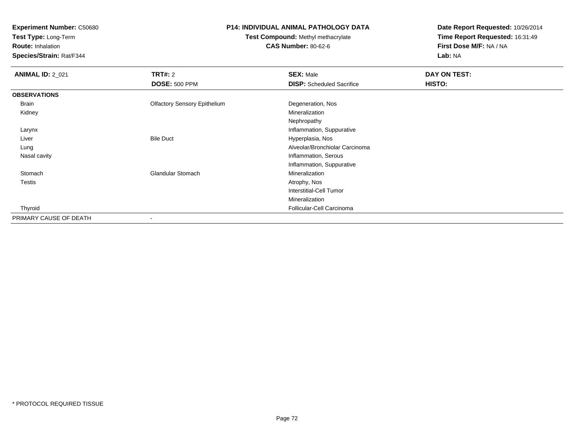**Test Type:** Long-Term

**Route:** Inhalation

**Species/Strain:** Rat/F344

## **P14: INDIVIDUAL ANIMAL PATHOLOGY DATA**

**Test Compound:** Methyl methacrylate**CAS Number:** 80-62-6

| <b>ANIMAL ID: 2_021</b> | <b>TRT#: 2</b>                      | <b>SEX: Male</b>                 | DAY ON TEST: |
|-------------------------|-------------------------------------|----------------------------------|--------------|
|                         | <b>DOSE: 500 PPM</b>                | <b>DISP:</b> Scheduled Sacrifice | HISTO:       |
| <b>OBSERVATIONS</b>     |                                     |                                  |              |
| Brain                   | <b>Olfactory Sensory Epithelium</b> | Degeneration, Nos                |              |
| Kidney                  |                                     | Mineralization                   |              |
|                         |                                     | Nephropathy                      |              |
| Larynx                  |                                     | Inflammation, Suppurative        |              |
| Liver                   | <b>Bile Duct</b>                    | Hyperplasia, Nos                 |              |
| Lung                    |                                     | Alveolar/Bronchiolar Carcinoma   |              |
| Nasal cavity            |                                     | Inflammation, Serous             |              |
|                         |                                     | Inflammation, Suppurative        |              |
| Stomach                 | <b>Glandular Stomach</b>            | Mineralization                   |              |
| <b>Testis</b>           |                                     | Atrophy, Nos                     |              |
|                         |                                     | Interstitial-Cell Tumor          |              |
|                         |                                     | Mineralization                   |              |
| Thyroid                 |                                     | Follicular-Cell Carcinoma        |              |
| PRIMARY CAUSE OF DEATH  |                                     |                                  |              |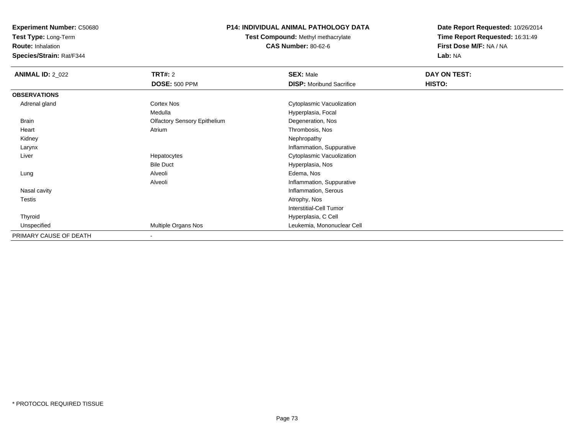**Test Type:** Long-Term

**Route:** Inhalation

**Species/Strain:** Rat/F344

# **P14: INDIVIDUAL ANIMAL PATHOLOGY DATA**

**Test Compound:** Methyl methacrylate**CAS Number:** 80-62-6

| <b>ANIMAL ID: 2_022</b> | TRT#: 2                             | <b>SEX: Male</b>                | DAY ON TEST: |  |
|-------------------------|-------------------------------------|---------------------------------|--------------|--|
|                         | <b>DOSE: 500 PPM</b>                | <b>DISP:</b> Moribund Sacrifice | HISTO:       |  |
| <b>OBSERVATIONS</b>     |                                     |                                 |              |  |
| Adrenal gland           | Cortex Nos                          | Cytoplasmic Vacuolization       |              |  |
|                         | Medulla                             | Hyperplasia, Focal              |              |  |
| Brain                   | <b>Olfactory Sensory Epithelium</b> | Degeneration, Nos               |              |  |
| Heart                   | Atrium                              | Thrombosis, Nos                 |              |  |
| Kidney                  |                                     | Nephropathy                     |              |  |
| Larynx                  |                                     | Inflammation, Suppurative       |              |  |
| Liver                   | Hepatocytes                         | Cytoplasmic Vacuolization       |              |  |
|                         | <b>Bile Duct</b>                    | Hyperplasia, Nos                |              |  |
| Lung                    | Alveoli                             | Edema, Nos                      |              |  |
|                         | Alveoli                             | Inflammation, Suppurative       |              |  |
| Nasal cavity            |                                     | Inflammation, Serous            |              |  |
| <b>Testis</b>           |                                     | Atrophy, Nos                    |              |  |
|                         |                                     | <b>Interstitial-Cell Tumor</b>  |              |  |
| Thyroid                 |                                     | Hyperplasia, C Cell             |              |  |
| Unspecified             | Multiple Organs Nos                 | Leukemia, Mononuclear Cell      |              |  |
| PRIMARY CAUSE OF DEATH  |                                     |                                 |              |  |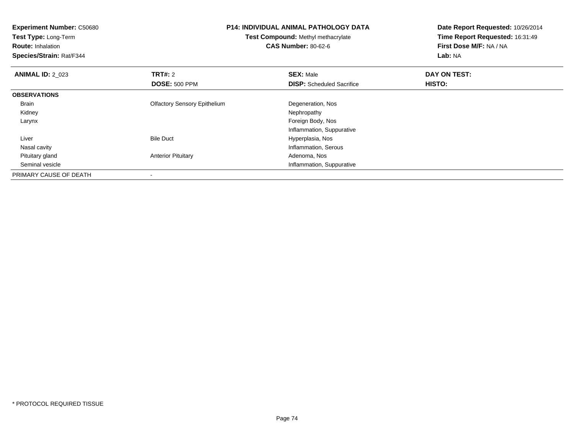| <b>Experiment Number: C50680</b> |                                                                  | P14: INDIVIDUAL ANIMAL PATHOLOGY DATA | Date Report Requested: 10/26/2014 |
|----------------------------------|------------------------------------------------------------------|---------------------------------------|-----------------------------------|
| Test Type: Long-Term             | Test Compound: Methyl methacrylate<br><b>CAS Number: 80-62-6</b> |                                       | Time Report Requested: 16:31:49   |
| <b>Route: Inhalation</b>         |                                                                  |                                       | First Dose M/F: NA / NA           |
| Species/Strain: Rat/F344         |                                                                  |                                       | Lab: NA                           |
| <b>ANIMAL ID: 2 023</b>          | TRT#: 2                                                          | <b>SEX: Male</b>                      | DAY ON TEST:                      |
|                                  | <b>DOSE: 500 PPM</b>                                             | <b>DISP:</b> Scheduled Sacrifice      | HISTO:                            |
| <b>OBSERVATIONS</b>              |                                                                  |                                       |                                   |
| Brain                            | <b>Olfactory Sensory Epithelium</b>                              | Degeneration, Nos                     |                                   |
| Kidney                           |                                                                  | Nephropathy                           |                                   |
| Larynx                           |                                                                  | Foreign Body, Nos                     |                                   |
|                                  |                                                                  | Inflammation, Suppurative             |                                   |
| Liver                            | <b>Bile Duct</b>                                                 | Hyperplasia, Nos                      |                                   |
| Nasal cavity                     |                                                                  | Inflammation, Serous                  |                                   |
| Pituitary gland                  | <b>Anterior Pituitary</b>                                        | Adenoma, Nos                          |                                   |
| Seminal vesicle                  |                                                                  | Inflammation, Suppurative             |                                   |
| PRIMARY CAUSE OF DEATH           |                                                                  |                                       |                                   |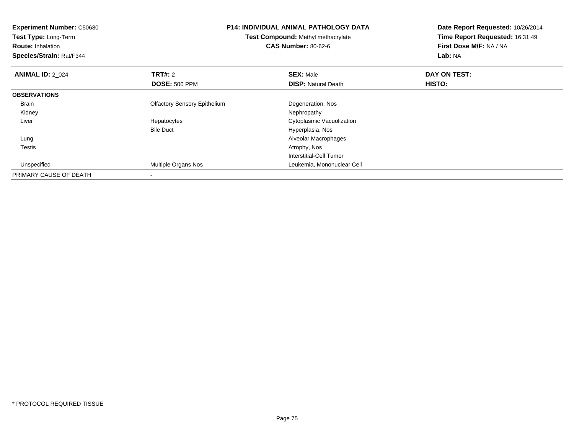| <b>Experiment Number: C50680</b><br>Test Type: Long-Term<br><b>Route: Inhalation</b><br>Species/Strain: Rat/F344 |                                     | <b>P14: INDIVIDUAL ANIMAL PATHOLOGY DATA</b><br><b>Test Compound: Methyl methacrylate</b><br><b>CAS Number: 80-62-6</b> | Date Report Requested: 10/26/2014<br>Time Report Requested: 16:31:49<br>First Dose M/F: NA / NA<br>Lab: NA |
|------------------------------------------------------------------------------------------------------------------|-------------------------------------|-------------------------------------------------------------------------------------------------------------------------|------------------------------------------------------------------------------------------------------------|
| <b>ANIMAL ID: 2 024</b>                                                                                          | <b>TRT#: 2</b>                      | <b>SEX: Male</b>                                                                                                        | DAY ON TEST:                                                                                               |
|                                                                                                                  | <b>DOSE: 500 PPM</b>                | <b>DISP: Natural Death</b>                                                                                              | <b>HISTO:</b>                                                                                              |
| <b>OBSERVATIONS</b>                                                                                              |                                     |                                                                                                                         |                                                                                                            |
| <b>Brain</b>                                                                                                     | <b>Olfactory Sensory Epithelium</b> | Degeneration, Nos                                                                                                       |                                                                                                            |
| Kidney                                                                                                           |                                     | Nephropathy                                                                                                             |                                                                                                            |
| Liver                                                                                                            | Hepatocytes                         | Cytoplasmic Vacuolization                                                                                               |                                                                                                            |
|                                                                                                                  | <b>Bile Duct</b>                    | Hyperplasia, Nos                                                                                                        |                                                                                                            |
| Lung                                                                                                             |                                     | Alveolar Macrophages                                                                                                    |                                                                                                            |
| <b>Testis</b>                                                                                                    |                                     | Atrophy, Nos                                                                                                            |                                                                                                            |
|                                                                                                                  |                                     | Interstitial-Cell Tumor                                                                                                 |                                                                                                            |
| Unspecified                                                                                                      | Multiple Organs Nos                 | Leukemia, Mononuclear Cell                                                                                              |                                                                                                            |
| PRIMARY CAUSE OF DEATH                                                                                           |                                     |                                                                                                                         |                                                                                                            |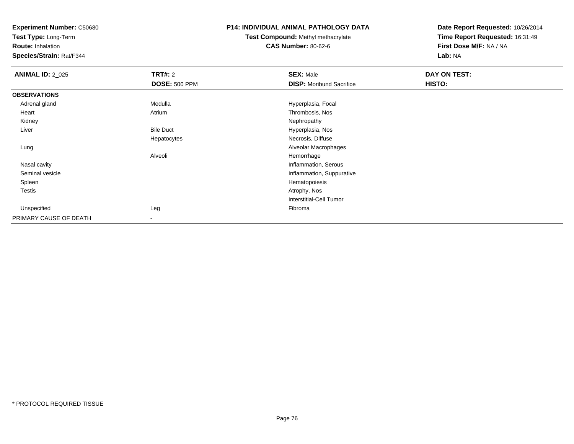**Test Type:** Long-Term

**Route:** Inhalation

**Species/Strain:** Rat/F344

### **P14: INDIVIDUAL ANIMAL PATHOLOGY DATA**

**Test Compound:** Methyl methacrylate**CAS Number:** 80-62-6

| <b>ANIMAL ID: 2_025</b> | <b>TRT#: 2</b>       | <b>SEX: Male</b>                | DAY ON TEST: |  |
|-------------------------|----------------------|---------------------------------|--------------|--|
|                         | <b>DOSE: 500 PPM</b> | <b>DISP:</b> Moribund Sacrifice | HISTO:       |  |
| <b>OBSERVATIONS</b>     |                      |                                 |              |  |
| Adrenal gland           | Medulla              | Hyperplasia, Focal              |              |  |
| Heart                   | Atrium               | Thrombosis, Nos                 |              |  |
| Kidney                  |                      | Nephropathy                     |              |  |
| Liver                   | <b>Bile Duct</b>     | Hyperplasia, Nos                |              |  |
|                         | Hepatocytes          | Necrosis, Diffuse               |              |  |
| Lung                    |                      | Alveolar Macrophages            |              |  |
|                         | Alveoli              | Hemorrhage                      |              |  |
| Nasal cavity            |                      | Inflammation, Serous            |              |  |
| Seminal vesicle         |                      | Inflammation, Suppurative       |              |  |
| Spleen                  |                      | Hematopoiesis                   |              |  |
| Testis                  |                      | Atrophy, Nos                    |              |  |
|                         |                      | Interstitial-Cell Tumor         |              |  |
| Unspecified             | Leg                  | Fibroma                         |              |  |
| PRIMARY CAUSE OF DEATH  | $\,$                 |                                 |              |  |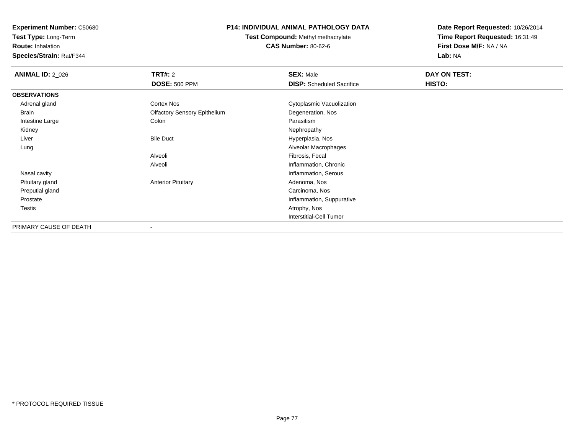**Test Type:** Long-Term

**Route:** Inhalation

**Species/Strain:** Rat/F344

# **P14: INDIVIDUAL ANIMAL PATHOLOGY DATA**

**Test Compound:** Methyl methacrylate**CAS Number:** 80-62-6

| <b>ANIMAL ID: 2_026</b> | <b>TRT#:</b> 2                      | <b>SEX: Male</b>                 | DAY ON TEST: |  |
|-------------------------|-------------------------------------|----------------------------------|--------------|--|
|                         | <b>DOSE: 500 PPM</b>                | <b>DISP:</b> Scheduled Sacrifice | HISTO:       |  |
| <b>OBSERVATIONS</b>     |                                     |                                  |              |  |
| Adrenal gland           | Cortex Nos                          | Cytoplasmic Vacuolization        |              |  |
| Brain                   | <b>Olfactory Sensory Epithelium</b> | Degeneration, Nos                |              |  |
| Intestine Large         | Colon                               | Parasitism                       |              |  |
| Kidney                  |                                     | Nephropathy                      |              |  |
| Liver                   | <b>Bile Duct</b>                    | Hyperplasia, Nos                 |              |  |
| Lung                    |                                     | Alveolar Macrophages             |              |  |
|                         | Alveoli                             | Fibrosis, Focal                  |              |  |
|                         | Alveoli                             | Inflammation, Chronic            |              |  |
| Nasal cavity            |                                     | Inflammation, Serous             |              |  |
| Pituitary gland         | <b>Anterior Pituitary</b>           | Adenoma, Nos                     |              |  |
| Preputial gland         |                                     | Carcinoma, Nos                   |              |  |
| Prostate                |                                     | Inflammation, Suppurative        |              |  |
| <b>Testis</b>           |                                     | Atrophy, Nos                     |              |  |
|                         |                                     | <b>Interstitial-Cell Tumor</b>   |              |  |
| PRIMARY CAUSE OF DEATH  |                                     |                                  |              |  |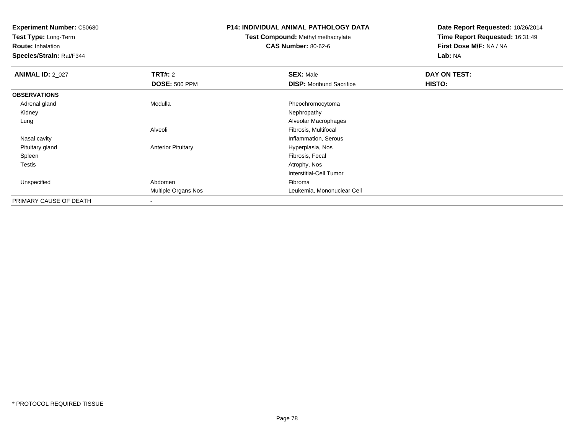**Test Type:** Long-Term

**Route:** Inhalation

**Species/Strain:** Rat/F344

#### **P14: INDIVIDUAL ANIMAL PATHOLOGY DATA**

**Test Compound:** Methyl methacrylate**CAS Number:** 80-62-6

| <b>ANIMAL ID: 2_027</b> | TRT#: 2                    | <b>SEX: Male</b>                | DAY ON TEST: |  |
|-------------------------|----------------------------|---------------------------------|--------------|--|
|                         | <b>DOSE: 500 PPM</b>       | <b>DISP:</b> Moribund Sacrifice | HISTO:       |  |
| <b>OBSERVATIONS</b>     |                            |                                 |              |  |
| Adrenal gland           | Medulla                    | Pheochromocytoma                |              |  |
| Kidney                  |                            | Nephropathy                     |              |  |
| Lung                    |                            | Alveolar Macrophages            |              |  |
|                         | Alveoli                    | Fibrosis, Multifocal            |              |  |
| Nasal cavity            |                            | Inflammation, Serous            |              |  |
| Pituitary gland         | <b>Anterior Pituitary</b>  | Hyperplasia, Nos                |              |  |
| Spleen                  |                            | Fibrosis, Focal                 |              |  |
| Testis                  |                            | Atrophy, Nos                    |              |  |
|                         |                            | <b>Interstitial-Cell Tumor</b>  |              |  |
| Unspecified             | Abdomen                    | Fibroma                         |              |  |
|                         | <b>Multiple Organs Nos</b> | Leukemia, Mononuclear Cell      |              |  |
| PRIMARY CAUSE OF DEATH  |                            |                                 |              |  |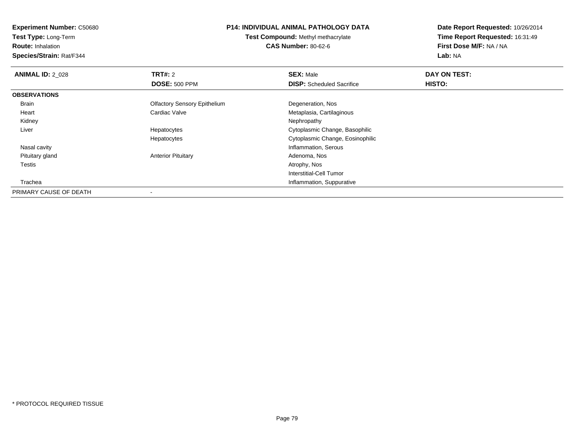**Test Type:** Long-Term

**Route:** Inhalation

**Species/Strain:** Rat/F344

### **P14: INDIVIDUAL ANIMAL PATHOLOGY DATA**

**Test Compound:** Methyl methacrylate**CAS Number:** 80-62-6

| <b>ANIMAL ID: 2 028</b> | TRT#: 2                             | <b>SEX: Male</b>                 | DAY ON TEST: |  |
|-------------------------|-------------------------------------|----------------------------------|--------------|--|
|                         | <b>DOSE: 500 PPM</b>                | <b>DISP:</b> Scheduled Sacrifice | HISTO:       |  |
| <b>OBSERVATIONS</b>     |                                     |                                  |              |  |
| Brain                   | <b>Olfactory Sensory Epithelium</b> | Degeneration, Nos                |              |  |
| Heart                   | Cardiac Valve                       | Metaplasia, Cartilaginous        |              |  |
| Kidney                  |                                     | Nephropathy                      |              |  |
| Liver                   | Hepatocytes                         | Cytoplasmic Change, Basophilic   |              |  |
|                         | Hepatocytes                         | Cytoplasmic Change, Eosinophilic |              |  |
| Nasal cavity            |                                     | Inflammation, Serous             |              |  |
| Pituitary gland         | <b>Anterior Pituitary</b>           | Adenoma, Nos                     |              |  |
| Testis                  |                                     | Atrophy, Nos                     |              |  |
|                         |                                     | Interstitial-Cell Tumor          |              |  |
| Trachea                 |                                     | Inflammation, Suppurative        |              |  |
| PRIMARY CAUSE OF DEATH  | $\overline{\phantom{a}}$            |                                  |              |  |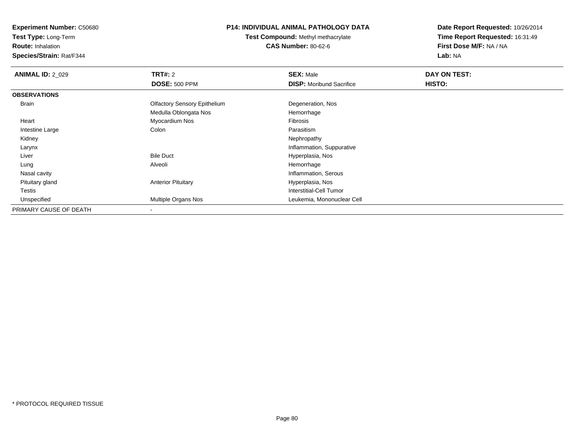**Test Type:** Long-Term

**Route:** Inhalation

**Species/Strain:** Rat/F344

# **P14: INDIVIDUAL ANIMAL PATHOLOGY DATA**

**Test Compound:** Methyl methacrylate**CAS Number:** 80-62-6

| <b>ANIMAL ID: 2_029</b> | TRT#: 2                             | <b>SEX: Male</b>                | DAY ON TEST: |  |
|-------------------------|-------------------------------------|---------------------------------|--------------|--|
|                         | <b>DOSE: 500 PPM</b>                | <b>DISP:</b> Moribund Sacrifice | HISTO:       |  |
| <b>OBSERVATIONS</b>     |                                     |                                 |              |  |
| <b>Brain</b>            | <b>Olfactory Sensory Epithelium</b> | Degeneration, Nos               |              |  |
|                         | Medulla Oblongata Nos               | Hemorrhage                      |              |  |
| Heart                   | Myocardium Nos                      | Fibrosis                        |              |  |
| Intestine Large         | Colon                               | Parasitism                      |              |  |
| Kidney                  |                                     | Nephropathy                     |              |  |
| Larynx                  |                                     | Inflammation, Suppurative       |              |  |
| Liver                   | <b>Bile Duct</b>                    | Hyperplasia, Nos                |              |  |
| Lung                    | Alveoli                             | Hemorrhage                      |              |  |
| Nasal cavity            |                                     | Inflammation, Serous            |              |  |
| Pituitary gland         | <b>Anterior Pituitary</b>           | Hyperplasia, Nos                |              |  |
| Testis                  |                                     | Interstitial-Cell Tumor         |              |  |
| Unspecified             | Multiple Organs Nos                 | Leukemia, Mononuclear Cell      |              |  |
| PRIMARY CAUSE OF DEATH  |                                     |                                 |              |  |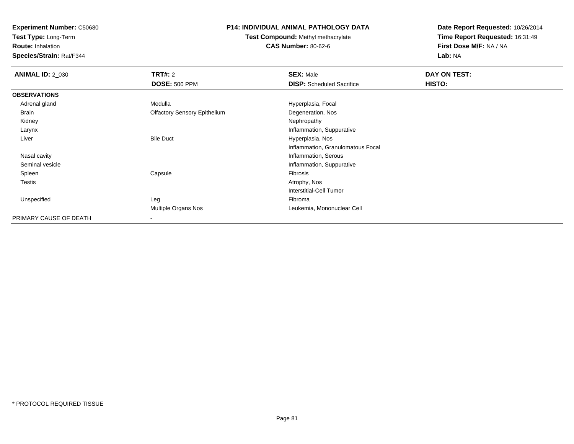**Test Type:** Long-Term

**Route:** Inhalation

**Species/Strain:** Rat/F344

### **P14: INDIVIDUAL ANIMAL PATHOLOGY DATA**

**Test Compound:** Methyl methacrylate**CAS Number:** 80-62-6

| <b>ANIMAL ID: 2_030</b> | <b>TRT#: 2</b>                      | <b>SEX: Male</b>                  | DAY ON TEST: |  |
|-------------------------|-------------------------------------|-----------------------------------|--------------|--|
|                         | <b>DOSE: 500 PPM</b>                | <b>DISP:</b> Scheduled Sacrifice  | HISTO:       |  |
| <b>OBSERVATIONS</b>     |                                     |                                   |              |  |
| Adrenal gland           | Medulla                             | Hyperplasia, Focal                |              |  |
| Brain                   | <b>Olfactory Sensory Epithelium</b> | Degeneration, Nos                 |              |  |
| Kidney                  |                                     | Nephropathy                       |              |  |
| Larynx                  |                                     | Inflammation, Suppurative         |              |  |
| Liver                   | <b>Bile Duct</b>                    | Hyperplasia, Nos                  |              |  |
|                         |                                     | Inflammation, Granulomatous Focal |              |  |
| Nasal cavity            |                                     | Inflammation, Serous              |              |  |
| Seminal vesicle         |                                     | Inflammation, Suppurative         |              |  |
| Spleen                  | Capsule                             | Fibrosis                          |              |  |
| Testis                  |                                     | Atrophy, Nos                      |              |  |
|                         |                                     | <b>Interstitial-Cell Tumor</b>    |              |  |
| Unspecified             | Leg                                 | Fibroma                           |              |  |
|                         | Multiple Organs Nos                 | Leukemia, Mononuclear Cell        |              |  |
| PRIMARY CAUSE OF DEATH  |                                     |                                   |              |  |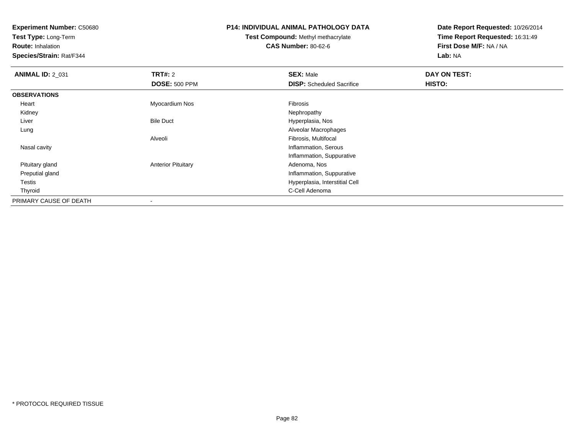**Test Type:** Long-Term

**Route:** Inhalation

**Species/Strain:** Rat/F344

### **P14: INDIVIDUAL ANIMAL PATHOLOGY DATA**

# **Test Compound:** Methyl methacrylate**CAS Number:** 80-62-6

| <b>ANIMAL ID: 2_031</b> | TRT#: 2                   | <b>SEX: Male</b>                 | DAY ON TEST: |  |
|-------------------------|---------------------------|----------------------------------|--------------|--|
|                         | <b>DOSE: 500 PPM</b>      | <b>DISP:</b> Scheduled Sacrifice | HISTO:       |  |
| <b>OBSERVATIONS</b>     |                           |                                  |              |  |
| Heart                   | Myocardium Nos            | Fibrosis                         |              |  |
| Kidney                  |                           | Nephropathy                      |              |  |
| Liver                   | <b>Bile Duct</b>          | Hyperplasia, Nos                 |              |  |
| Lung                    |                           | Alveolar Macrophages             |              |  |
|                         | Alveoli                   | Fibrosis, Multifocal             |              |  |
| Nasal cavity            |                           | Inflammation, Serous             |              |  |
|                         |                           | Inflammation, Suppurative        |              |  |
| Pituitary gland         | <b>Anterior Pituitary</b> | Adenoma, Nos                     |              |  |
| Preputial gland         |                           | Inflammation, Suppurative        |              |  |
| <b>Testis</b>           |                           | Hyperplasia, Interstitial Cell   |              |  |
| Thyroid                 |                           | C-Cell Adenoma                   |              |  |
| PRIMARY CAUSE OF DEATH  |                           |                                  |              |  |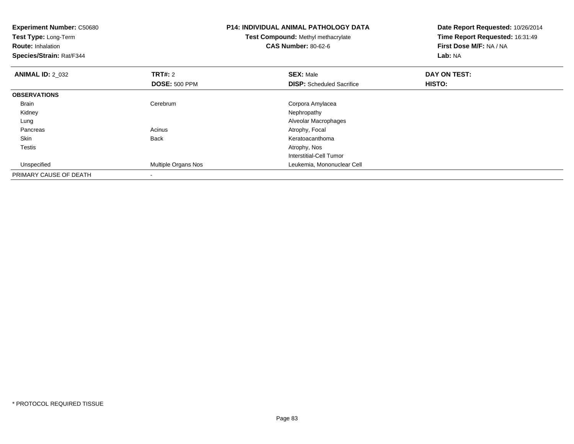| <b>Experiment Number: C50680</b><br>Test Type: Long-Term<br><b>Route: Inhalation</b><br>Species/Strain: Rat/F344 |                      | <b>P14: INDIVIDUAL ANIMAL PATHOLOGY DATA</b><br><b>Test Compound: Methyl methacrylate</b><br><b>CAS Number: 80-62-6</b> | Date Report Requested: 10/26/2014<br>Time Report Requested: 16:31:49<br>First Dose M/F: NA / NA<br>Lab: NA |  |
|------------------------------------------------------------------------------------------------------------------|----------------------|-------------------------------------------------------------------------------------------------------------------------|------------------------------------------------------------------------------------------------------------|--|
| <b>ANIMAL ID: 2 032</b>                                                                                          | TRT#: 2              | <b>SEX: Male</b>                                                                                                        | DAY ON TEST:                                                                                               |  |
|                                                                                                                  | <b>DOSE: 500 PPM</b> | <b>DISP:</b> Scheduled Sacrifice                                                                                        | HISTO:                                                                                                     |  |
| <b>OBSERVATIONS</b>                                                                                              |                      |                                                                                                                         |                                                                                                            |  |
| <b>Brain</b>                                                                                                     | Cerebrum             | Corpora Amylacea                                                                                                        |                                                                                                            |  |
| Kidney                                                                                                           |                      | Nephropathy                                                                                                             |                                                                                                            |  |
| Lung                                                                                                             |                      | Alveolar Macrophages                                                                                                    |                                                                                                            |  |
| Pancreas                                                                                                         | Acinus               | Atrophy, Focal                                                                                                          |                                                                                                            |  |
| Skin                                                                                                             | Back                 | Keratoacanthoma                                                                                                         |                                                                                                            |  |
| Testis                                                                                                           |                      | Atrophy, Nos                                                                                                            |                                                                                                            |  |
|                                                                                                                  |                      | <b>Interstitial-Cell Tumor</b>                                                                                          |                                                                                                            |  |
| Unspecified                                                                                                      | Multiple Organs Nos  | Leukemia, Mononuclear Cell                                                                                              |                                                                                                            |  |
| PRIMARY CAUSE OF DEATH                                                                                           |                      |                                                                                                                         |                                                                                                            |  |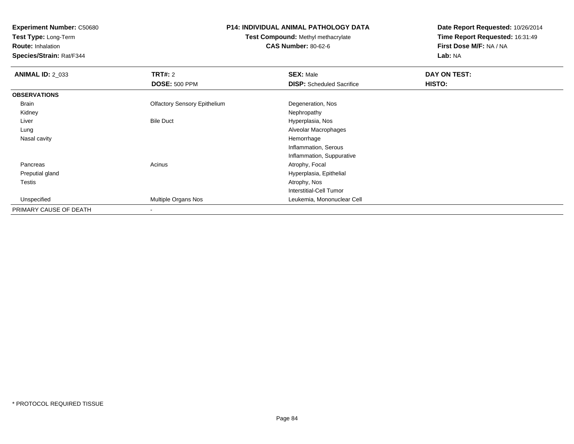**Test Type:** Long-Term

**Route:** Inhalation

**Species/Strain:** Rat/F344

### **P14: INDIVIDUAL ANIMAL PATHOLOGY DATA**

**Test Compound:** Methyl methacrylate**CAS Number:** 80-62-6

| <b>ANIMAL ID: 2 033</b> | TRT#: 2                             | <b>SEX: Male</b>                 | DAY ON TEST: |  |
|-------------------------|-------------------------------------|----------------------------------|--------------|--|
|                         | <b>DOSE: 500 PPM</b>                | <b>DISP:</b> Scheduled Sacrifice | HISTO:       |  |
| <b>OBSERVATIONS</b>     |                                     |                                  |              |  |
| Brain                   | <b>Olfactory Sensory Epithelium</b> | Degeneration, Nos                |              |  |
| Kidney                  |                                     | Nephropathy                      |              |  |
| Liver                   | <b>Bile Duct</b>                    | Hyperplasia, Nos                 |              |  |
| Lung                    |                                     | Alveolar Macrophages             |              |  |
| Nasal cavity            |                                     | Hemorrhage                       |              |  |
|                         |                                     | Inflammation, Serous             |              |  |
|                         |                                     | Inflammation, Suppurative        |              |  |
| Pancreas                | Acinus                              | Atrophy, Focal                   |              |  |
| Preputial gland         |                                     | Hyperplasia, Epithelial          |              |  |
| Testis                  |                                     | Atrophy, Nos                     |              |  |
|                         |                                     | Interstitial-Cell Tumor          |              |  |
| Unspecified             | Multiple Organs Nos                 | Leukemia, Mononuclear Cell       |              |  |
| PRIMARY CAUSE OF DEATH  | $\overline{\phantom{a}}$            |                                  |              |  |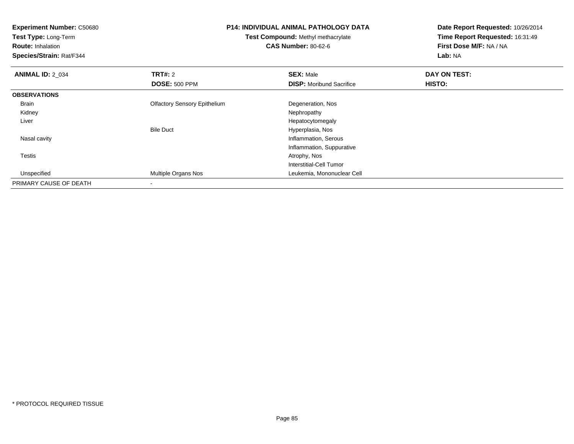| <b>Experiment Number: C50680</b><br>Test Type: Long-Term<br><b>Route: Inhalation</b><br>Species/Strain: Rat/F344 |                                     | <b>P14: INDIVIDUAL ANIMAL PATHOLOGY DATA</b><br>Test Compound: Methyl methacrylate<br><b>CAS Number: 80-62-6</b> | Date Report Requested: 10/26/2014<br>Time Report Requested: 16:31:49<br>First Dose M/F: NA / NA<br>Lab: NA |
|------------------------------------------------------------------------------------------------------------------|-------------------------------------|------------------------------------------------------------------------------------------------------------------|------------------------------------------------------------------------------------------------------------|
| <b>ANIMAL ID: 2 034</b>                                                                                          | <b>TRT#: 2</b>                      | <b>SEX: Male</b>                                                                                                 | DAY ON TEST:                                                                                               |
|                                                                                                                  | <b>DOSE: 500 PPM</b>                | <b>DISP:</b> Moribund Sacrifice                                                                                  | HISTO:                                                                                                     |
| <b>OBSERVATIONS</b>                                                                                              |                                     |                                                                                                                  |                                                                                                            |
| <b>Brain</b>                                                                                                     | <b>Olfactory Sensory Epithelium</b> | Degeneration, Nos                                                                                                |                                                                                                            |
| Kidney                                                                                                           |                                     | Nephropathy                                                                                                      |                                                                                                            |
| Liver                                                                                                            |                                     | Hepatocytomegaly                                                                                                 |                                                                                                            |
|                                                                                                                  | <b>Bile Duct</b>                    | Hyperplasia, Nos                                                                                                 |                                                                                                            |
| Nasal cavity                                                                                                     |                                     | Inflammation, Serous                                                                                             |                                                                                                            |
|                                                                                                                  |                                     | Inflammation, Suppurative                                                                                        |                                                                                                            |
| Testis                                                                                                           |                                     | Atrophy, Nos                                                                                                     |                                                                                                            |
|                                                                                                                  |                                     | Interstitial-Cell Tumor                                                                                          |                                                                                                            |
| Unspecified                                                                                                      | Multiple Organs Nos                 | Leukemia, Mononuclear Cell                                                                                       |                                                                                                            |
| PRIMARY CAUSE OF DEATH                                                                                           |                                     |                                                                                                                  |                                                                                                            |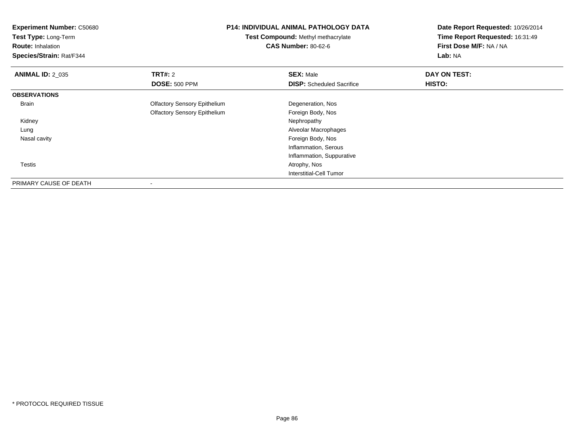| <b>Experiment Number: C50680</b> |                                     | <b>P14: INDIVIDUAL ANIMAL PATHOLOGY DATA</b><br>Test Compound: Methyl methacrylate |                         |
|----------------------------------|-------------------------------------|------------------------------------------------------------------------------------|-------------------------|
| Test Type: Long-Term             |                                     |                                                                                    |                         |
| <b>Route: Inhalation</b>         |                                     | <b>CAS Number: 80-62-6</b>                                                         | First Dose M/F: NA / NA |
| Species/Strain: Rat/F344         |                                     |                                                                                    | Lab: NA                 |
| <b>ANIMAL ID: 2_035</b>          | <b>TRT#: 2</b>                      | <b>SEX: Male</b>                                                                   | DAY ON TEST:            |
|                                  | <b>DOSE: 500 PPM</b>                | <b>DISP:</b> Scheduled Sacrifice                                                   | HISTO:                  |
| <b>OBSERVATIONS</b>              |                                     |                                                                                    |                         |
| Brain                            | <b>Olfactory Sensory Epithelium</b> | Degeneration, Nos                                                                  |                         |
|                                  | <b>Olfactory Sensory Epithelium</b> | Foreign Body, Nos                                                                  |                         |
| Kidney                           |                                     | Nephropathy                                                                        |                         |
| Lung                             |                                     | Alveolar Macrophages                                                               |                         |
| Nasal cavity                     |                                     | Foreign Body, Nos                                                                  |                         |
|                                  |                                     | Inflammation, Serous                                                               |                         |
|                                  |                                     | Inflammation, Suppurative                                                          |                         |
| Testis                           |                                     | Atrophy, Nos                                                                       |                         |
|                                  |                                     | Interstitial-Cell Tumor                                                            |                         |
| PRIMARY CAUSE OF DEATH           |                                     |                                                                                    |                         |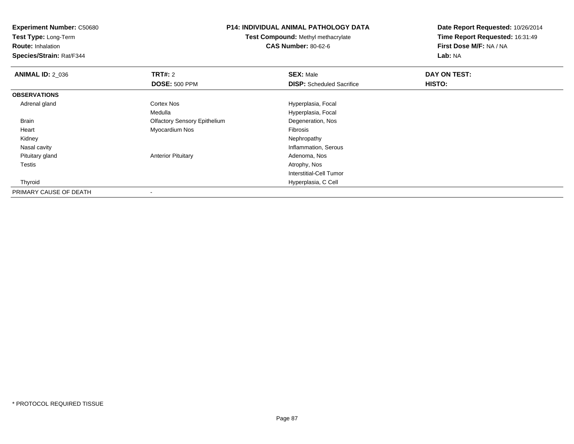**Experiment Number:** C50680**Test Type:** Long-Term**Route:** Inhalation **Species/Strain:** Rat/F344**P14: INDIVIDUAL ANIMAL PATHOLOGY DATATest Compound:** Methyl methacrylate**CAS Number:** 80-62-6**Date Report Requested:** 10/26/2014**Time Report Requested:** 16:31:49**First Dose M/F:** NA / NA**Lab:** NA**ANIMAL ID: 2 036 6 DAY ON TEST: TRT#:** 2 **SEX:** Male **SEX:** Male **DOSE:** 500 PPM**DISP:** Scheduled Sacrifice **HISTO: OBSERVATIONS** Adrenal glandCortex Nos **Hyperplasia**, Focal Medulla Hyperplasia, Focal Brain Olfactory Sensory Epithelium Degeneration, Nos Heart Myocardium Nos Fibrosis Kidneyy the control of the control of the control of the control of the control of the control of the control of the control of the control of the control of the control of the control of the control of the control of the contro Nasal cavity Inflammation, Serous Pituitary glandAnterior Pituitary **Adenoma, Nos**<br>Atrophy, Nos Testiss and the contract of the contract of the contract of the contract of the contract of the contract of the contract of the contract of the contract of the contract of the contract of the contract of the contract of the cont Interstitial-Cell Tumor Thyroid Hyperplasia, C Cell PRIMARY CAUSE OF DEATH-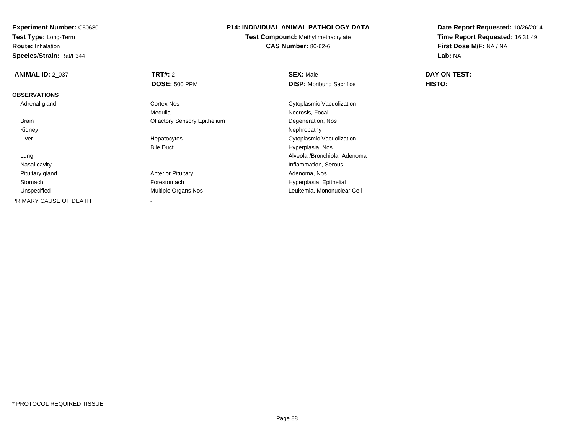**Test Type:** Long-Term

**Route:** Inhalation

**Species/Strain:** Rat/F344

### **P14: INDIVIDUAL ANIMAL PATHOLOGY DATA**

**Test Compound:** Methyl methacrylate**CAS Number:** 80-62-6

| <b>ANIMAL ID: 2_037</b> | <b>TRT#: 2</b>                      | <b>SEX: Male</b>                | DAY ON TEST: |  |
|-------------------------|-------------------------------------|---------------------------------|--------------|--|
|                         | <b>DOSE: 500 PPM</b>                | <b>DISP:</b> Moribund Sacrifice | HISTO:       |  |
| <b>OBSERVATIONS</b>     |                                     |                                 |              |  |
| Adrenal gland           | Cortex Nos                          | Cytoplasmic Vacuolization       |              |  |
|                         | Medulla                             | Necrosis, Focal                 |              |  |
| Brain                   | <b>Olfactory Sensory Epithelium</b> | Degeneration, Nos               |              |  |
| Kidney                  |                                     | Nephropathy                     |              |  |
| Liver                   | Hepatocytes                         | Cytoplasmic Vacuolization       |              |  |
|                         | <b>Bile Duct</b>                    | Hyperplasia, Nos                |              |  |
| Lung                    |                                     | Alveolar/Bronchiolar Adenoma    |              |  |
| Nasal cavity            |                                     | Inflammation, Serous            |              |  |
| Pituitary gland         | <b>Anterior Pituitary</b>           | Adenoma, Nos                    |              |  |
| Stomach                 | Forestomach                         | Hyperplasia, Epithelial         |              |  |
| Unspecified             | Multiple Organs Nos                 | Leukemia, Mononuclear Cell      |              |  |
| PRIMARY CAUSE OF DEATH  |                                     |                                 |              |  |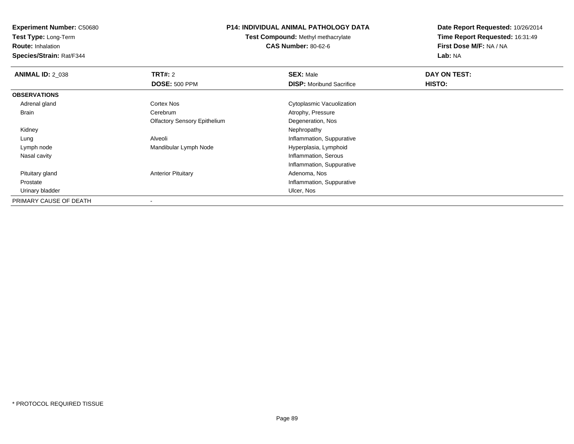**Test Type:** Long-Term

**Route:** Inhalation

**Species/Strain:** Rat/F344

### **P14: INDIVIDUAL ANIMAL PATHOLOGY DATA**

**Test Compound:** Methyl methacrylate**CAS Number:** 80-62-6

| <b>ANIMAL ID: 2_038</b> | TRT#: 2                             | <b>SEX: Male</b>                | DAY ON TEST: |  |
|-------------------------|-------------------------------------|---------------------------------|--------------|--|
|                         | <b>DOSE: 500 PPM</b>                | <b>DISP:</b> Moribund Sacrifice | HISTO:       |  |
| <b>OBSERVATIONS</b>     |                                     |                                 |              |  |
| Adrenal gland           | Cortex Nos                          | Cytoplasmic Vacuolization       |              |  |
| Brain                   | Cerebrum                            | Atrophy, Pressure               |              |  |
|                         | <b>Olfactory Sensory Epithelium</b> | Degeneration, Nos               |              |  |
| Kidney                  |                                     | Nephropathy                     |              |  |
| Lung                    | Alveoli                             | Inflammation, Suppurative       |              |  |
| Lymph node              | Mandibular Lymph Node               | Hyperplasia, Lymphoid           |              |  |
| Nasal cavity            |                                     | Inflammation, Serous            |              |  |
|                         |                                     | Inflammation, Suppurative       |              |  |
| Pituitary gland         | <b>Anterior Pituitary</b>           | Adenoma, Nos                    |              |  |
| Prostate                |                                     | Inflammation, Suppurative       |              |  |
| Urinary bladder         |                                     | Ulcer, Nos                      |              |  |
| PRIMARY CAUSE OF DEATH  |                                     |                                 |              |  |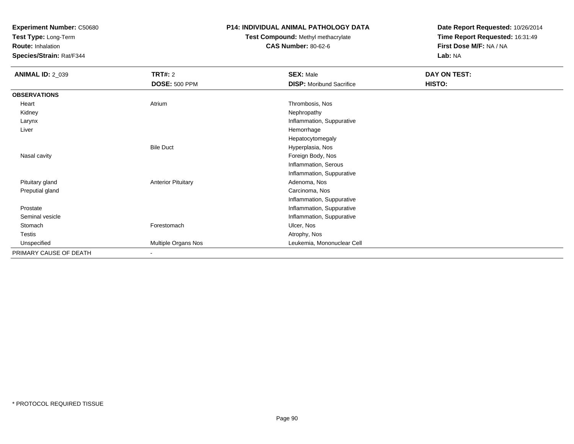**Test Type:** Long-Term

**Route:** Inhalation

**Species/Strain:** Rat/F344

# **P14: INDIVIDUAL ANIMAL PATHOLOGY DATA**

# **Test Compound:** Methyl methacrylate**CAS Number:** 80-62-6

| <b>ANIMAL ID: 2_039</b> | TRT#: 2                   | <b>SEX: Male</b>                | DAY ON TEST: |  |
|-------------------------|---------------------------|---------------------------------|--------------|--|
|                         | <b>DOSE: 500 PPM</b>      | <b>DISP:</b> Moribund Sacrifice | HISTO:       |  |
| <b>OBSERVATIONS</b>     |                           |                                 |              |  |
| Heart                   | Atrium                    | Thrombosis, Nos                 |              |  |
| Kidney                  |                           | Nephropathy                     |              |  |
| Larynx                  |                           | Inflammation, Suppurative       |              |  |
| Liver                   |                           | Hemorrhage                      |              |  |
|                         |                           | Hepatocytomegaly                |              |  |
|                         | <b>Bile Duct</b>          | Hyperplasia, Nos                |              |  |
| Nasal cavity            |                           | Foreign Body, Nos               |              |  |
|                         |                           | Inflammation, Serous            |              |  |
|                         |                           | Inflammation, Suppurative       |              |  |
| Pituitary gland         | <b>Anterior Pituitary</b> | Adenoma, Nos                    |              |  |
| Preputial gland         |                           | Carcinoma, Nos                  |              |  |
|                         |                           | Inflammation, Suppurative       |              |  |
| Prostate                |                           | Inflammation, Suppurative       |              |  |
| Seminal vesicle         |                           | Inflammation, Suppurative       |              |  |
| Stomach                 | Forestomach               | Ulcer, Nos                      |              |  |
| Testis                  |                           | Atrophy, Nos                    |              |  |
| Unspecified             | Multiple Organs Nos       | Leukemia, Mononuclear Cell      |              |  |
| PRIMARY CAUSE OF DEATH  | ٠                         |                                 |              |  |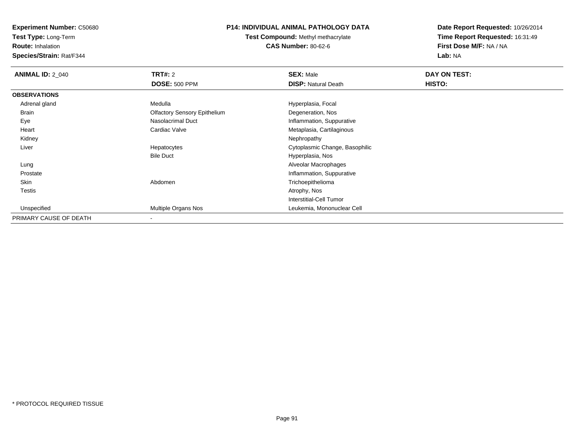**Test Type:** Long-Term

**Route:** Inhalation

**Species/Strain:** Rat/F344

# **P14: INDIVIDUAL ANIMAL PATHOLOGY DATA**

**Test Compound:** Methyl methacrylate**CAS Number:** 80-62-6

| <b>ANIMAL ID: 2_040</b> | <b>TRT#: 2</b>                      | <b>SEX: Male</b>               | DAY ON TEST: |  |
|-------------------------|-------------------------------------|--------------------------------|--------------|--|
|                         | <b>DOSE: 500 PPM</b>                | <b>DISP: Natural Death</b>     | HISTO:       |  |
| <b>OBSERVATIONS</b>     |                                     |                                |              |  |
| Adrenal gland           | Medulla                             | Hyperplasia, Focal             |              |  |
| <b>Brain</b>            | <b>Olfactory Sensory Epithelium</b> | Degeneration, Nos              |              |  |
| Eye                     | Nasolacrimal Duct                   | Inflammation, Suppurative      |              |  |
| Heart                   | Cardiac Valve                       | Metaplasia, Cartilaginous      |              |  |
| Kidney                  |                                     | Nephropathy                    |              |  |
| Liver                   | Hepatocytes                         | Cytoplasmic Change, Basophilic |              |  |
|                         | <b>Bile Duct</b>                    | Hyperplasia, Nos               |              |  |
| Lung                    |                                     | Alveolar Macrophages           |              |  |
| Prostate                |                                     | Inflammation, Suppurative      |              |  |
| Skin                    | Abdomen                             | Trichoepithelioma              |              |  |
| <b>Testis</b>           |                                     | Atrophy, Nos                   |              |  |
|                         |                                     | <b>Interstitial-Cell Tumor</b> |              |  |
| Unspecified             | Multiple Organs Nos                 | Leukemia, Mononuclear Cell     |              |  |
| PRIMARY CAUSE OF DEATH  | $\overline{\phantom{a}}$            |                                |              |  |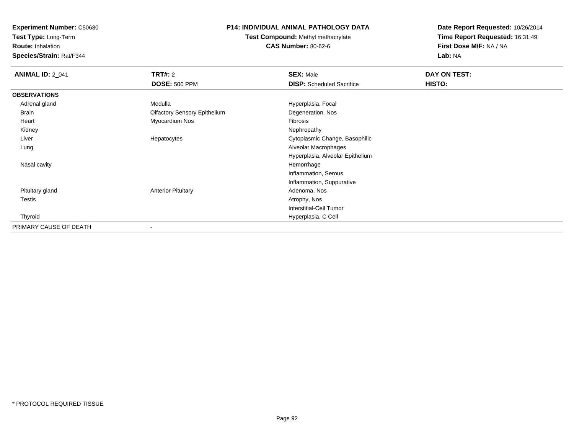**Test Type:** Long-Term

**Route:** Inhalation

**Species/Strain:** Rat/F344

# **P14: INDIVIDUAL ANIMAL PATHOLOGY DATA**

**Test Compound:** Methyl methacrylate**CAS Number:** 80-62-6

| <b>ANIMAL ID: 2_041</b> | TRT#: 2                             | <b>SEX: Male</b>                 | DAY ON TEST: |  |
|-------------------------|-------------------------------------|----------------------------------|--------------|--|
|                         | <b>DOSE: 500 PPM</b>                | <b>DISP:</b> Scheduled Sacrifice | HISTO:       |  |
| <b>OBSERVATIONS</b>     |                                     |                                  |              |  |
| Adrenal gland           | Medulla                             | Hyperplasia, Focal               |              |  |
| Brain                   | <b>Olfactory Sensory Epithelium</b> | Degeneration, Nos                |              |  |
| Heart                   | Myocardium Nos                      | Fibrosis                         |              |  |
| Kidney                  |                                     | Nephropathy                      |              |  |
| Liver                   | Hepatocytes                         | Cytoplasmic Change, Basophilic   |              |  |
| Lung                    |                                     | Alveolar Macrophages             |              |  |
|                         |                                     | Hyperplasia, Alveolar Epithelium |              |  |
| Nasal cavity            |                                     | Hemorrhage                       |              |  |
|                         |                                     | Inflammation, Serous             |              |  |
|                         |                                     | Inflammation, Suppurative        |              |  |
| Pituitary gland         | <b>Anterior Pituitary</b>           | Adenoma, Nos                     |              |  |
| Testis                  |                                     | Atrophy, Nos                     |              |  |
|                         |                                     | <b>Interstitial-Cell Tumor</b>   |              |  |
| Thyroid                 |                                     | Hyperplasia, C Cell              |              |  |
| PRIMARY CAUSE OF DEATH  |                                     |                                  |              |  |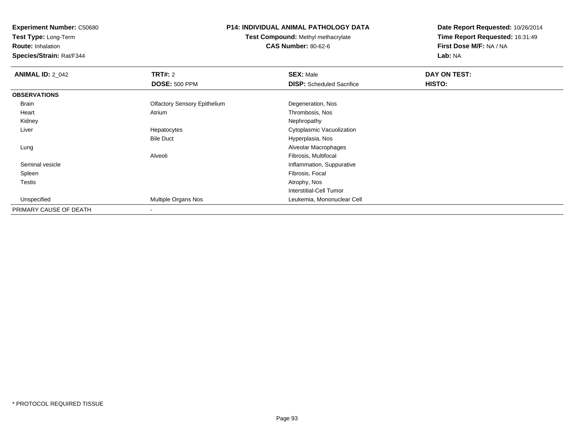**Test Type:** Long-Term

**Route:** Inhalation

**Species/Strain:** Rat/F344

# **P14: INDIVIDUAL ANIMAL PATHOLOGY DATA**

**Test Compound:** Methyl methacrylate**CAS Number:** 80-62-6

| <b>ANIMAL ID: 2 042</b> | <b>TRT#: 2</b>                      | <b>SEX: Male</b>                 | DAY ON TEST: |  |
|-------------------------|-------------------------------------|----------------------------------|--------------|--|
|                         | <b>DOSE: 500 PPM</b>                | <b>DISP:</b> Scheduled Sacrifice | HISTO:       |  |
| <b>OBSERVATIONS</b>     |                                     |                                  |              |  |
| Brain                   | <b>Olfactory Sensory Epithelium</b> | Degeneration, Nos                |              |  |
| Heart                   | Atrium                              | Thrombosis, Nos                  |              |  |
| Kidney                  |                                     | Nephropathy                      |              |  |
| Liver                   | Hepatocytes                         | Cytoplasmic Vacuolization        |              |  |
|                         | <b>Bile Duct</b>                    | Hyperplasia, Nos                 |              |  |
| Lung                    |                                     | Alveolar Macrophages             |              |  |
|                         | Alveoli                             | Fibrosis, Multifocal             |              |  |
| Seminal vesicle         |                                     | Inflammation, Suppurative        |              |  |
| Spleen                  |                                     | Fibrosis, Focal                  |              |  |
| Testis                  |                                     | Atrophy, Nos                     |              |  |
|                         |                                     | Interstitial-Cell Tumor          |              |  |
| Unspecified             | <b>Multiple Organs Nos</b>          | Leukemia, Mononuclear Cell       |              |  |
| PRIMARY CAUSE OF DEATH  |                                     |                                  |              |  |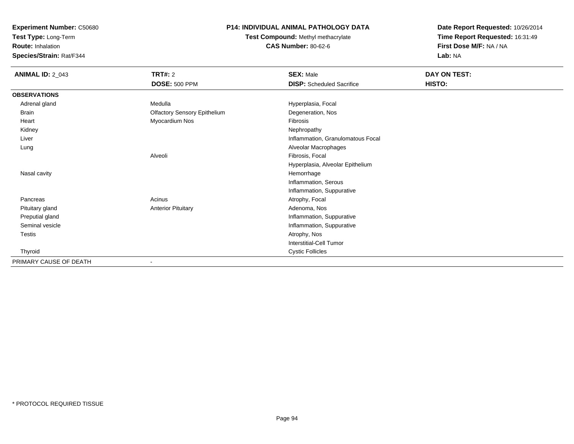**Test Type:** Long-Term

**Route:** Inhalation

**Species/Strain:** Rat/F344

# **P14: INDIVIDUAL ANIMAL PATHOLOGY DATA**

**Test Compound:** Methyl methacrylate**CAS Number:** 80-62-6

| <b>ANIMAL ID: 2_043</b> | <b>TRT#: 2</b><br><b>DOSE: 500 PPM</b> | <b>SEX: Male</b><br><b>DISP:</b> Scheduled Sacrifice | DAY ON TEST:<br>HISTO: |
|-------------------------|----------------------------------------|------------------------------------------------------|------------------------|
| <b>OBSERVATIONS</b>     |                                        |                                                      |                        |
| Adrenal gland           | Medulla                                | Hyperplasia, Focal                                   |                        |
| <b>Brain</b>            | <b>Olfactory Sensory Epithelium</b>    | Degeneration, Nos                                    |                        |
| Heart                   | Myocardium Nos                         | Fibrosis                                             |                        |
| Kidney                  |                                        | Nephropathy                                          |                        |
| Liver                   |                                        | Inflammation, Granulomatous Focal                    |                        |
| Lung                    |                                        | Alveolar Macrophages                                 |                        |
|                         | Alveoli                                | Fibrosis, Focal                                      |                        |
|                         |                                        | Hyperplasia, Alveolar Epithelium                     |                        |
| Nasal cavity            |                                        | Hemorrhage                                           |                        |
|                         |                                        | Inflammation, Serous                                 |                        |
|                         |                                        | Inflammation, Suppurative                            |                        |
| Pancreas                | Acinus                                 | Atrophy, Focal                                       |                        |
| Pituitary gland         | <b>Anterior Pituitary</b>              | Adenoma, Nos                                         |                        |
| Preputial gland         |                                        | Inflammation, Suppurative                            |                        |
| Seminal vesicle         |                                        | Inflammation, Suppurative                            |                        |
| Testis                  |                                        | Atrophy, Nos                                         |                        |
|                         |                                        | <b>Interstitial-Cell Tumor</b>                       |                        |
| Thyroid                 |                                        | <b>Cystic Follicles</b>                              |                        |
| PRIMARY CAUSE OF DEATH  |                                        |                                                      |                        |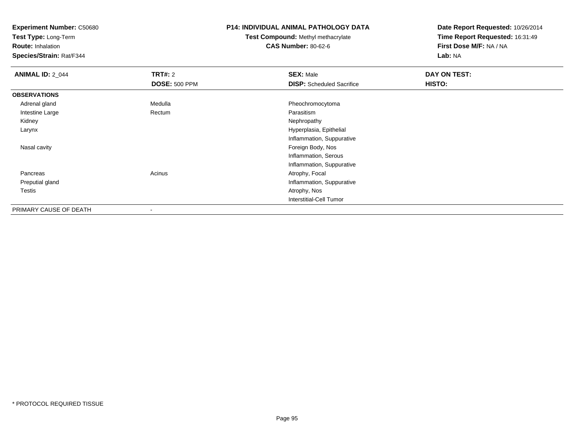**Test Type:** Long-Term

**Route:** Inhalation

**Species/Strain:** Rat/F344

### **P14: INDIVIDUAL ANIMAL PATHOLOGY DATA**

# **Test Compound:** Methyl methacrylate**CAS Number:** 80-62-6

| <b>ANIMAL ID: 2_044</b> | <b>TRT#: 2</b><br><b>DOSE: 500 PPM</b> | <b>SEX: Male</b><br><b>DISP:</b> Scheduled Sacrifice | DAY ON TEST:<br>HISTO: |
|-------------------------|----------------------------------------|------------------------------------------------------|------------------------|
| <b>OBSERVATIONS</b>     |                                        |                                                      |                        |
| Adrenal gland           | Medulla                                | Pheochromocytoma                                     |                        |
| Intestine Large         | Rectum                                 | Parasitism                                           |                        |
| Kidney                  |                                        | Nephropathy                                          |                        |
| Larynx                  |                                        | Hyperplasia, Epithelial                              |                        |
|                         |                                        | Inflammation, Suppurative                            |                        |
| Nasal cavity            |                                        | Foreign Body, Nos                                    |                        |
|                         |                                        | Inflammation, Serous                                 |                        |
|                         |                                        | Inflammation, Suppurative                            |                        |
| Pancreas                | Acinus                                 | Atrophy, Focal                                       |                        |
| Preputial gland         |                                        | Inflammation, Suppurative                            |                        |
| Testis                  |                                        | Atrophy, Nos                                         |                        |
|                         |                                        | Interstitial-Cell Tumor                              |                        |
| PRIMARY CAUSE OF DEATH  |                                        |                                                      |                        |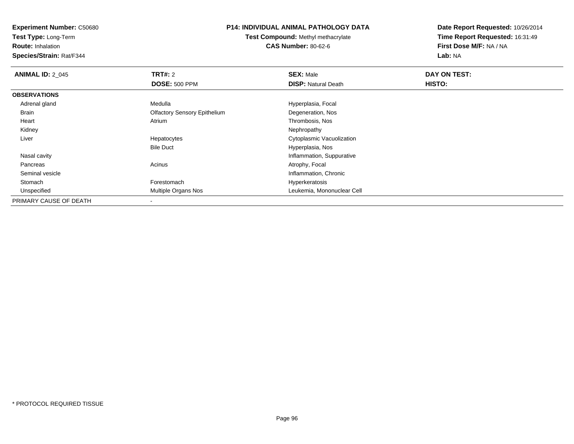**Test Type:** Long-Term

**Route:** Inhalation

**Species/Strain:** Rat/F344

# **P14: INDIVIDUAL ANIMAL PATHOLOGY DATA**

**Test Compound:** Methyl methacrylate**CAS Number:** 80-62-6

| <b>ANIMAL ID: 2 045</b> | <b>TRT#: 2</b>                      | <b>SEX: Male</b>           | DAY ON TEST: |  |
|-------------------------|-------------------------------------|----------------------------|--------------|--|
|                         | <b>DOSE: 500 PPM</b>                | <b>DISP: Natural Death</b> | HISTO:       |  |
| <b>OBSERVATIONS</b>     |                                     |                            |              |  |
| Adrenal gland           | Medulla                             | Hyperplasia, Focal         |              |  |
| Brain                   | <b>Olfactory Sensory Epithelium</b> | Degeneration, Nos          |              |  |
| Heart                   | Atrium                              | Thrombosis, Nos            |              |  |
| Kidney                  |                                     | Nephropathy                |              |  |
| Liver                   | Hepatocytes                         | Cytoplasmic Vacuolization  |              |  |
|                         | <b>Bile Duct</b>                    | Hyperplasia, Nos           |              |  |
| Nasal cavity            |                                     | Inflammation, Suppurative  |              |  |
| Pancreas                | Acinus                              | Atrophy, Focal             |              |  |
| Seminal vesicle         |                                     | Inflammation, Chronic      |              |  |
| Stomach                 | Forestomach                         | Hyperkeratosis             |              |  |
| Unspecified             | <b>Multiple Organs Nos</b>          | Leukemia, Mononuclear Cell |              |  |
| PRIMARY CAUSE OF DEATH  |                                     |                            |              |  |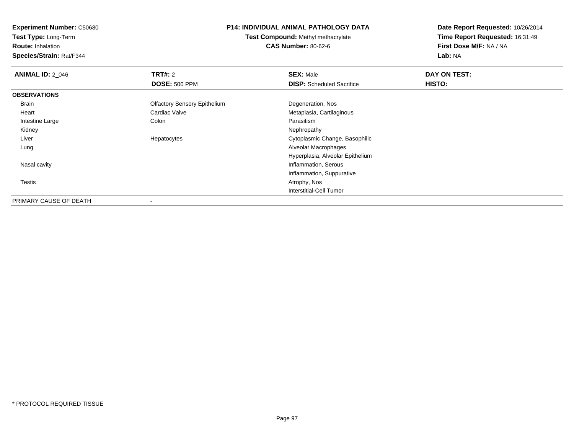**Test Type:** Long-Term

**Route:** Inhalation

**Species/Strain:** Rat/F344

### **P14: INDIVIDUAL ANIMAL PATHOLOGY DATA**

**Test Compound:** Methyl methacrylate**CAS Number:** 80-62-6

| <b>ANIMAL ID: 2_046</b> | <b>TRT#: 2</b>                      | <b>SEX: Male</b>                 | DAY ON TEST: |  |
|-------------------------|-------------------------------------|----------------------------------|--------------|--|
|                         | <b>DOSE: 500 PPM</b>                | <b>DISP:</b> Scheduled Sacrifice | HISTO:       |  |
| <b>OBSERVATIONS</b>     |                                     |                                  |              |  |
| Brain                   | <b>Olfactory Sensory Epithelium</b> | Degeneration, Nos                |              |  |
| Heart                   | Cardiac Valve                       | Metaplasia, Cartilaginous        |              |  |
| Intestine Large         | Colon                               | Parasitism                       |              |  |
| Kidney                  |                                     | Nephropathy                      |              |  |
| Liver                   | Hepatocytes                         | Cytoplasmic Change, Basophilic   |              |  |
| Lung                    |                                     | Alveolar Macrophages             |              |  |
|                         |                                     | Hyperplasia, Alveolar Epithelium |              |  |
| Nasal cavity            |                                     | Inflammation, Serous             |              |  |
|                         |                                     | Inflammation, Suppurative        |              |  |
| Testis                  |                                     | Atrophy, Nos                     |              |  |
|                         |                                     | <b>Interstitial-Cell Tumor</b>   |              |  |
| PRIMARY CAUSE OF DEATH  |                                     |                                  |              |  |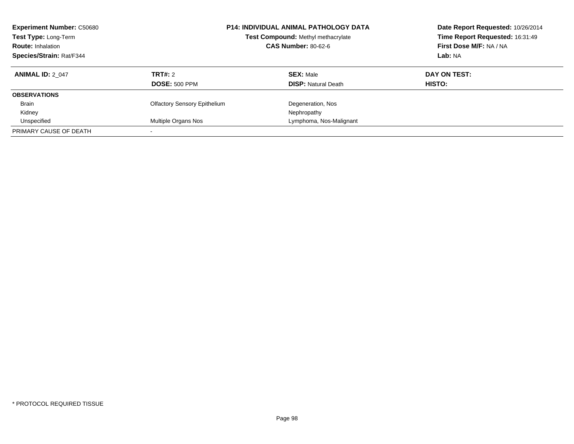| <b>Experiment Number: C50680</b><br>Test Type: Long-Term<br><b>Route: Inhalation</b><br><b>Species/Strain: Rat/F344</b> |                                     | <b>P14: INDIVIDUAL ANIMAL PATHOLOGY DATA</b><br>Date Report Requested: 10/26/2014<br>Time Report Requested: 16:31:49<br>Test Compound: Methyl methacrylate<br>First Dose M/F: NA / NA<br><b>CAS Number: 80-62-6</b><br>Lab: NA |              |
|-------------------------------------------------------------------------------------------------------------------------|-------------------------------------|--------------------------------------------------------------------------------------------------------------------------------------------------------------------------------------------------------------------------------|--------------|
| <b>ANIMAL ID: 2 047</b>                                                                                                 | TRT#: 2                             | <b>SEX: Male</b>                                                                                                                                                                                                               | DAY ON TEST: |
|                                                                                                                         | <b>DOSE: 500 PPM</b>                | <b>DISP:</b> Natural Death                                                                                                                                                                                                     | HISTO:       |
| <b>OBSERVATIONS</b>                                                                                                     |                                     |                                                                                                                                                                                                                                |              |
| <b>Brain</b>                                                                                                            | <b>Olfactory Sensory Epithelium</b> | Degeneration, Nos                                                                                                                                                                                                              |              |
| Kidney                                                                                                                  |                                     | Nephropathy                                                                                                                                                                                                                    |              |
| Unspecified                                                                                                             | Multiple Organs Nos                 | Lymphoma, Nos-Malignant                                                                                                                                                                                                        |              |
| PRIMARY CAUSE OF DEATH                                                                                                  |                                     |                                                                                                                                                                                                                                |              |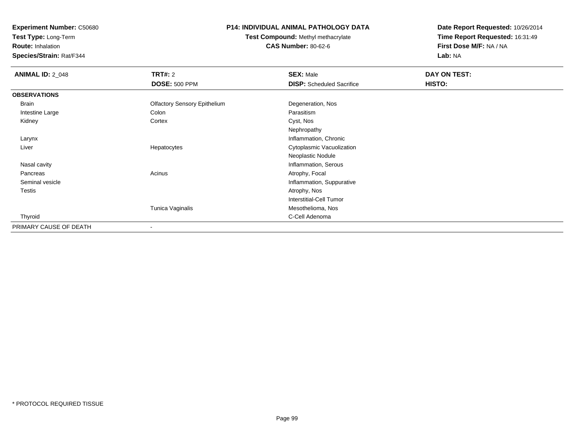**Test Type:** Long-Term

**Route:** Inhalation

**Species/Strain:** Rat/F344

# **P14: INDIVIDUAL ANIMAL PATHOLOGY DATA**

**Test Compound:** Methyl methacrylate**CAS Number:** 80-62-6

| <b>ANIMAL ID: 2_048</b> | <b>TRT#: 2</b>                      | <b>SEX: Male</b>                 | DAY ON TEST: |  |
|-------------------------|-------------------------------------|----------------------------------|--------------|--|
|                         | <b>DOSE: 500 PPM</b>                | <b>DISP:</b> Scheduled Sacrifice | HISTO:       |  |
| <b>OBSERVATIONS</b>     |                                     |                                  |              |  |
| Brain                   | <b>Olfactory Sensory Epithelium</b> | Degeneration, Nos                |              |  |
| Intestine Large         | Colon                               | Parasitism                       |              |  |
| Kidney                  | Cortex                              | Cyst, Nos                        |              |  |
|                         |                                     | Nephropathy                      |              |  |
| Larynx                  |                                     | Inflammation, Chronic            |              |  |
| Liver                   | Hepatocytes                         | Cytoplasmic Vacuolization        |              |  |
|                         |                                     | Neoplastic Nodule                |              |  |
| Nasal cavity            |                                     | Inflammation, Serous             |              |  |
| Pancreas                | Acinus                              | Atrophy, Focal                   |              |  |
| Seminal vesicle         |                                     | Inflammation, Suppurative        |              |  |
| Testis                  |                                     | Atrophy, Nos                     |              |  |
|                         |                                     | <b>Interstitial-Cell Tumor</b>   |              |  |
|                         | Tunica Vaginalis                    | Mesothelioma, Nos                |              |  |
| Thyroid                 |                                     | C-Cell Adenoma                   |              |  |
| PRIMARY CAUSE OF DEATH  | $\blacksquare$                      |                                  |              |  |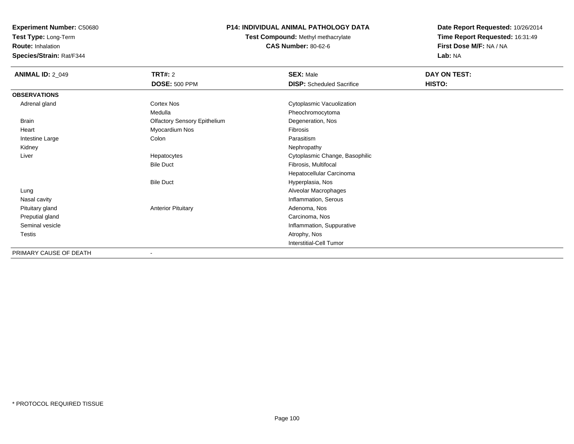**Test Type:** Long-Term

**Route:** Inhalation

**Species/Strain:** Rat/F344

# **P14: INDIVIDUAL ANIMAL PATHOLOGY DATA**

**Test Compound:** Methyl methacrylate**CAS Number:** 80-62-6

| <b>ANIMAL ID: 2_049</b> | <b>TRT#: 2</b>                      | <b>SEX: Male</b>                 | DAY ON TEST: |  |
|-------------------------|-------------------------------------|----------------------------------|--------------|--|
|                         | <b>DOSE: 500 PPM</b>                | <b>DISP:</b> Scheduled Sacrifice | HISTO:       |  |
| <b>OBSERVATIONS</b>     |                                     |                                  |              |  |
| Adrenal gland           | Cortex Nos                          | Cytoplasmic Vacuolization        |              |  |
|                         | Medulla                             | Pheochromocytoma                 |              |  |
| <b>Brain</b>            | <b>Olfactory Sensory Epithelium</b> | Degeneration, Nos                |              |  |
| Heart                   | Myocardium Nos                      | Fibrosis                         |              |  |
| Intestine Large         | Colon                               | Parasitism                       |              |  |
| Kidney                  |                                     | Nephropathy                      |              |  |
| Liver                   | Hepatocytes                         | Cytoplasmic Change, Basophilic   |              |  |
|                         | <b>Bile Duct</b>                    | Fibrosis, Multifocal             |              |  |
|                         |                                     | Hepatocellular Carcinoma         |              |  |
|                         | <b>Bile Duct</b>                    | Hyperplasia, Nos                 |              |  |
| Lung                    |                                     | Alveolar Macrophages             |              |  |
| Nasal cavity            |                                     | Inflammation, Serous             |              |  |
| Pituitary gland         | <b>Anterior Pituitary</b>           | Adenoma, Nos                     |              |  |
| Preputial gland         |                                     | Carcinoma, Nos                   |              |  |
| Seminal vesicle         |                                     | Inflammation, Suppurative        |              |  |
| Testis                  |                                     | Atrophy, Nos                     |              |  |
|                         |                                     | <b>Interstitial-Cell Tumor</b>   |              |  |
| PRIMARY CAUSE OF DEATH  |                                     |                                  |              |  |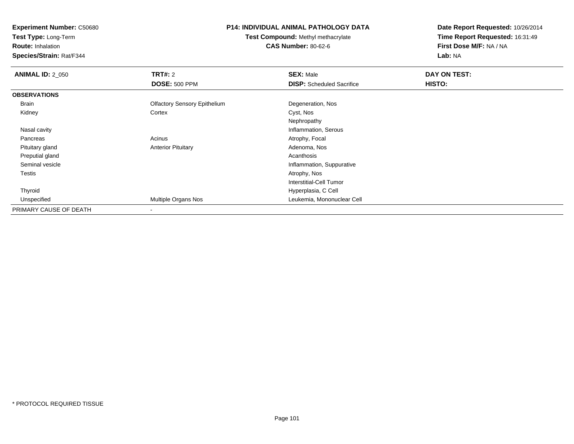**Test Type:** Long-Term

**Route:** Inhalation

**Species/Strain:** Rat/F344

# **P14: INDIVIDUAL ANIMAL PATHOLOGY DATA**

**Test Compound:** Methyl methacrylate**CAS Number:** 80-62-6

| <b>ANIMAL ID: 2 050</b> | TRT#: 2                             | <b>SEX: Male</b>                 | DAY ON TEST: |
|-------------------------|-------------------------------------|----------------------------------|--------------|
|                         | <b>DOSE: 500 PPM</b>                | <b>DISP:</b> Scheduled Sacrifice | HISTO:       |
| <b>OBSERVATIONS</b>     |                                     |                                  |              |
| Brain                   | <b>Olfactory Sensory Epithelium</b> | Degeneration, Nos                |              |
| Kidney                  | Cortex                              | Cyst, Nos                        |              |
|                         |                                     | Nephropathy                      |              |
| Nasal cavity            |                                     | Inflammation, Serous             |              |
| Pancreas                | Acinus                              | Atrophy, Focal                   |              |
| Pituitary gland         | <b>Anterior Pituitary</b>           | Adenoma, Nos                     |              |
| Preputial gland         |                                     | Acanthosis                       |              |
| Seminal vesicle         |                                     | Inflammation, Suppurative        |              |
| Testis                  |                                     | Atrophy, Nos                     |              |
|                         |                                     | Interstitial-Cell Tumor          |              |
| Thyroid                 |                                     | Hyperplasia, C Cell              |              |
| Unspecified             | Multiple Organs Nos                 | Leukemia, Mononuclear Cell       |              |
| PRIMARY CAUSE OF DEATH  | $\overline{\phantom{a}}$            |                                  |              |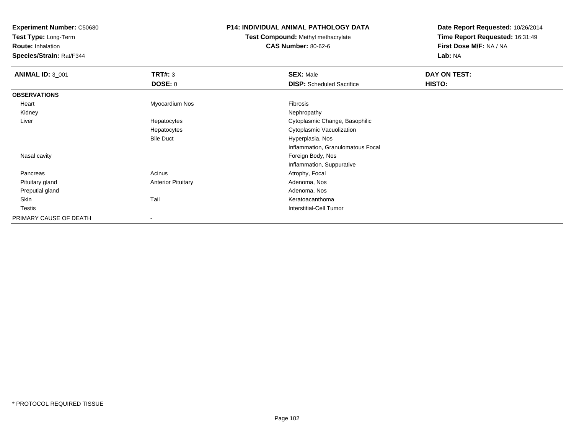**Test Type:** Long-Term

**Route:** Inhalation

**Species/Strain:** Rat/F344

### **P14: INDIVIDUAL ANIMAL PATHOLOGY DATA**

**Test Compound:** Methyl methacrylate**CAS Number:** 80-62-6

| <b>ANIMAL ID: 3_001</b> | TRT#: 3                   | <b>SEX: Male</b>                  | DAY ON TEST: |
|-------------------------|---------------------------|-----------------------------------|--------------|
|                         | <b>DOSE: 0</b>            | <b>DISP:</b> Scheduled Sacrifice  | HISTO:       |
| <b>OBSERVATIONS</b>     |                           |                                   |              |
| Heart                   | Myocardium Nos            | Fibrosis                          |              |
| Kidney                  |                           | Nephropathy                       |              |
| Liver                   | Hepatocytes               | Cytoplasmic Change, Basophilic    |              |
|                         | Hepatocytes               | Cytoplasmic Vacuolization         |              |
|                         | <b>Bile Duct</b>          | Hyperplasia, Nos                  |              |
|                         |                           | Inflammation, Granulomatous Focal |              |
| Nasal cavity            |                           | Foreign Body, Nos                 |              |
|                         |                           | Inflammation, Suppurative         |              |
| Pancreas                | Acinus                    | Atrophy, Focal                    |              |
| Pituitary gland         | <b>Anterior Pituitary</b> | Adenoma, Nos                      |              |
| Preputial gland         |                           | Adenoma, Nos                      |              |
| Skin                    | Tail                      | Keratoacanthoma                   |              |
| Testis                  |                           | Interstitial-Cell Tumor           |              |
| PRIMARY CAUSE OF DEATH  |                           |                                   |              |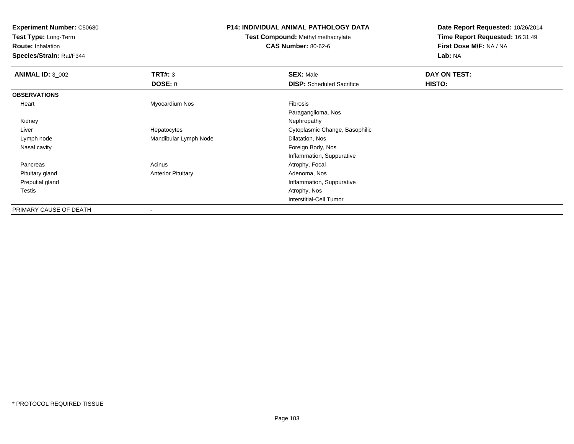**Test Type:** Long-Term

**Route:** Inhalation

**Species/Strain:** Rat/F344

# **P14: INDIVIDUAL ANIMAL PATHOLOGY DATA**

**Test Compound:** Methyl methacrylate**CAS Number:** 80-62-6

| <b>ANIMAL ID: 3_002</b> | TRT#: 3                   | <b>SEX: Male</b>                 | DAY ON TEST: |  |
|-------------------------|---------------------------|----------------------------------|--------------|--|
|                         | DOSE: 0                   | <b>DISP:</b> Scheduled Sacrifice | HISTO:       |  |
| <b>OBSERVATIONS</b>     |                           |                                  |              |  |
| Heart                   | Myocardium Nos            | Fibrosis                         |              |  |
|                         |                           | Paraganglioma, Nos               |              |  |
| Kidney                  |                           | Nephropathy                      |              |  |
| Liver                   | Hepatocytes               | Cytoplasmic Change, Basophilic   |              |  |
| Lymph node              | Mandibular Lymph Node     | Dilatation, Nos                  |              |  |
| Nasal cavity            |                           | Foreign Body, Nos                |              |  |
|                         |                           | Inflammation, Suppurative        |              |  |
| Pancreas                | Acinus                    | Atrophy, Focal                   |              |  |
| Pituitary gland         | <b>Anterior Pituitary</b> | Adenoma, Nos                     |              |  |
| Preputial gland         |                           | Inflammation, Suppurative        |              |  |
| Testis                  |                           | Atrophy, Nos                     |              |  |
|                         |                           | Interstitial-Cell Tumor          |              |  |
| PRIMARY CAUSE OF DEATH  | $\,$                      |                                  |              |  |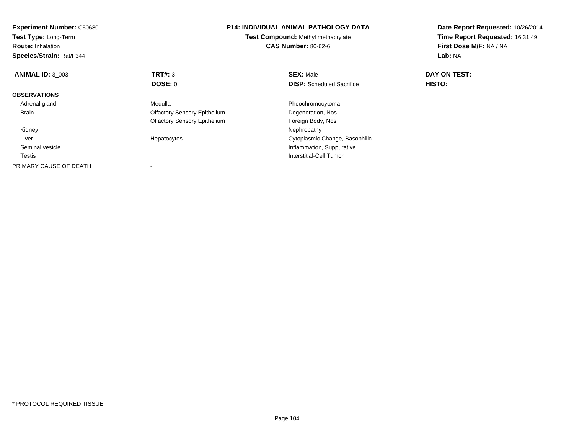| <b>Experiment Number: C50680</b><br>Test Type: Long-Term<br><b>Route: Inhalation</b><br>Species/Strain: Rat/F344 |                                     | <b>P14: INDIVIDUAL ANIMAL PATHOLOGY DATA</b><br>Date Report Requested: 10/26/2014<br>Time Report Requested: 16:31:49<br>Test Compound: Methyl methacrylate<br><b>CAS Number: 80-62-6</b><br>First Dose M/F: NA / NA<br>Lab: NA |              |
|------------------------------------------------------------------------------------------------------------------|-------------------------------------|--------------------------------------------------------------------------------------------------------------------------------------------------------------------------------------------------------------------------------|--------------|
| <b>ANIMAL ID: 3 003</b>                                                                                          | <b>TRT#: 3</b>                      | <b>SEX: Male</b>                                                                                                                                                                                                               | DAY ON TEST: |
|                                                                                                                  | DOSE: 0                             | <b>DISP:</b> Scheduled Sacrifice                                                                                                                                                                                               | HISTO:       |
| <b>OBSERVATIONS</b>                                                                                              |                                     |                                                                                                                                                                                                                                |              |
| Adrenal gland                                                                                                    | Medulla                             | Pheochromocytoma                                                                                                                                                                                                               |              |
| <b>Brain</b>                                                                                                     | <b>Olfactory Sensory Epithelium</b> | Degeneration, Nos                                                                                                                                                                                                              |              |
|                                                                                                                  | <b>Olfactory Sensory Epithelium</b> | Foreign Body, Nos                                                                                                                                                                                                              |              |
| Kidney                                                                                                           |                                     | Nephropathy                                                                                                                                                                                                                    |              |
| Liver                                                                                                            | Hepatocytes                         | Cytoplasmic Change, Basophilic                                                                                                                                                                                                 |              |
| Seminal vesicle                                                                                                  |                                     | Inflammation, Suppurative                                                                                                                                                                                                      |              |
| Testis                                                                                                           |                                     | Interstitial-Cell Tumor                                                                                                                                                                                                        |              |
| PRIMARY CAUSE OF DEATH                                                                                           |                                     |                                                                                                                                                                                                                                |              |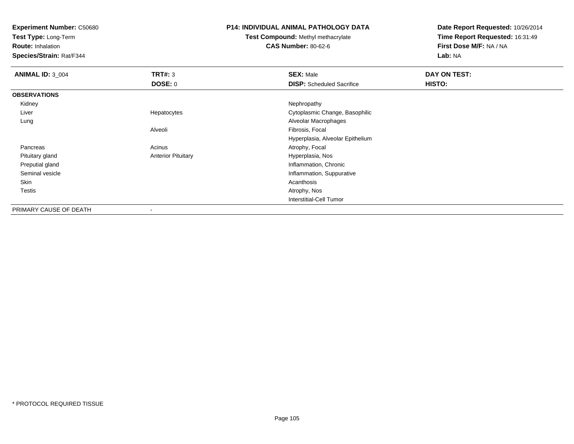**Test Type:** Long-Term

**Route:** Inhalation

**Species/Strain:** Rat/F344

### **P14: INDIVIDUAL ANIMAL PATHOLOGY DATA**

**Test Compound:** Methyl methacrylate**CAS Number:** 80-62-6

| <b>ANIMAL ID: 3 004</b> | TRT#: 3                   | <b>SEX: Male</b>                 | DAY ON TEST: |
|-------------------------|---------------------------|----------------------------------|--------------|
|                         | <b>DOSE: 0</b>            | <b>DISP:</b> Scheduled Sacrifice | HISTO:       |
| <b>OBSERVATIONS</b>     |                           |                                  |              |
| Kidney                  |                           | Nephropathy                      |              |
| Liver                   | Hepatocytes               | Cytoplasmic Change, Basophilic   |              |
| Lung                    |                           | Alveolar Macrophages             |              |
|                         | Alveoli                   | Fibrosis, Focal                  |              |
|                         |                           | Hyperplasia, Alveolar Epithelium |              |
| Pancreas                | Acinus                    | Atrophy, Focal                   |              |
| Pituitary gland         | <b>Anterior Pituitary</b> | Hyperplasia, Nos                 |              |
| Preputial gland         |                           | Inflammation, Chronic            |              |
| Seminal vesicle         |                           | Inflammation, Suppurative        |              |
| Skin                    |                           | Acanthosis                       |              |
| Testis                  |                           | Atrophy, Nos                     |              |
|                         |                           | Interstitial-Cell Tumor          |              |
| PRIMARY CAUSE OF DEATH  | $\overline{\phantom{a}}$  |                                  |              |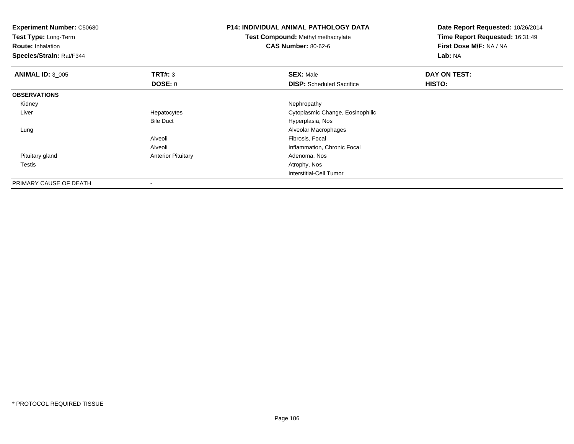| <b>Experiment Number: C50680</b><br>Test Type: Long-Term<br><b>Route: Inhalation</b><br>Species/Strain: Rat/F344 |                           | <b>P14: INDIVIDUAL ANIMAL PATHOLOGY DATA</b><br><b>Test Compound: Methyl methacrylate</b><br><b>CAS Number: 80-62-6</b> | Date Report Requested: 10/26/2014<br>Time Report Requested: 16:31:49<br>First Dose M/F: NA / NA<br>Lab: NA |  |
|------------------------------------------------------------------------------------------------------------------|---------------------------|-------------------------------------------------------------------------------------------------------------------------|------------------------------------------------------------------------------------------------------------|--|
| <b>ANIMAL ID: 3_005</b>                                                                                          | <b>TRT#: 3</b>            | <b>SEX: Male</b>                                                                                                        | DAY ON TEST:                                                                                               |  |
|                                                                                                                  | DOSE: 0                   | <b>DISP:</b> Scheduled Sacrifice                                                                                        | HISTO:                                                                                                     |  |
| <b>OBSERVATIONS</b>                                                                                              |                           |                                                                                                                         |                                                                                                            |  |
| Kidney                                                                                                           |                           | Nephropathy                                                                                                             |                                                                                                            |  |
| Liver                                                                                                            | Hepatocytes               | Cytoplasmic Change, Eosinophilic                                                                                        |                                                                                                            |  |
|                                                                                                                  | <b>Bile Duct</b>          | Hyperplasia, Nos                                                                                                        |                                                                                                            |  |
| Lung                                                                                                             |                           | Alveolar Macrophages                                                                                                    |                                                                                                            |  |
|                                                                                                                  | Alveoli                   | Fibrosis, Focal                                                                                                         |                                                                                                            |  |
|                                                                                                                  | Alveoli                   | Inflammation, Chronic Focal                                                                                             |                                                                                                            |  |
| Pituitary gland                                                                                                  | <b>Anterior Pituitary</b> | Adenoma, Nos                                                                                                            |                                                                                                            |  |
| Testis                                                                                                           |                           | Atrophy, Nos                                                                                                            |                                                                                                            |  |
|                                                                                                                  |                           | <b>Interstitial-Cell Tumor</b>                                                                                          |                                                                                                            |  |
| PRIMARY CAUSE OF DEATH                                                                                           |                           |                                                                                                                         |                                                                                                            |  |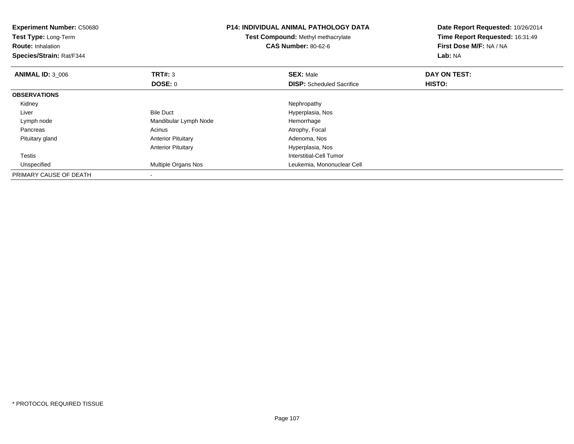| <b>Experiment Number: C50680</b><br>Test Type: Long-Term<br><b>Route: Inhalation</b><br>Species/Strain: Rat/F344 | <b>P14: INDIVIDUAL ANIMAL PATHOLOGY DATA</b><br>Test Compound: Methyl methacrylate<br><b>CAS Number: 80-62-6</b> |                                  | Date Report Requested: 10/26/2014<br>Time Report Requested: 16:31:49<br><b>First Dose M/F: NA / NA</b><br>Lab: NA |
|------------------------------------------------------------------------------------------------------------------|------------------------------------------------------------------------------------------------------------------|----------------------------------|-------------------------------------------------------------------------------------------------------------------|
| <b>ANIMAL ID: 3_006</b>                                                                                          | <b>TRT#: 3</b>                                                                                                   | <b>SEX: Male</b>                 | DAY ON TEST:                                                                                                      |
|                                                                                                                  | DOSE: 0                                                                                                          | <b>DISP:</b> Scheduled Sacrifice | HISTO:                                                                                                            |
| <b>OBSERVATIONS</b>                                                                                              |                                                                                                                  |                                  |                                                                                                                   |
| Kidney                                                                                                           |                                                                                                                  | Nephropathy                      |                                                                                                                   |
| Liver                                                                                                            | <b>Bile Duct</b>                                                                                                 | Hyperplasia, Nos                 |                                                                                                                   |
| Lymph node                                                                                                       | Mandibular Lymph Node                                                                                            | Hemorrhage                       |                                                                                                                   |
| Pancreas                                                                                                         | Acinus                                                                                                           | Atrophy, Focal                   |                                                                                                                   |
| Pituitary gland                                                                                                  | <b>Anterior Pituitary</b>                                                                                        | Adenoma, Nos                     |                                                                                                                   |
|                                                                                                                  | <b>Anterior Pituitary</b>                                                                                        | Hyperplasia, Nos                 |                                                                                                                   |
| Testis                                                                                                           |                                                                                                                  | Interstitial-Cell Tumor          |                                                                                                                   |
| Unspecified                                                                                                      | Multiple Organs Nos                                                                                              | Leukemia, Mononuclear Cell       |                                                                                                                   |
| PRIMARY CAUSE OF DEATH                                                                                           |                                                                                                                  |                                  |                                                                                                                   |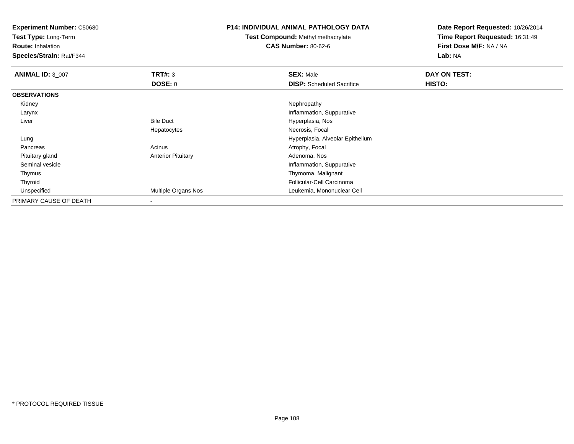**Test Type:** Long-Term

**Route:** Inhalation

**Species/Strain:** Rat/F344

#### **P14: INDIVIDUAL ANIMAL PATHOLOGY DATA**

**Test Compound:** Methyl methacrylate**CAS Number:** 80-62-6

| <b>ANIMAL ID: 3_007</b> | TRT#: 3                   | <b>SEX: Male</b>                 | DAY ON TEST:  |  |
|-------------------------|---------------------------|----------------------------------|---------------|--|
|                         | DOSE: 0                   | <b>DISP:</b> Scheduled Sacrifice | <b>HISTO:</b> |  |
| <b>OBSERVATIONS</b>     |                           |                                  |               |  |
| Kidney                  |                           | Nephropathy                      |               |  |
| Larynx                  |                           | Inflammation, Suppurative        |               |  |
| Liver                   | <b>Bile Duct</b>          | Hyperplasia, Nos                 |               |  |
|                         | Hepatocytes               | Necrosis, Focal                  |               |  |
| Lung                    |                           | Hyperplasia, Alveolar Epithelium |               |  |
| Pancreas                | Acinus                    | Atrophy, Focal                   |               |  |
| Pituitary gland         | <b>Anterior Pituitary</b> | Adenoma, Nos                     |               |  |
| Seminal vesicle         |                           | Inflammation, Suppurative        |               |  |
| Thymus                  |                           | Thymoma, Malignant               |               |  |
| Thyroid                 |                           | Follicular-Cell Carcinoma        |               |  |
| Unspecified             | Multiple Organs Nos       | Leukemia, Mononuclear Cell       |               |  |
| PRIMARY CAUSE OF DEATH  |                           |                                  |               |  |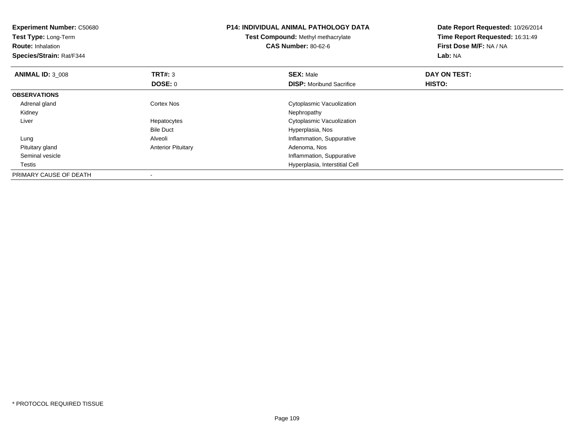| <b>Experiment Number: C50680</b><br>Test Type: Long-Term<br><b>Route: Inhalation</b> |                           | <b>P14: INDIVIDUAL ANIMAL PATHOLOGY DATA</b><br><b>Test Compound: Methyl methacrylate</b><br><b>CAS Number: 80-62-6</b> | Date Report Requested: 10/26/2014<br>Time Report Requested: 16:31:49<br>First Dose M/F: NA / NA<br>Lab: NA |  |
|--------------------------------------------------------------------------------------|---------------------------|-------------------------------------------------------------------------------------------------------------------------|------------------------------------------------------------------------------------------------------------|--|
| Species/Strain: Rat/F344                                                             |                           |                                                                                                                         |                                                                                                            |  |
| <b>ANIMAL ID: 3_008</b>                                                              | TRT#: 3                   | <b>SEX: Male</b>                                                                                                        | DAY ON TEST:                                                                                               |  |
|                                                                                      | DOSE: 0                   | <b>DISP:</b> Moribund Sacrifice                                                                                         | HISTO:                                                                                                     |  |
| <b>OBSERVATIONS</b>                                                                  |                           |                                                                                                                         |                                                                                                            |  |
| Adrenal gland                                                                        | <b>Cortex Nos</b>         | Cytoplasmic Vacuolization                                                                                               |                                                                                                            |  |
| Kidney                                                                               |                           | Nephropathy                                                                                                             |                                                                                                            |  |
| Liver                                                                                | Hepatocytes               | Cytoplasmic Vacuolization                                                                                               |                                                                                                            |  |
|                                                                                      | <b>Bile Duct</b>          | Hyperplasia, Nos                                                                                                        |                                                                                                            |  |
| Lung                                                                                 | Alveoli                   | Inflammation, Suppurative                                                                                               |                                                                                                            |  |
| Pituitary gland                                                                      | <b>Anterior Pituitary</b> | Adenoma, Nos                                                                                                            |                                                                                                            |  |
| Seminal vesicle                                                                      |                           | Inflammation, Suppurative                                                                                               |                                                                                                            |  |
| Testis                                                                               |                           | Hyperplasia, Interstitial Cell                                                                                          |                                                                                                            |  |
| PRIMARY CAUSE OF DEATH                                                               |                           |                                                                                                                         |                                                                                                            |  |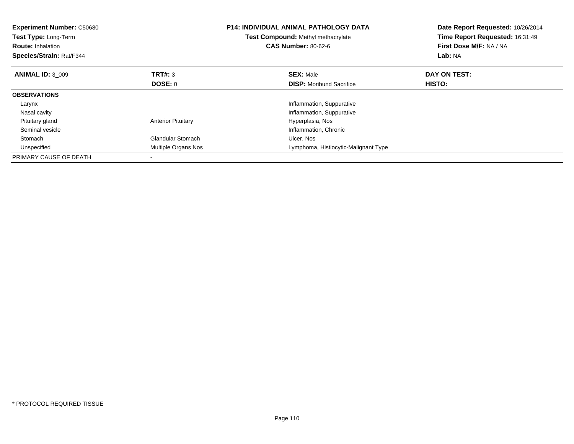| <b>Experiment Number: C50680</b><br>Test Type: Long-Term<br><b>Route: Inhalation</b><br>Species/Strain: Rat/F344 |                           | <b>P14: INDIVIDUAL ANIMAL PATHOLOGY DATA</b><br><b>Test Compound: Methyl methacrylate</b><br><b>CAS Number: 80-62-6</b> | Date Report Requested: 10/26/2014<br>Time Report Requested: 16:31:49<br>First Dose M/F: NA / NA<br>Lab: NA |
|------------------------------------------------------------------------------------------------------------------|---------------------------|-------------------------------------------------------------------------------------------------------------------------|------------------------------------------------------------------------------------------------------------|
| <b>ANIMAL ID: 3 009</b>                                                                                          | TRT#: 3                   | <b>SEX: Male</b>                                                                                                        | DAY ON TEST:                                                                                               |
|                                                                                                                  | DOSE: 0                   | <b>DISP:</b> Moribund Sacrifice                                                                                         | HISTO:                                                                                                     |
| <b>OBSERVATIONS</b>                                                                                              |                           |                                                                                                                         |                                                                                                            |
| Larynx                                                                                                           |                           | Inflammation, Suppurative                                                                                               |                                                                                                            |
| Nasal cavity                                                                                                     |                           | Inflammation, Suppurative                                                                                               |                                                                                                            |
| Pituitary gland                                                                                                  | <b>Anterior Pituitary</b> | Hyperplasia, Nos                                                                                                        |                                                                                                            |
| Seminal vesicle                                                                                                  |                           | Inflammation, Chronic                                                                                                   |                                                                                                            |
| Stomach                                                                                                          | <b>Glandular Stomach</b>  | Ulcer, Nos                                                                                                              |                                                                                                            |
| Unspecified                                                                                                      | Multiple Organs Nos       | Lymphoma, Histiocytic-Malignant Type                                                                                    |                                                                                                            |
| PRIMARY CAUSE OF DEATH                                                                                           |                           |                                                                                                                         |                                                                                                            |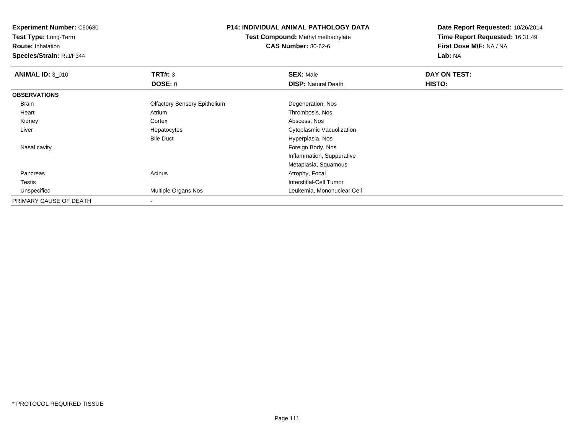**Test Type:** Long-Term

**Route:** Inhalation

**Species/Strain:** Rat/F344

### **P14: INDIVIDUAL ANIMAL PATHOLOGY DATA**

**Test Compound:** Methyl methacrylate**CAS Number:** 80-62-6

| <b>ANIMAL ID: 3_010</b> | TRT#: 3                             | <b>SEX: Male</b>           | DAY ON TEST:  |  |
|-------------------------|-------------------------------------|----------------------------|---------------|--|
|                         | <b>DOSE: 0</b>                      | <b>DISP: Natural Death</b> | <b>HISTO:</b> |  |
| <b>OBSERVATIONS</b>     |                                     |                            |               |  |
| <b>Brain</b>            | <b>Olfactory Sensory Epithelium</b> | Degeneration, Nos          |               |  |
| Heart                   | Atrium                              | Thrombosis, Nos            |               |  |
| Kidney                  | Cortex                              | Abscess, Nos               |               |  |
| Liver                   | Hepatocytes                         | Cytoplasmic Vacuolization  |               |  |
|                         | <b>Bile Duct</b>                    | Hyperplasia, Nos           |               |  |
| Nasal cavity            |                                     | Foreign Body, Nos          |               |  |
|                         |                                     | Inflammation, Suppurative  |               |  |
|                         |                                     | Metaplasia, Squamous       |               |  |
| Pancreas                | Acinus                              | Atrophy, Focal             |               |  |
| Testis                  |                                     | Interstitial-Cell Tumor    |               |  |
| Unspecified             | Multiple Organs Nos                 | Leukemia, Mononuclear Cell |               |  |
| PRIMARY CAUSE OF DEATH  |                                     |                            |               |  |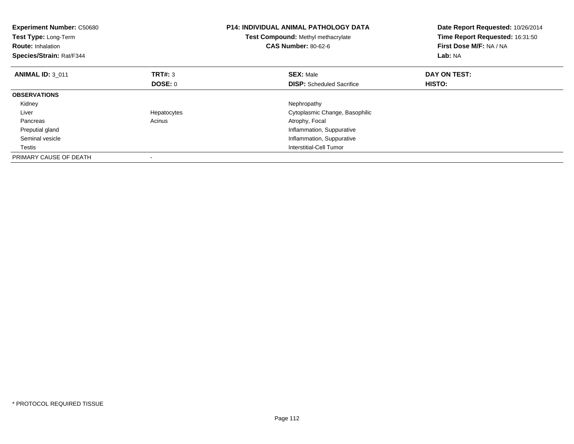| <b>Experiment Number: C50680</b><br>Test Type: Long-Term<br><b>Route: Inhalation</b><br>Species/Strain: Rat/F344 |             | <b>P14: INDIVIDUAL ANIMAL PATHOLOGY DATA</b><br><b>Test Compound: Methyl methacrylate</b><br><b>CAS Number: 80-62-6</b> | Date Report Requested: 10/26/2014<br>Time Report Requested: 16:31:50<br><b>First Dose M/F: NA / NA</b><br>Lab: NA |
|------------------------------------------------------------------------------------------------------------------|-------------|-------------------------------------------------------------------------------------------------------------------------|-------------------------------------------------------------------------------------------------------------------|
| <b>ANIMAL ID: 3 011</b>                                                                                          | TRT#: 3     | <b>SEX: Male</b>                                                                                                        | DAY ON TEST:                                                                                                      |
|                                                                                                                  | DOSE: 0     | <b>DISP:</b> Scheduled Sacrifice                                                                                        | <b>HISTO:</b>                                                                                                     |
| <b>OBSERVATIONS</b>                                                                                              |             |                                                                                                                         |                                                                                                                   |
| Kidney                                                                                                           |             | Nephropathy                                                                                                             |                                                                                                                   |
| Liver                                                                                                            | Hepatocytes | Cytoplasmic Change, Basophilic                                                                                          |                                                                                                                   |
| Pancreas                                                                                                         | Acinus      | Atrophy, Focal                                                                                                          |                                                                                                                   |
| Preputial gland                                                                                                  |             | Inflammation, Suppurative                                                                                               |                                                                                                                   |
| Seminal vesicle                                                                                                  |             | Inflammation, Suppurative                                                                                               |                                                                                                                   |
| Testis                                                                                                           |             | Interstitial-Cell Tumor                                                                                                 |                                                                                                                   |
| PRIMARY CAUSE OF DEATH                                                                                           |             |                                                                                                                         |                                                                                                                   |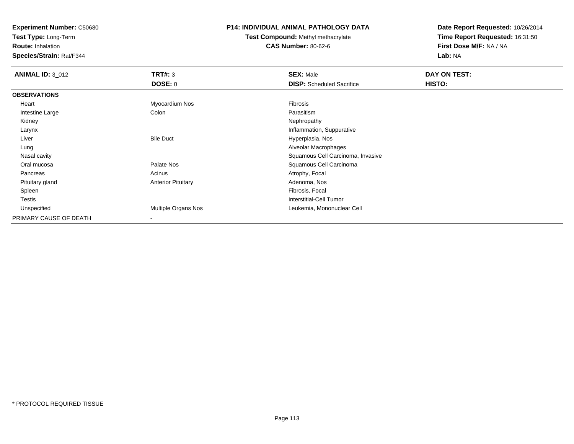**Test Type:** Long-Term

**Route:** Inhalation

**Species/Strain:** Rat/F344

### **P14: INDIVIDUAL ANIMAL PATHOLOGY DATA**

**Test Compound:** Methyl methacrylate**CAS Number:** 80-62-6

| <b>ANIMAL ID: 3_012</b> | TRT#: 3                   | <b>SEX: Male</b>                  | DAY ON TEST: |
|-------------------------|---------------------------|-----------------------------------|--------------|
|                         | DOSE: 0                   | <b>DISP:</b> Scheduled Sacrifice  | HISTO:       |
| <b>OBSERVATIONS</b>     |                           |                                   |              |
| Heart                   | Myocardium Nos            | Fibrosis                          |              |
| Intestine Large         | Colon                     | Parasitism                        |              |
| Kidney                  |                           | Nephropathy                       |              |
| Larynx                  |                           | Inflammation, Suppurative         |              |
| Liver                   | <b>Bile Duct</b>          | Hyperplasia, Nos                  |              |
| Lung                    |                           | Alveolar Macrophages              |              |
| Nasal cavity            |                           | Squamous Cell Carcinoma, Invasive |              |
| Oral mucosa             | Palate Nos                | Squamous Cell Carcinoma           |              |
| Pancreas                | Acinus                    | Atrophy, Focal                    |              |
| Pituitary gland         | <b>Anterior Pituitary</b> | Adenoma, Nos                      |              |
| Spleen                  |                           | Fibrosis, Focal                   |              |
| Testis                  |                           | <b>Interstitial-Cell Tumor</b>    |              |
| Unspecified             | Multiple Organs Nos       | Leukemia, Mononuclear Cell        |              |
| PRIMARY CAUSE OF DEATH  | $\,$                      |                                   |              |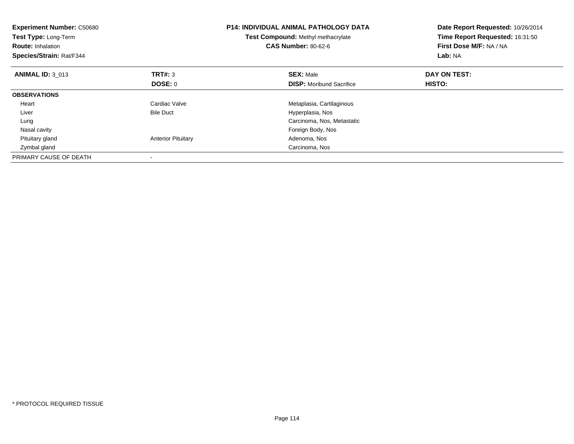| <b>Experiment Number: C50680</b><br>Test Type: Long-Term<br><b>Route: Inhalation</b><br>Species/Strain: Rat/F344 |                           | <b>P14: INDIVIDUAL ANIMAL PATHOLOGY DATA</b><br>Test Compound: Methyl methacrylate<br><b>CAS Number: 80-62-6</b> | Date Report Requested: 10/26/2014<br>Time Report Requested: 16:31:50<br>First Dose M/F: NA / NA<br>Lab: NA |
|------------------------------------------------------------------------------------------------------------------|---------------------------|------------------------------------------------------------------------------------------------------------------|------------------------------------------------------------------------------------------------------------|
| <b>ANIMAL ID: 3 013</b>                                                                                          | <b>TRT#: 3</b>            | <b>SEX: Male</b>                                                                                                 | DAY ON TEST:                                                                                               |
|                                                                                                                  | DOSE: 0                   | <b>DISP:</b> Moribund Sacrifice                                                                                  | HISTO:                                                                                                     |
| <b>OBSERVATIONS</b>                                                                                              |                           |                                                                                                                  |                                                                                                            |
| Heart                                                                                                            | Cardiac Valve             | Metaplasia, Cartilaginous                                                                                        |                                                                                                            |
| Liver                                                                                                            | <b>Bile Duct</b>          | Hyperplasia, Nos                                                                                                 |                                                                                                            |
| Lung                                                                                                             |                           | Carcinoma, Nos, Metastatic                                                                                       |                                                                                                            |
| Nasal cavity                                                                                                     |                           | Foreign Body, Nos                                                                                                |                                                                                                            |
| Pituitary gland                                                                                                  | <b>Anterior Pituitary</b> | Adenoma, Nos                                                                                                     |                                                                                                            |
| Zymbal gland                                                                                                     |                           | Carcinoma, Nos                                                                                                   |                                                                                                            |
| PRIMARY CAUSE OF DEATH                                                                                           |                           |                                                                                                                  |                                                                                                            |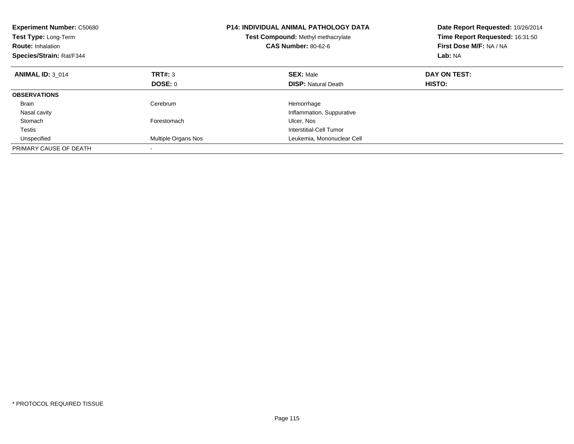| <b>Experiment Number: C50680</b><br>Test Type: Long-Term<br><b>Route: Inhalation</b><br>Species/Strain: Rat/F344 |                     | <b>P14: INDIVIDUAL ANIMAL PATHOLOGY DATA</b><br>Test Compound: Methyl methacrylate<br><b>CAS Number: 80-62-6</b> | Date Report Requested: 10/26/2014<br>Time Report Requested: 16:31:50<br>First Dose M/F: NA / NA<br>Lab: NA |
|------------------------------------------------------------------------------------------------------------------|---------------------|------------------------------------------------------------------------------------------------------------------|------------------------------------------------------------------------------------------------------------|
| <b>ANIMAL ID: 3 014</b>                                                                                          | TRT#: 3             | <b>SEX: Male</b>                                                                                                 | DAY ON TEST:                                                                                               |
|                                                                                                                  | DOSE: 0             | <b>DISP:</b> Natural Death                                                                                       | HISTO:                                                                                                     |
| <b>OBSERVATIONS</b>                                                                                              |                     |                                                                                                                  |                                                                                                            |
| <b>Brain</b>                                                                                                     | Cerebrum            | Hemorrhage                                                                                                       |                                                                                                            |
| Nasal cavity                                                                                                     |                     | Inflammation, Suppurative                                                                                        |                                                                                                            |
| Stomach                                                                                                          | Forestomach         | Ulcer, Nos                                                                                                       |                                                                                                            |
| <b>Testis</b>                                                                                                    |                     | Interstitial-Cell Tumor                                                                                          |                                                                                                            |
| Unspecified                                                                                                      | Multiple Organs Nos | Leukemia, Mononuclear Cell                                                                                       |                                                                                                            |
| PRIMARY CAUSE OF DEATH                                                                                           |                     |                                                                                                                  |                                                                                                            |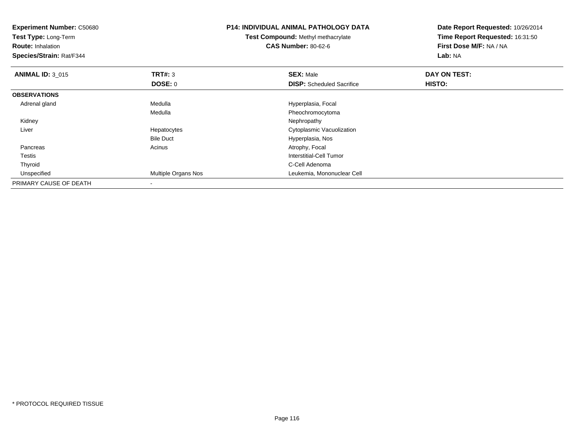| <b>Experiment Number: C50680</b><br>Test Type: Long-Term<br><b>Route: Inhalation</b><br>Species/Strain: Rat/F344 |                            | <b>P14: INDIVIDUAL ANIMAL PATHOLOGY DATA</b><br><b>Test Compound: Methyl methacrylate</b><br><b>CAS Number: 80-62-6</b> | Date Report Requested: 10/26/2014<br>Time Report Requested: 16:31:50<br>First Dose M/F: NA / NA<br>Lab: NA |
|------------------------------------------------------------------------------------------------------------------|----------------------------|-------------------------------------------------------------------------------------------------------------------------|------------------------------------------------------------------------------------------------------------|
| <b>ANIMAL ID: 3_015</b>                                                                                          | TRT#: 3                    | <b>SEX: Male</b>                                                                                                        | DAY ON TEST:                                                                                               |
|                                                                                                                  | DOSE: 0                    | <b>DISP:</b> Scheduled Sacrifice                                                                                        | <b>HISTO:</b>                                                                                              |
| <b>OBSERVATIONS</b>                                                                                              |                            |                                                                                                                         |                                                                                                            |
| Adrenal gland                                                                                                    | Medulla                    | Hyperplasia, Focal                                                                                                      |                                                                                                            |
|                                                                                                                  | Medulla                    | Pheochromocytoma                                                                                                        |                                                                                                            |
| Kidney                                                                                                           |                            | Nephropathy                                                                                                             |                                                                                                            |
| Liver                                                                                                            | Hepatocytes                | Cytoplasmic Vacuolization                                                                                               |                                                                                                            |
|                                                                                                                  | <b>Bile Duct</b>           | Hyperplasia, Nos                                                                                                        |                                                                                                            |
| Pancreas                                                                                                         | Acinus                     | Atrophy, Focal                                                                                                          |                                                                                                            |
| Testis                                                                                                           |                            | Interstitial-Cell Tumor                                                                                                 |                                                                                                            |
| Thyroid                                                                                                          |                            | C-Cell Adenoma                                                                                                          |                                                                                                            |
| Unspecified                                                                                                      | <b>Multiple Organs Nos</b> | Leukemia, Mononuclear Cell                                                                                              |                                                                                                            |
| PRIMARY CAUSE OF DEATH                                                                                           |                            |                                                                                                                         |                                                                                                            |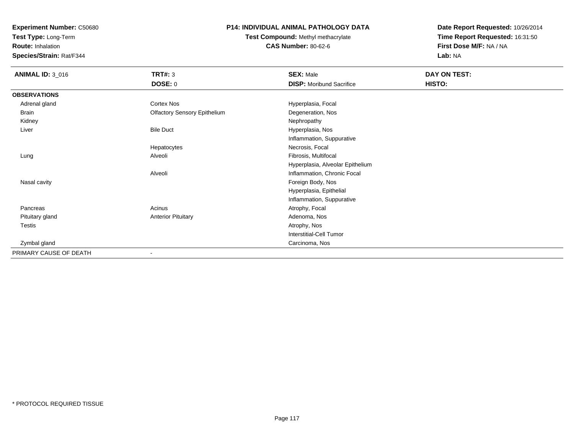**Test Type:** Long-Term

**Route:** Inhalation

**Species/Strain:** Rat/F344

# **P14: INDIVIDUAL ANIMAL PATHOLOGY DATA**

**Test Compound:** Methyl methacrylate**CAS Number:** 80-62-6

| <b>ANIMAL ID: 3_016</b> | TRT#: 3                             | <b>SEX: Male</b>                 | DAY ON TEST: |
|-------------------------|-------------------------------------|----------------------------------|--------------|
|                         | <b>DOSE: 0</b>                      | <b>DISP:</b> Moribund Sacrifice  | HISTO:       |
| <b>OBSERVATIONS</b>     |                                     |                                  |              |
| Adrenal gland           | Cortex Nos                          | Hyperplasia, Focal               |              |
| Brain                   | <b>Olfactory Sensory Epithelium</b> | Degeneration, Nos                |              |
| Kidney                  |                                     | Nephropathy                      |              |
| Liver                   | <b>Bile Duct</b>                    | Hyperplasia, Nos                 |              |
|                         |                                     | Inflammation, Suppurative        |              |
|                         | Hepatocytes                         | Necrosis, Focal                  |              |
| Lung                    | Alveoli                             | Fibrosis, Multifocal             |              |
|                         |                                     | Hyperplasia, Alveolar Epithelium |              |
|                         | Alveoli                             | Inflammation, Chronic Focal      |              |
| Nasal cavity            |                                     | Foreign Body, Nos                |              |
|                         |                                     | Hyperplasia, Epithelial          |              |
|                         |                                     | Inflammation, Suppurative        |              |
| Pancreas                | Acinus                              | Atrophy, Focal                   |              |
| Pituitary gland         | <b>Anterior Pituitary</b>           | Adenoma, Nos                     |              |
| Testis                  |                                     | Atrophy, Nos                     |              |
|                         |                                     | Interstitial-Cell Tumor          |              |
| Zymbal gland            |                                     | Carcinoma, Nos                   |              |
| PRIMARY CAUSE OF DEATH  | $\overline{\phantom{a}}$            |                                  |              |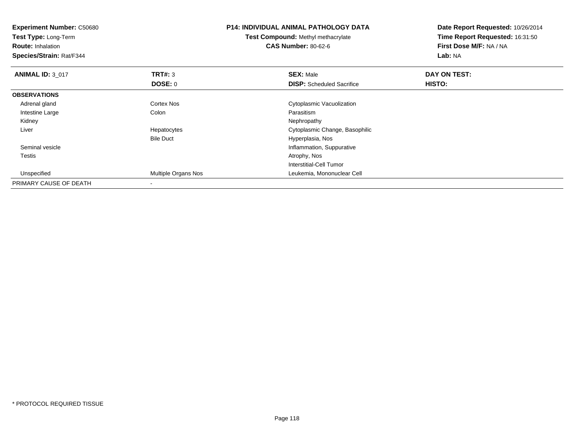| <b>Experiment Number: C50680</b><br>Test Type: Long-Term<br><b>Route: Inhalation</b><br>Species/Strain: Rat/F344 |                     | <b>P14: INDIVIDUAL ANIMAL PATHOLOGY DATA</b><br>Test Compound: Methyl methacrylate<br><b>CAS Number: 80-62-6</b> | Date Report Requested: 10/26/2014<br>Time Report Requested: 16:31:50<br>First Dose M/F: NA / NA<br>Lab: NA |  |
|------------------------------------------------------------------------------------------------------------------|---------------------|------------------------------------------------------------------------------------------------------------------|------------------------------------------------------------------------------------------------------------|--|
| <b>ANIMAL ID: 3 017</b>                                                                                          | <b>TRT#: 3</b>      | <b>SEX: Male</b>                                                                                                 | DAY ON TEST:                                                                                               |  |
|                                                                                                                  | DOSE: 0             | <b>DISP:</b> Scheduled Sacrifice                                                                                 | <b>HISTO:</b>                                                                                              |  |
| <b>OBSERVATIONS</b>                                                                                              |                     |                                                                                                                  |                                                                                                            |  |
| Adrenal gland                                                                                                    | <b>Cortex Nos</b>   | Cytoplasmic Vacuolization                                                                                        |                                                                                                            |  |
| Intestine Large                                                                                                  | Colon               | Parasitism                                                                                                       |                                                                                                            |  |
| Kidney                                                                                                           |                     | Nephropathy                                                                                                      |                                                                                                            |  |
| Liver                                                                                                            | Hepatocytes         | Cytoplasmic Change, Basophilic                                                                                   |                                                                                                            |  |
|                                                                                                                  | <b>Bile Duct</b>    | Hyperplasia, Nos                                                                                                 |                                                                                                            |  |
| Seminal vesicle                                                                                                  |                     | Inflammation, Suppurative                                                                                        |                                                                                                            |  |
| Testis                                                                                                           |                     | Atrophy, Nos                                                                                                     |                                                                                                            |  |
|                                                                                                                  |                     | Interstitial-Cell Tumor                                                                                          |                                                                                                            |  |
| Unspecified                                                                                                      | Multiple Organs Nos | Leukemia, Mononuclear Cell                                                                                       |                                                                                                            |  |
| PRIMARY CAUSE OF DEATH                                                                                           |                     |                                                                                                                  |                                                                                                            |  |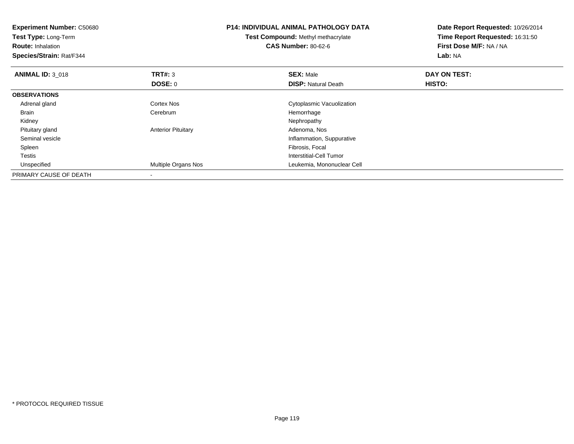| <b>Experiment Number: C50680</b><br>Test Type: Long-Term<br><b>Route: Inhalation</b><br>Species/Strain: Rat/F344 |                           | <b>P14: INDIVIDUAL ANIMAL PATHOLOGY DATA</b><br><b>Test Compound: Methyl methacrylate</b><br><b>CAS Number: 80-62-6</b> | Date Report Requested: 10/26/2014<br>Time Report Requested: 16:31:50<br>First Dose M/F: NA / NA<br>Lab: NA |
|------------------------------------------------------------------------------------------------------------------|---------------------------|-------------------------------------------------------------------------------------------------------------------------|------------------------------------------------------------------------------------------------------------|
| <b>ANIMAL ID: 3 018</b>                                                                                          | TRT#: 3                   | <b>SEX: Male</b>                                                                                                        | DAY ON TEST:                                                                                               |
|                                                                                                                  | DOSE: 0                   | <b>DISP:</b> Natural Death                                                                                              | HISTO:                                                                                                     |
| <b>OBSERVATIONS</b>                                                                                              |                           |                                                                                                                         |                                                                                                            |
| Adrenal gland                                                                                                    | <b>Cortex Nos</b>         | Cytoplasmic Vacuolization                                                                                               |                                                                                                            |
| Brain                                                                                                            | Cerebrum                  | Hemorrhage                                                                                                              |                                                                                                            |
| Kidney                                                                                                           |                           | Nephropathy                                                                                                             |                                                                                                            |
| Pituitary gland                                                                                                  | <b>Anterior Pituitary</b> | Adenoma, Nos                                                                                                            |                                                                                                            |
| Seminal vesicle                                                                                                  |                           | Inflammation, Suppurative                                                                                               |                                                                                                            |
| Spleen                                                                                                           |                           | Fibrosis, Focal                                                                                                         |                                                                                                            |
| Testis                                                                                                           |                           | Interstitial-Cell Tumor                                                                                                 |                                                                                                            |
| Unspecified                                                                                                      | Multiple Organs Nos       | Leukemia, Mononuclear Cell                                                                                              |                                                                                                            |
| PRIMARY CAUSE OF DEATH                                                                                           |                           |                                                                                                                         |                                                                                                            |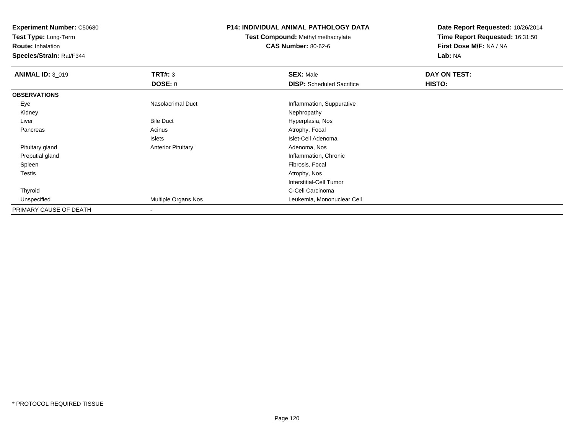**Test Type:** Long-Term

**Route:** Inhalation

**Species/Strain:** Rat/F344

#### **P14: INDIVIDUAL ANIMAL PATHOLOGY DATA**

**Test Compound:** Methyl methacrylate**CAS Number:** 80-62-6

| <b>ANIMAL ID: 3 019</b> | TRT#: 3                   | <b>SEX: Male</b>                 | DAY ON TEST: |  |
|-------------------------|---------------------------|----------------------------------|--------------|--|
|                         | <b>DOSE: 0</b>            | <b>DISP:</b> Scheduled Sacrifice | HISTO:       |  |
| <b>OBSERVATIONS</b>     |                           |                                  |              |  |
| Eye                     | Nasolacrimal Duct         | Inflammation, Suppurative        |              |  |
| Kidney                  |                           | Nephropathy                      |              |  |
| Liver                   | <b>Bile Duct</b>          | Hyperplasia, Nos                 |              |  |
| Pancreas                | Acinus                    | Atrophy, Focal                   |              |  |
|                         | Islets                    | Islet-Cell Adenoma               |              |  |
| Pituitary gland         | <b>Anterior Pituitary</b> | Adenoma, Nos                     |              |  |
| Preputial gland         |                           | Inflammation, Chronic            |              |  |
| Spleen                  |                           | Fibrosis, Focal                  |              |  |
| <b>Testis</b>           |                           | Atrophy, Nos                     |              |  |
|                         |                           | Interstitial-Cell Tumor          |              |  |
| Thyroid                 |                           | C-Cell Carcinoma                 |              |  |
| Unspecified             | Multiple Organs Nos       | Leukemia, Mononuclear Cell       |              |  |
| PRIMARY CAUSE OF DEATH  | $\overline{\phantom{a}}$  |                                  |              |  |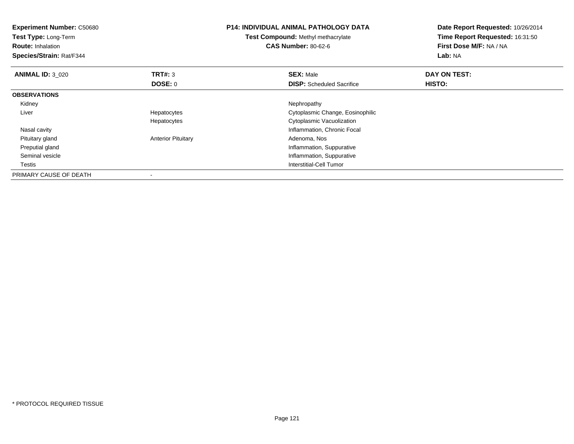| <b>Experiment Number: C50680</b><br><b>Test Type: Long-Term</b><br><b>Route: Inhalation</b><br>Species/Strain: Rat/F344 |                           | <b>P14: INDIVIDUAL ANIMAL PATHOLOGY DATA</b><br><b>Test Compound: Methyl methacrylate</b><br><b>CAS Number: 80-62-6</b> | Date Report Requested: 10/26/2014<br>Time Report Requested: 16:31:50<br>First Dose M/F: NA / NA<br>Lab: NA |
|-------------------------------------------------------------------------------------------------------------------------|---------------------------|-------------------------------------------------------------------------------------------------------------------------|------------------------------------------------------------------------------------------------------------|
| <b>ANIMAL ID: 3 020</b>                                                                                                 | <b>TRT#: 3</b>            | <b>SEX: Male</b>                                                                                                        | DAY ON TEST:                                                                                               |
|                                                                                                                         | DOSE: 0                   | <b>DISP:</b> Scheduled Sacrifice                                                                                        | HISTO:                                                                                                     |
| <b>OBSERVATIONS</b>                                                                                                     |                           |                                                                                                                         |                                                                                                            |
| Kidney                                                                                                                  |                           | Nephropathy                                                                                                             |                                                                                                            |
| Liver                                                                                                                   | Hepatocytes               | Cytoplasmic Change, Eosinophilic                                                                                        |                                                                                                            |
|                                                                                                                         | Hepatocytes               | Cytoplasmic Vacuolization                                                                                               |                                                                                                            |
| Nasal cavity                                                                                                            |                           | Inflammation, Chronic Focal                                                                                             |                                                                                                            |
| Pituitary gland                                                                                                         | <b>Anterior Pituitary</b> | Adenoma, Nos                                                                                                            |                                                                                                            |
| Preputial gland                                                                                                         |                           | Inflammation, Suppurative                                                                                               |                                                                                                            |
| Seminal vesicle                                                                                                         |                           | Inflammation, Suppurative                                                                                               |                                                                                                            |
| Testis                                                                                                                  |                           | Interstitial-Cell Tumor                                                                                                 |                                                                                                            |
| PRIMARY CAUSE OF DEATH                                                                                                  |                           |                                                                                                                         |                                                                                                            |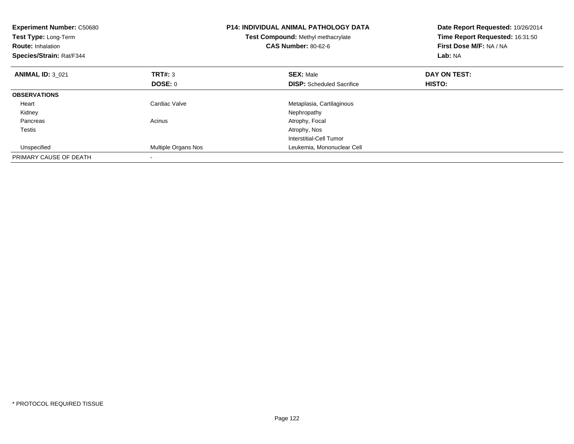| <b>Experiment Number: C50680</b><br>Test Type: Long-Term<br><b>Route: Inhalation</b><br>Species/Strain: Rat/F344 |                     | P14: INDIVIDUAL ANIMAL PATHOLOGY DATA<br>Date Report Requested: 10/26/2014<br>Time Report Requested: 16:31:50<br>Test Compound: Methyl methacrylate<br><b>CAS Number: 80-62-6</b><br>First Dose M/F: NA / NA<br>Lab: NA |              |
|------------------------------------------------------------------------------------------------------------------|---------------------|-------------------------------------------------------------------------------------------------------------------------------------------------------------------------------------------------------------------------|--------------|
| <b>ANIMAL ID: 3 021</b>                                                                                          | <b>TRT#: 3</b>      | <b>SEX: Male</b>                                                                                                                                                                                                        | DAY ON TEST: |
|                                                                                                                  | <b>DOSE: 0</b>      | <b>DISP:</b> Scheduled Sacrifice                                                                                                                                                                                        | HISTO:       |
| <b>OBSERVATIONS</b>                                                                                              |                     |                                                                                                                                                                                                                         |              |
| Heart                                                                                                            | Cardiac Valve       | Metaplasia, Cartilaginous                                                                                                                                                                                               |              |
| Kidney                                                                                                           |                     | Nephropathy                                                                                                                                                                                                             |              |
| Pancreas                                                                                                         | Acinus              | Atrophy, Focal                                                                                                                                                                                                          |              |
| Testis                                                                                                           |                     | Atrophy, Nos                                                                                                                                                                                                            |              |
|                                                                                                                  |                     | Interstitial-Cell Tumor                                                                                                                                                                                                 |              |
| Unspecified                                                                                                      | Multiple Organs Nos | Leukemia, Mononuclear Cell                                                                                                                                                                                              |              |
| PRIMARY CAUSE OF DEATH                                                                                           |                     |                                                                                                                                                                                                                         |              |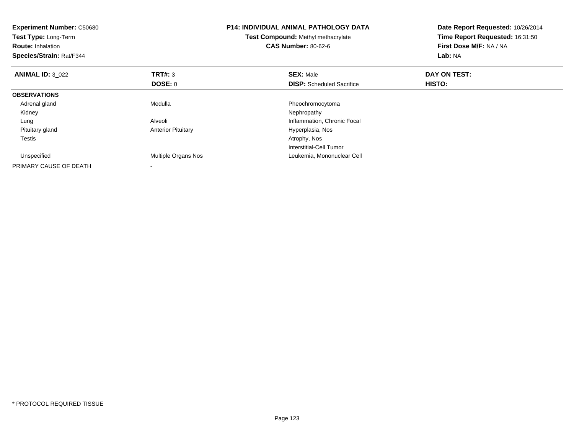| <b>Experiment Number: C50680</b><br>Test Type: Long-Term<br><b>Route: Inhalation</b><br>Species/Strain: Rat/F344 | <b>P14: INDIVIDUAL ANIMAL PATHOLOGY DATA</b><br>Test Compound: Methyl methacrylate<br><b>CAS Number: 80-62-6</b> |                                  | Date Report Requested: 10/26/2014<br>Time Report Requested: 16:31:50<br>First Dose M/F: NA / NA<br>Lab: NA |
|------------------------------------------------------------------------------------------------------------------|------------------------------------------------------------------------------------------------------------------|----------------------------------|------------------------------------------------------------------------------------------------------------|
| <b>ANIMAL ID: 3 022</b>                                                                                          | <b>TRT#: 3</b>                                                                                                   | <b>SEX: Male</b>                 | DAY ON TEST:                                                                                               |
|                                                                                                                  | <b>DOSE: 0</b>                                                                                                   | <b>DISP:</b> Scheduled Sacrifice | HISTO:                                                                                                     |
| <b>OBSERVATIONS</b>                                                                                              |                                                                                                                  |                                  |                                                                                                            |
| Adrenal gland                                                                                                    | Medulla                                                                                                          | Pheochromocytoma                 |                                                                                                            |
| Kidney                                                                                                           |                                                                                                                  | Nephropathy                      |                                                                                                            |
| Lung                                                                                                             | Alveoli                                                                                                          | Inflammation, Chronic Focal      |                                                                                                            |
| Pituitary gland                                                                                                  | <b>Anterior Pituitary</b>                                                                                        | Hyperplasia, Nos                 |                                                                                                            |
| Testis                                                                                                           |                                                                                                                  | Atrophy, Nos                     |                                                                                                            |
|                                                                                                                  |                                                                                                                  | Interstitial-Cell Tumor          |                                                                                                            |
| Unspecified                                                                                                      | Multiple Organs Nos                                                                                              | Leukemia, Mononuclear Cell       |                                                                                                            |
| PRIMARY CAUSE OF DEATH                                                                                           |                                                                                                                  |                                  |                                                                                                            |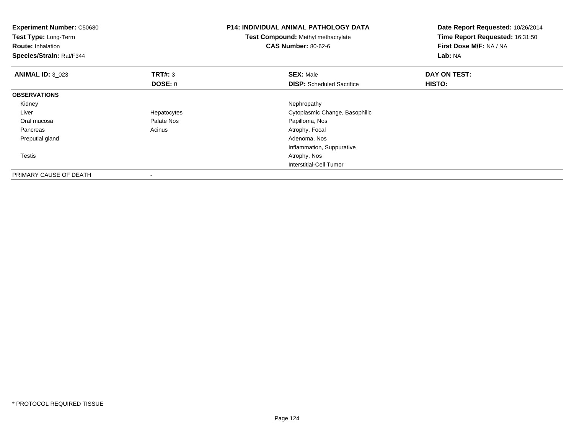| <b>Experiment Number: C50680</b><br>Test Type: Long-Term<br><b>Route: Inhalation</b><br>Species/Strain: Rat/F344 |                          | <b>P14: INDIVIDUAL ANIMAL PATHOLOGY DATA</b><br>Date Report Requested: 10/26/2014<br>Test Compound: Methyl methacrylate<br>Time Report Requested: 16:31:50<br><b>CAS Number: 80-62-6</b><br>First Dose M/F: NA / NA<br>Lab: NA |              |
|------------------------------------------------------------------------------------------------------------------|--------------------------|--------------------------------------------------------------------------------------------------------------------------------------------------------------------------------------------------------------------------------|--------------|
| <b>ANIMAL ID: 3 023</b>                                                                                          | TRT#: 3                  | <b>SEX: Male</b>                                                                                                                                                                                                               | DAY ON TEST: |
|                                                                                                                  | DOSE: 0                  | <b>DISP:</b> Scheduled Sacrifice                                                                                                                                                                                               | HISTO:       |
| <b>OBSERVATIONS</b>                                                                                              |                          |                                                                                                                                                                                                                                |              |
| Kidney                                                                                                           |                          | Nephropathy                                                                                                                                                                                                                    |              |
| Liver                                                                                                            | Hepatocytes              | Cytoplasmic Change, Basophilic                                                                                                                                                                                                 |              |
| Oral mucosa                                                                                                      | Palate Nos               | Papilloma, Nos                                                                                                                                                                                                                 |              |
| Pancreas                                                                                                         | Acinus                   | Atrophy, Focal                                                                                                                                                                                                                 |              |
| Preputial gland                                                                                                  |                          | Adenoma, Nos                                                                                                                                                                                                                   |              |
|                                                                                                                  |                          | Inflammation, Suppurative                                                                                                                                                                                                      |              |
| Testis                                                                                                           |                          | Atrophy, Nos                                                                                                                                                                                                                   |              |
|                                                                                                                  |                          | Interstitial-Cell Tumor                                                                                                                                                                                                        |              |
| PRIMARY CAUSE OF DEATH                                                                                           | $\overline{\phantom{a}}$ |                                                                                                                                                                                                                                |              |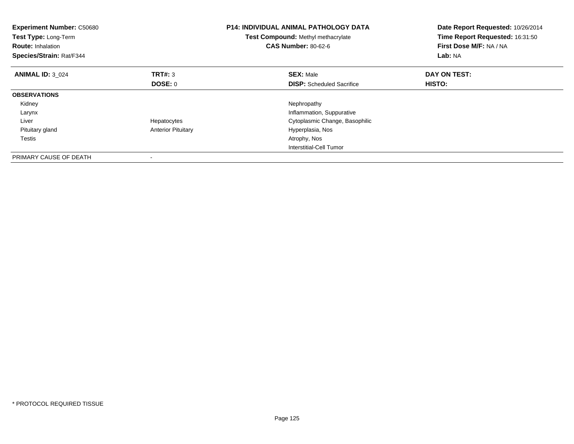| <b>Experiment Number: C50680</b><br>Test Type: Long-Term<br><b>Route: Inhalation</b><br>Species/Strain: Rat/F344 | <b>P14: INDIVIDUAL ANIMAL PATHOLOGY DATA</b><br>Test Compound: Methyl methacrylate<br><b>CAS Number: 80-62-6</b> |                                  | Date Report Requested: 10/26/2014<br>Time Report Requested: 16:31:50<br>First Dose M/F: NA / NA<br>Lab: NA |
|------------------------------------------------------------------------------------------------------------------|------------------------------------------------------------------------------------------------------------------|----------------------------------|------------------------------------------------------------------------------------------------------------|
| <b>ANIMAL ID: 3 024</b>                                                                                          | TRT#: 3                                                                                                          | <b>SEX: Male</b>                 | DAY ON TEST:                                                                                               |
|                                                                                                                  | <b>DOSE: 0</b>                                                                                                   | <b>DISP:</b> Scheduled Sacrifice | HISTO:                                                                                                     |
| <b>OBSERVATIONS</b>                                                                                              |                                                                                                                  |                                  |                                                                                                            |
| Kidney                                                                                                           |                                                                                                                  | Nephropathy                      |                                                                                                            |
| Larynx                                                                                                           |                                                                                                                  | Inflammation, Suppurative        |                                                                                                            |
| Liver                                                                                                            | Hepatocytes                                                                                                      | Cytoplasmic Change, Basophilic   |                                                                                                            |
| Pituitary gland                                                                                                  | <b>Anterior Pituitary</b>                                                                                        | Hyperplasia, Nos                 |                                                                                                            |
| Testis                                                                                                           |                                                                                                                  | Atrophy, Nos                     |                                                                                                            |
|                                                                                                                  |                                                                                                                  | Interstitial-Cell Tumor          |                                                                                                            |
| PRIMARY CAUSE OF DEATH                                                                                           |                                                                                                                  |                                  |                                                                                                            |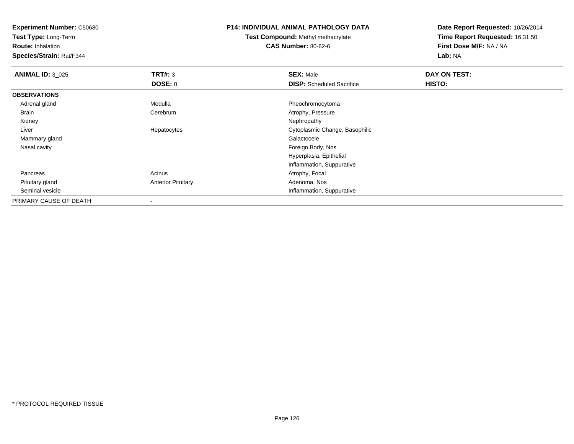**Test Type:** Long-Term

**Route:** Inhalation

**Species/Strain:** Rat/F344

#### **P14: INDIVIDUAL ANIMAL PATHOLOGY DATA**

**Test Compound:** Methyl methacrylate**CAS Number:** 80-62-6

| <b>ANIMAL ID: 3_025</b> | TRT#: 3                   | <b>SEX: Male</b>                 | DAY ON TEST: |  |
|-------------------------|---------------------------|----------------------------------|--------------|--|
|                         | <b>DOSE: 0</b>            | <b>DISP:</b> Scheduled Sacrifice | HISTO:       |  |
| <b>OBSERVATIONS</b>     |                           |                                  |              |  |
| Adrenal gland           | Medulla                   | Pheochromocytoma                 |              |  |
| Brain                   | Cerebrum                  | Atrophy, Pressure                |              |  |
| Kidney                  |                           | Nephropathy                      |              |  |
| Liver                   | Hepatocytes               | Cytoplasmic Change, Basophilic   |              |  |
| Mammary gland           |                           | Galactocele                      |              |  |
| Nasal cavity            |                           | Foreign Body, Nos                |              |  |
|                         |                           | Hyperplasia, Epithelial          |              |  |
|                         |                           | Inflammation, Suppurative        |              |  |
| Pancreas                | Acinus                    | Atrophy, Focal                   |              |  |
| Pituitary gland         | <b>Anterior Pituitary</b> | Adenoma, Nos                     |              |  |
| Seminal vesicle         |                           | Inflammation, Suppurative        |              |  |
| PRIMARY CAUSE OF DEATH  |                           |                                  |              |  |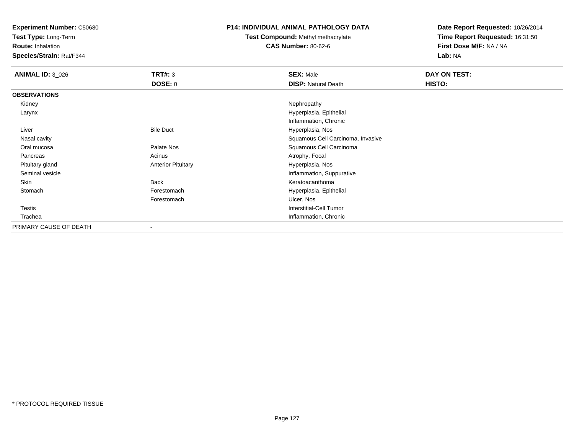**Test Type:** Long-Term

**Route:** Inhalation

**Species/Strain:** Rat/F344

## **P14: INDIVIDUAL ANIMAL PATHOLOGY DATA**

# **Test Compound:** Methyl methacrylate**CAS Number:** 80-62-6

| <b>ANIMAL ID: 3 026</b> | <b>TRT#: 3</b>            | <b>SEX: Male</b>                  | DAY ON TEST: |
|-------------------------|---------------------------|-----------------------------------|--------------|
|                         | <b>DOSE: 0</b>            | <b>DISP: Natural Death</b>        | HISTO:       |
| <b>OBSERVATIONS</b>     |                           |                                   |              |
| Kidney                  |                           | Nephropathy                       |              |
| Larynx                  |                           | Hyperplasia, Epithelial           |              |
|                         |                           | Inflammation, Chronic             |              |
| Liver                   | <b>Bile Duct</b>          | Hyperplasia, Nos                  |              |
| Nasal cavity            |                           | Squamous Cell Carcinoma, Invasive |              |
| Oral mucosa             | Palate Nos                | Squamous Cell Carcinoma           |              |
| Pancreas                | Acinus                    | Atrophy, Focal                    |              |
| Pituitary gland         | <b>Anterior Pituitary</b> | Hyperplasia, Nos                  |              |
| Seminal vesicle         |                           | Inflammation, Suppurative         |              |
| Skin                    | <b>Back</b>               | Keratoacanthoma                   |              |
| Stomach                 | Forestomach               | Hyperplasia, Epithelial           |              |
|                         | Forestomach               | Ulcer, Nos                        |              |
| <b>Testis</b>           |                           | Interstitial-Cell Tumor           |              |
| Trachea                 |                           | Inflammation, Chronic             |              |
| PRIMARY CAUSE OF DEATH  | ٠                         |                                   |              |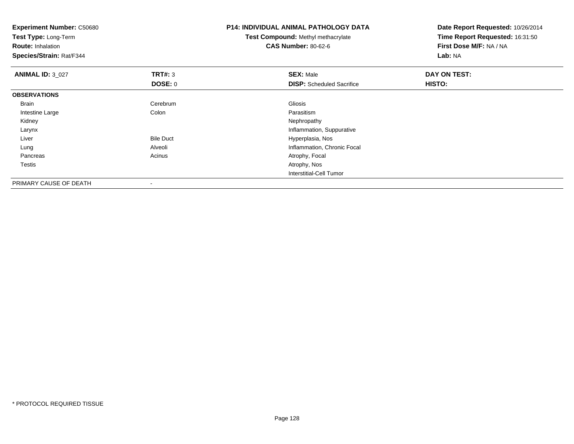| <b>Experiment Number: C50680</b><br>Test Type: Long-Term<br><b>Route: Inhalation</b><br>Species/Strain: Rat/F344 |                  | <b>P14: INDIVIDUAL ANIMAL PATHOLOGY DATA</b><br>Date Report Requested: 10/26/2014<br>Time Report Requested: 16:31:50<br>Test Compound: Methyl methacrylate<br>First Dose M/F: NA / NA<br><b>CAS Number: 80-62-6</b><br>Lab: NA |              |
|------------------------------------------------------------------------------------------------------------------|------------------|--------------------------------------------------------------------------------------------------------------------------------------------------------------------------------------------------------------------------------|--------------|
| <b>ANIMAL ID: 3_027</b>                                                                                          | <b>TRT#: 3</b>   | <b>SEX: Male</b>                                                                                                                                                                                                               | DAY ON TEST: |
|                                                                                                                  | DOSE: 0          | <b>DISP:</b> Scheduled Sacrifice                                                                                                                                                                                               | HISTO:       |
| <b>OBSERVATIONS</b>                                                                                              |                  |                                                                                                                                                                                                                                |              |
| Brain                                                                                                            | Cerebrum         | Gliosis                                                                                                                                                                                                                        |              |
| Intestine Large                                                                                                  | Colon            | Parasitism                                                                                                                                                                                                                     |              |
| Kidney                                                                                                           |                  | Nephropathy                                                                                                                                                                                                                    |              |
| Larynx                                                                                                           |                  | Inflammation, Suppurative                                                                                                                                                                                                      |              |
| Liver                                                                                                            | <b>Bile Duct</b> | Hyperplasia, Nos                                                                                                                                                                                                               |              |
| Lung                                                                                                             | Alveoli          | Inflammation, Chronic Focal                                                                                                                                                                                                    |              |
| Pancreas                                                                                                         | Acinus           | Atrophy, Focal                                                                                                                                                                                                                 |              |
| Testis                                                                                                           |                  | Atrophy, Nos                                                                                                                                                                                                                   |              |
|                                                                                                                  |                  | <b>Interstitial-Cell Tumor</b>                                                                                                                                                                                                 |              |
| PRIMARY CAUSE OF DEATH                                                                                           |                  |                                                                                                                                                                                                                                |              |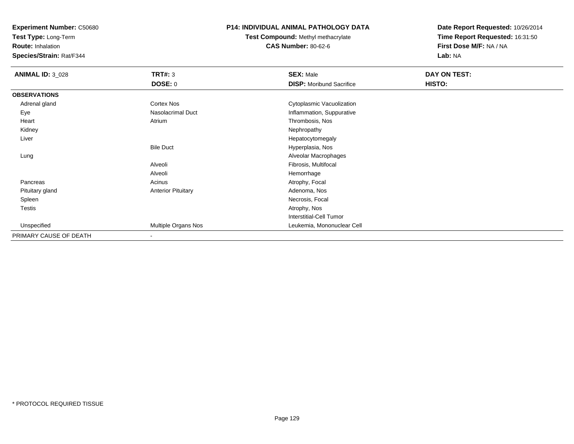**Test Type:** Long-Term

**Route:** Inhalation

**Species/Strain:** Rat/F344

## **P14: INDIVIDUAL ANIMAL PATHOLOGY DATA**

**Test Compound:** Methyl methacrylate**CAS Number:** 80-62-6

| <b>ANIMAL ID: 3_028</b> | <b>TRT#: 3</b>            | <b>SEX: Male</b>                | DAY ON TEST: |  |
|-------------------------|---------------------------|---------------------------------|--------------|--|
|                         | <b>DOSE: 0</b>            | <b>DISP:</b> Moribund Sacrifice | HISTO:       |  |
| <b>OBSERVATIONS</b>     |                           |                                 |              |  |
| Adrenal gland           | <b>Cortex Nos</b>         | Cytoplasmic Vacuolization       |              |  |
| Eye                     | <b>Nasolacrimal Duct</b>  | Inflammation, Suppurative       |              |  |
| Heart                   | Atrium                    | Thrombosis, Nos                 |              |  |
| Kidney                  |                           | Nephropathy                     |              |  |
| Liver                   |                           | Hepatocytomegaly                |              |  |
|                         | <b>Bile Duct</b>          | Hyperplasia, Nos                |              |  |
| Lung                    |                           | Alveolar Macrophages            |              |  |
|                         | Alveoli                   | Fibrosis, Multifocal            |              |  |
|                         | Alveoli                   | Hemorrhage                      |              |  |
| Pancreas                | Acinus                    | Atrophy, Focal                  |              |  |
| Pituitary gland         | <b>Anterior Pituitary</b> | Adenoma, Nos                    |              |  |
| Spleen                  |                           | Necrosis, Focal                 |              |  |
| Testis                  |                           | Atrophy, Nos                    |              |  |
|                         |                           | Interstitial-Cell Tumor         |              |  |
| Unspecified             | Multiple Organs Nos       | Leukemia, Mononuclear Cell      |              |  |
| PRIMARY CAUSE OF DEATH  |                           |                                 |              |  |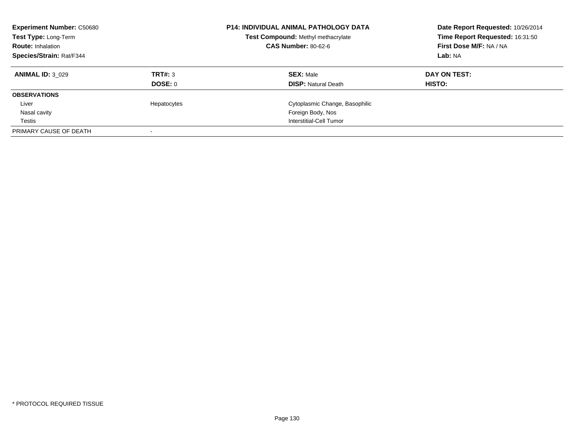| <b>Experiment Number: C50680</b><br>Test Type: Long-Term<br><b>Route: Inhalation</b> | <b>P14: INDIVIDUAL ANIMAL PATHOLOGY DATA</b><br>Test Compound: Methyl methacrylate<br><b>CAS Number: 80-62-6</b> |                                | Date Report Requested: 10/26/2014<br>Time Report Requested: 16:31:50<br>First Dose M/F: NA / NA |
|--------------------------------------------------------------------------------------|------------------------------------------------------------------------------------------------------------------|--------------------------------|-------------------------------------------------------------------------------------------------|
| Species/Strain: Rat/F344                                                             |                                                                                                                  |                                | Lab: NA                                                                                         |
| <b>ANIMAL ID: 3 029</b>                                                              | TRT#: 3                                                                                                          | <b>SEX: Male</b>               | DAY ON TEST:                                                                                    |
|                                                                                      | DOSE: 0                                                                                                          | <b>DISP: Natural Death</b>     | HISTO:                                                                                          |
| <b>OBSERVATIONS</b>                                                                  |                                                                                                                  |                                |                                                                                                 |
| Liver                                                                                | Hepatocytes                                                                                                      | Cytoplasmic Change, Basophilic |                                                                                                 |
| Nasal cavity                                                                         |                                                                                                                  | Foreign Body, Nos              |                                                                                                 |
| Testis                                                                               |                                                                                                                  | Interstitial-Cell Tumor        |                                                                                                 |
| PRIMARY CAUSE OF DEATH                                                               |                                                                                                                  |                                |                                                                                                 |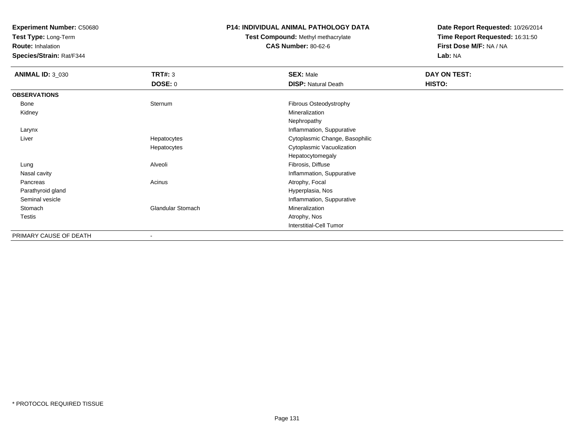**Test Type:** Long-Term

**Route:** Inhalation

**Species/Strain:** Rat/F344

## **P14: INDIVIDUAL ANIMAL PATHOLOGY DATA**

**Test Compound:** Methyl methacrylate**CAS Number:** 80-62-6

| <b>ANIMAL ID: 3_030</b> | <b>TRT#: 3</b>           | <b>SEX: Male</b>               | <b>DAY ON TEST:</b> |  |
|-------------------------|--------------------------|--------------------------------|---------------------|--|
|                         | DOSE: 0                  | <b>DISP: Natural Death</b>     | HISTO:              |  |
| <b>OBSERVATIONS</b>     |                          |                                |                     |  |
| Bone                    | Sternum                  | Fibrous Osteodystrophy         |                     |  |
| Kidney                  |                          | Mineralization                 |                     |  |
|                         |                          | Nephropathy                    |                     |  |
| Larynx                  |                          | Inflammation, Suppurative      |                     |  |
| Liver                   | Hepatocytes              | Cytoplasmic Change, Basophilic |                     |  |
|                         | Hepatocytes              | Cytoplasmic Vacuolization      |                     |  |
|                         |                          | Hepatocytomegaly               |                     |  |
| Lung                    | Alveoli                  | Fibrosis, Diffuse              |                     |  |
| Nasal cavity            |                          | Inflammation, Suppurative      |                     |  |
| Pancreas                | Acinus                   | Atrophy, Focal                 |                     |  |
| Parathyroid gland       |                          | Hyperplasia, Nos               |                     |  |
| Seminal vesicle         |                          | Inflammation, Suppurative      |                     |  |
| Stomach                 | Glandular Stomach        | Mineralization                 |                     |  |
| Testis                  |                          | Atrophy, Nos                   |                     |  |
|                         |                          | Interstitial-Cell Tumor        |                     |  |
| PRIMARY CAUSE OF DEATH  | $\overline{\phantom{a}}$ |                                |                     |  |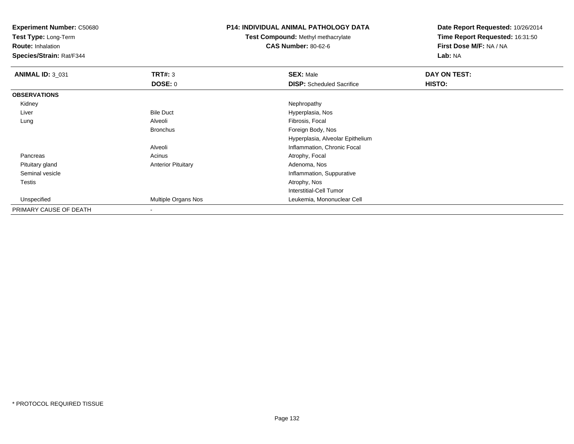**Test Type:** Long-Term

**Route:** Inhalation

**Species/Strain:** Rat/F344

### **P14: INDIVIDUAL ANIMAL PATHOLOGY DATA**

**Test Compound:** Methyl methacrylate**CAS Number:** 80-62-6

| <b>ANIMAL ID: 3 031</b> | TRT#: 3                   | <b>SEX: Male</b>                 | DAY ON TEST: |
|-------------------------|---------------------------|----------------------------------|--------------|
|                         | DOSE: 0                   | <b>DISP:</b> Scheduled Sacrifice | HISTO:       |
| <b>OBSERVATIONS</b>     |                           |                                  |              |
| Kidney                  |                           | Nephropathy                      |              |
| Liver                   | <b>Bile Duct</b>          | Hyperplasia, Nos                 |              |
| Lung                    | Alveoli                   | Fibrosis, Focal                  |              |
|                         | <b>Bronchus</b>           | Foreign Body, Nos                |              |
|                         |                           | Hyperplasia, Alveolar Epithelium |              |
|                         | Alveoli                   | Inflammation, Chronic Focal      |              |
| Pancreas                | Acinus                    | Atrophy, Focal                   |              |
| Pituitary gland         | <b>Anterior Pituitary</b> | Adenoma, Nos                     |              |
| Seminal vesicle         |                           | Inflammation, Suppurative        |              |
| Testis                  |                           | Atrophy, Nos                     |              |
|                         |                           | Interstitial-Cell Tumor          |              |
| Unspecified             | Multiple Organs Nos       | Leukemia, Mononuclear Cell       |              |
| PRIMARY CAUSE OF DEATH  | $\overline{\phantom{a}}$  |                                  |              |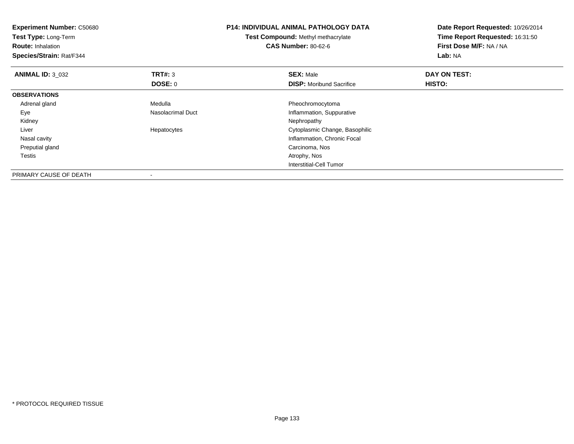| Test Compound: Methyl methacrylate<br><b>CAS Number: 80-62-6</b>         | Time Report Requested: 16:31:50<br>First Dose M/F: NA / NA<br>Lab: NA |
|--------------------------------------------------------------------------|-----------------------------------------------------------------------|
| <b>SEX: Male</b>                                                         | DAY ON TEST:                                                          |
| <b>DISP:</b> Moribund Sacrifice                                          | HISTO:                                                                |
|                                                                          |                                                                       |
| Pheochromocytoma                                                         |                                                                       |
| Inflammation, Suppurative                                                |                                                                       |
| Nephropathy                                                              |                                                                       |
| Cytoplasmic Change, Basophilic                                           |                                                                       |
| Inflammation, Chronic Focal                                              |                                                                       |
| Carcinoma, Nos                                                           |                                                                       |
| Atrophy, Nos                                                             |                                                                       |
| Interstitial-Cell Tumor                                                  |                                                                       |
| <b>TRT#: 3</b><br>DOSE: 0<br>Medulla<br>Nasolacrimal Duct<br>Hepatocytes |                                                                       |

-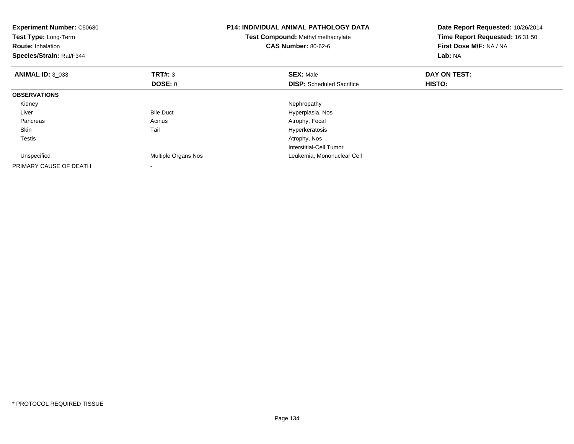| <b>Experiment Number: C50680</b><br>Test Type: Long-Term<br><b>Route: Inhalation</b><br>Species/Strain: Rat/F344 |                     | <b>P14: INDIVIDUAL ANIMAL PATHOLOGY DATA</b><br>Test Compound: Methyl methacrylate<br><b>CAS Number: 80-62-6</b> | Date Report Requested: 10/26/2014<br>Time Report Requested: 16:31:50<br>First Dose M/F: NA / NA<br>Lab: NA |  |
|------------------------------------------------------------------------------------------------------------------|---------------------|------------------------------------------------------------------------------------------------------------------|------------------------------------------------------------------------------------------------------------|--|
| <b>ANIMAL ID: 3 033</b>                                                                                          | <b>TRT#: 3</b>      | <b>SEX: Male</b>                                                                                                 | DAY ON TEST:                                                                                               |  |
|                                                                                                                  | DOSE: 0             | <b>DISP:</b> Scheduled Sacrifice                                                                                 | HISTO:                                                                                                     |  |
| <b>OBSERVATIONS</b>                                                                                              |                     |                                                                                                                  |                                                                                                            |  |
| Kidney                                                                                                           |                     | Nephropathy                                                                                                      |                                                                                                            |  |
| Liver                                                                                                            | <b>Bile Duct</b>    | Hyperplasia, Nos                                                                                                 |                                                                                                            |  |
| Pancreas                                                                                                         | Acinus              | Atrophy, Focal                                                                                                   |                                                                                                            |  |
| Skin                                                                                                             | Tail                | Hyperkeratosis                                                                                                   |                                                                                                            |  |
| Testis                                                                                                           |                     | Atrophy, Nos                                                                                                     |                                                                                                            |  |
|                                                                                                                  |                     | Interstitial-Cell Tumor                                                                                          |                                                                                                            |  |
| Unspecified                                                                                                      | Multiple Organs Nos | Leukemia, Mononuclear Cell                                                                                       |                                                                                                            |  |
| PRIMARY CAUSE OF DEATH                                                                                           |                     |                                                                                                                  |                                                                                                            |  |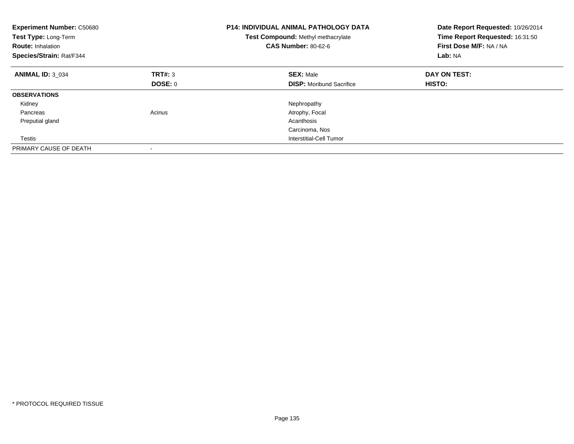| <b>Experiment Number: C50680</b><br>Test Type: Long-Term<br><b>Route: Inhalation</b><br>Species/Strain: Rat/F344 |         | <b>P14: INDIVIDUAL ANIMAL PATHOLOGY DATA</b><br>Test Compound: Methyl methacrylate<br><b>CAS Number: 80-62-6</b> | Date Report Requested: 10/26/2014<br>Time Report Requested: 16:31:50<br>First Dose M/F: NA / NA<br>Lab: NA |
|------------------------------------------------------------------------------------------------------------------|---------|------------------------------------------------------------------------------------------------------------------|------------------------------------------------------------------------------------------------------------|
| <b>ANIMAL ID: 3 034</b>                                                                                          | TRT#: 3 | <b>SEX: Male</b>                                                                                                 | DAY ON TEST:                                                                                               |
|                                                                                                                  | DOSE: 0 | <b>DISP:</b> Moribund Sacrifice                                                                                  | HISTO:                                                                                                     |
| <b>OBSERVATIONS</b>                                                                                              |         |                                                                                                                  |                                                                                                            |
| Kidney                                                                                                           |         | Nephropathy                                                                                                      |                                                                                                            |
| Pancreas                                                                                                         | Acinus  | Atrophy, Focal                                                                                                   |                                                                                                            |
| Preputial gland                                                                                                  |         | Acanthosis                                                                                                       |                                                                                                            |
|                                                                                                                  |         | Carcinoma, Nos                                                                                                   |                                                                                                            |
| Testis                                                                                                           |         | Interstitial-Cell Tumor                                                                                          |                                                                                                            |
| PRIMARY CAUSE OF DEATH                                                                                           |         |                                                                                                                  |                                                                                                            |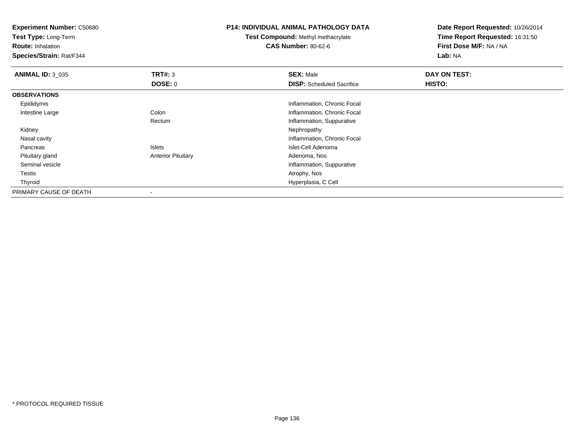**Experiment Number:** C50680**Test Type:** Long-Term**Route:** Inhalation **Species/Strain:** Rat/F344**P14: INDIVIDUAL ANIMAL PATHOLOGY DATATest Compound:** Methyl methacrylate**CAS Number:** 80-62-6**Date Report Requested:** 10/26/2014**Time Report Requested:** 16:31:50**First Dose M/F:** NA / NA**Lab:** NA**ANIMAL ID:** 3\_035 **TRT#:** <sup>3</sup> **SEX:** Male **DAY ON TEST: DOSE:** 0**DISP:** Scheduled Sacrifice **HISTO: OBSERVATIONS** Epididymis Inflammation, Chronic Focal Intestine LargeColon **Inflammation, Chronic Focal** RectumInflammation, Suppurative<br>Nephropathy Kidneyy the control of the control of the control of the control of the control of the control of the control of the control of the control of the control of the control of the control of the control of the control of the contro Nasal cavity Inflammation, Chronic Focal PancreasIslets **Islet-Cell Adenoma**  Pituitary glandAnterior Pituitary **Adenoma, Nos** Adenoma, Nos Seminal vesicle Inflammation, Suppurative Testiss and the contract of the contract of the contract of the contract of the contract of the contract of the contract of the contract of the contract of the contract of the contract of the contract of the contract of the cont Thyroid Hyperplasia, C Cell PRIMARY CAUSE OF DEATH-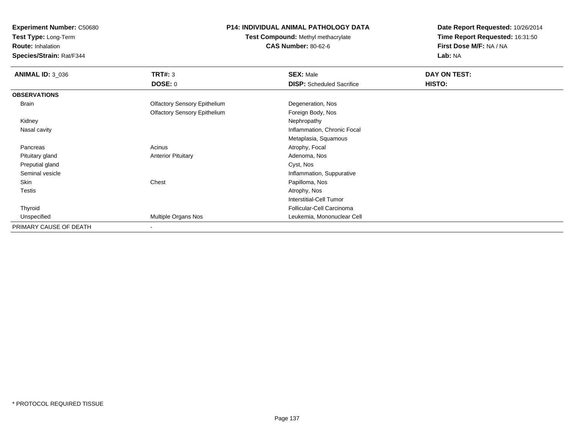**Test Type:** Long-Term

**Route:** Inhalation

**Species/Strain:** Rat/F344

# **P14: INDIVIDUAL ANIMAL PATHOLOGY DATA**

**Test Compound:** Methyl methacrylate**CAS Number:** 80-62-6

| <b>ANIMAL ID: 3 036</b> | TRT#: 3                             | <b>SEX: Male</b>                 | DAY ON TEST: |  |
|-------------------------|-------------------------------------|----------------------------------|--------------|--|
|                         | <b>DOSE: 0</b>                      | <b>DISP:</b> Scheduled Sacrifice | HISTO:       |  |
| <b>OBSERVATIONS</b>     |                                     |                                  |              |  |
| Brain                   | <b>Olfactory Sensory Epithelium</b> | Degeneration, Nos                |              |  |
|                         | <b>Olfactory Sensory Epithelium</b> | Foreign Body, Nos                |              |  |
| Kidney                  |                                     | Nephropathy                      |              |  |
| Nasal cavity            |                                     | Inflammation, Chronic Focal      |              |  |
|                         |                                     | Metaplasia, Squamous             |              |  |
| Pancreas                | Acinus                              | Atrophy, Focal                   |              |  |
| Pituitary gland         | <b>Anterior Pituitary</b>           | Adenoma, Nos                     |              |  |
| Preputial gland         |                                     | Cyst, Nos                        |              |  |
| Seminal vesicle         |                                     | Inflammation, Suppurative        |              |  |
| Skin                    | Chest                               | Papilloma, Nos                   |              |  |
| Testis                  |                                     | Atrophy, Nos                     |              |  |
|                         |                                     | <b>Interstitial-Cell Tumor</b>   |              |  |
| Thyroid                 |                                     | Follicular-Cell Carcinoma        |              |  |
| Unspecified             | Multiple Organs Nos                 | Leukemia, Mononuclear Cell       |              |  |
| PRIMARY CAUSE OF DEATH  | ۰                                   |                                  |              |  |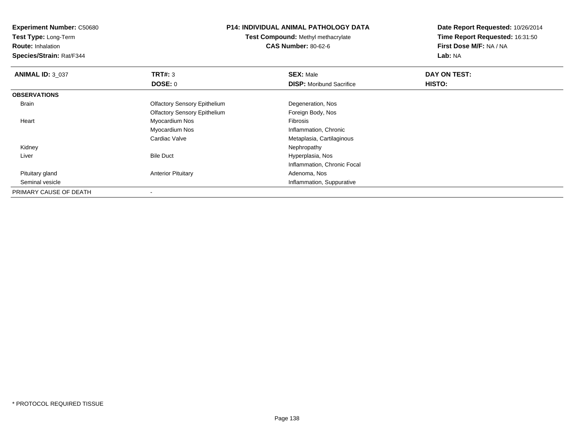**Test Type:** Long-Term

**Route:** Inhalation

**Species/Strain:** Rat/F344

## **P14: INDIVIDUAL ANIMAL PATHOLOGY DATA**

**Test Compound:** Methyl methacrylate**CAS Number:** 80-62-6

| <b>ANIMAL ID: 3 037</b> | TRT#: 3                             | <b>SEX: Male</b>                | DAY ON TEST: |  |
|-------------------------|-------------------------------------|---------------------------------|--------------|--|
|                         | <b>DOSE: 0</b>                      | <b>DISP:</b> Moribund Sacrifice | HISTO:       |  |
| <b>OBSERVATIONS</b>     |                                     |                                 |              |  |
| Brain                   | <b>Olfactory Sensory Epithelium</b> | Degeneration, Nos               |              |  |
|                         | <b>Olfactory Sensory Epithelium</b> | Foreign Body, Nos               |              |  |
| Heart                   | Myocardium Nos                      | Fibrosis                        |              |  |
|                         | Myocardium Nos                      | Inflammation, Chronic           |              |  |
|                         | Cardiac Valve                       | Metaplasia, Cartilaginous       |              |  |
| Kidney                  |                                     | Nephropathy                     |              |  |
| Liver                   | <b>Bile Duct</b>                    | Hyperplasia, Nos                |              |  |
|                         |                                     | Inflammation, Chronic Focal     |              |  |
| Pituitary gland         | <b>Anterior Pituitary</b>           | Adenoma, Nos                    |              |  |
| Seminal vesicle         |                                     | Inflammation, Suppurative       |              |  |
| PRIMARY CAUSE OF DEATH  |                                     |                                 |              |  |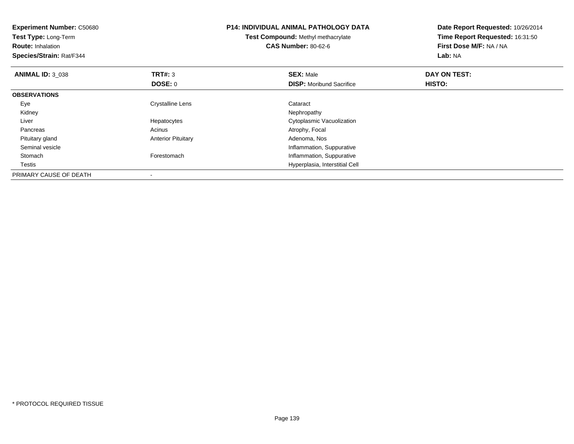| <b>Experiment Number: C50680</b><br><b>Test Type: Long-Term</b><br><b>Route: Inhalation</b><br>Species/Strain: Rat/F344 |                           | <b>P14: INDIVIDUAL ANIMAL PATHOLOGY DATA</b><br><b>Test Compound: Methyl methacrylate</b><br><b>CAS Number: 80-62-6</b> | Date Report Requested: 10/26/2014<br>Time Report Requested: 16:31:50<br>First Dose M/F: NA / NA<br>Lab: NA |
|-------------------------------------------------------------------------------------------------------------------------|---------------------------|-------------------------------------------------------------------------------------------------------------------------|------------------------------------------------------------------------------------------------------------|
| <b>ANIMAL ID: 3 038</b>                                                                                                 | TRT#: 3                   | <b>SEX: Male</b>                                                                                                        | DAY ON TEST:                                                                                               |
|                                                                                                                         | DOSE: 0                   | <b>DISP:</b> Moribund Sacrifice                                                                                         | HISTO:                                                                                                     |
| <b>OBSERVATIONS</b>                                                                                                     |                           |                                                                                                                         |                                                                                                            |
| Eye                                                                                                                     | <b>Crystalline Lens</b>   | Cataract                                                                                                                |                                                                                                            |
| Kidney                                                                                                                  |                           | Nephropathy                                                                                                             |                                                                                                            |
| Liver                                                                                                                   | Hepatocytes               | Cytoplasmic Vacuolization                                                                                               |                                                                                                            |
| Pancreas                                                                                                                | Acinus                    | Atrophy, Focal                                                                                                          |                                                                                                            |
| Pituitary gland                                                                                                         | <b>Anterior Pituitary</b> | Adenoma, Nos                                                                                                            |                                                                                                            |
| Seminal vesicle                                                                                                         |                           | Inflammation, Suppurative                                                                                               |                                                                                                            |
| Stomach                                                                                                                 | Forestomach               | Inflammation, Suppurative                                                                                               |                                                                                                            |
| Testis                                                                                                                  |                           | Hyperplasia, Interstitial Cell                                                                                          |                                                                                                            |
| PRIMARY CAUSE OF DEATH                                                                                                  |                           |                                                                                                                         |                                                                                                            |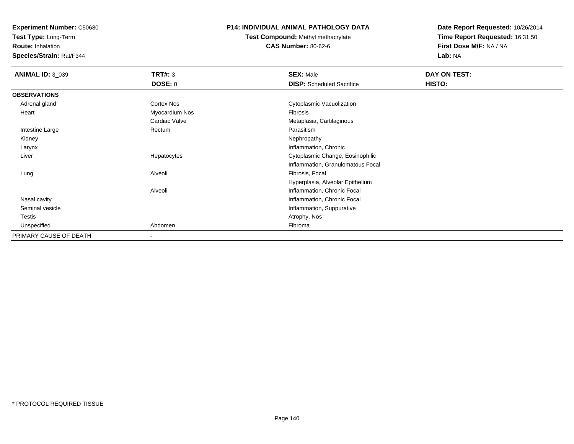**Test Type:** Long-Term

**Route:** Inhalation

**Species/Strain:** Rat/F344

# **P14: INDIVIDUAL ANIMAL PATHOLOGY DATA**

**Test Compound:** Methyl methacrylate**CAS Number:** 80-62-6

| <b>ANIMAL ID: 3_039</b> | <b>TRT#: 3</b>           | <b>SEX: Male</b>                  | DAY ON TEST: |  |
|-------------------------|--------------------------|-----------------------------------|--------------|--|
|                         | <b>DOSE: 0</b>           | <b>DISP:</b> Scheduled Sacrifice  | HISTO:       |  |
| <b>OBSERVATIONS</b>     |                          |                                   |              |  |
| Adrenal gland           | <b>Cortex Nos</b>        | Cytoplasmic Vacuolization         |              |  |
| Heart                   | Myocardium Nos           | Fibrosis                          |              |  |
|                         | Cardiac Valve            | Metaplasia, Cartilaginous         |              |  |
| Intestine Large         | Rectum                   | Parasitism                        |              |  |
| Kidney                  |                          | Nephropathy                       |              |  |
| Larynx                  |                          | Inflammation, Chronic             |              |  |
| Liver                   | Hepatocytes              | Cytoplasmic Change, Eosinophilic  |              |  |
|                         |                          | Inflammation, Granulomatous Focal |              |  |
| Lung                    | Alveoli                  | Fibrosis, Focal                   |              |  |
|                         |                          | Hyperplasia, Alveolar Epithelium  |              |  |
|                         | Alveoli                  | Inflammation, Chronic Focal       |              |  |
| Nasal cavity            |                          | Inflammation, Chronic Focal       |              |  |
| Seminal vesicle         |                          | Inflammation, Suppurative         |              |  |
| Testis                  |                          | Atrophy, Nos                      |              |  |
| Unspecified             | Abdomen                  | Fibroma                           |              |  |
| PRIMARY CAUSE OF DEATH  | $\overline{\phantom{a}}$ |                                   |              |  |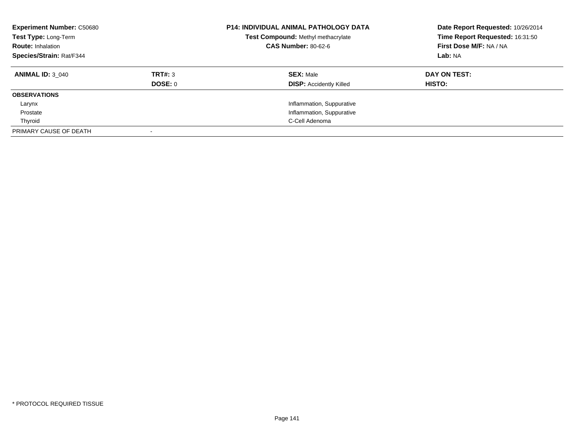| <b>Experiment Number: C50680</b><br>Test Type: Long-Term<br><b>Route: Inhalation</b><br><b>Species/Strain: Rat/F344</b> |                    | <b>P14: INDIVIDUAL ANIMAL PATHOLOGY DATA</b><br>Test Compound: Methyl methacrylate<br><b>CAS Number: 80-62-6</b> | Date Report Requested: 10/26/2014<br>Time Report Requested: 16:31:50<br>First Dose M/F: NA / NA<br>Lab: NA |  |
|-------------------------------------------------------------------------------------------------------------------------|--------------------|------------------------------------------------------------------------------------------------------------------|------------------------------------------------------------------------------------------------------------|--|
| <b>ANIMAL ID: 3 040</b>                                                                                                 | TRT#: 3<br>DOSE: 0 | <b>SEX: Male</b><br><b>DISP:</b> Accidently Killed                                                               | DAY ON TEST:<br>HISTO:                                                                                     |  |
| <b>OBSERVATIONS</b>                                                                                                     |                    |                                                                                                                  |                                                                                                            |  |
| Larynx                                                                                                                  |                    | Inflammation, Suppurative                                                                                        |                                                                                                            |  |
| Prostate                                                                                                                |                    | Inflammation, Suppurative                                                                                        |                                                                                                            |  |
| Thyroid                                                                                                                 |                    | C-Cell Adenoma                                                                                                   |                                                                                                            |  |
| PRIMARY CAUSE OF DEATH                                                                                                  |                    |                                                                                                                  |                                                                                                            |  |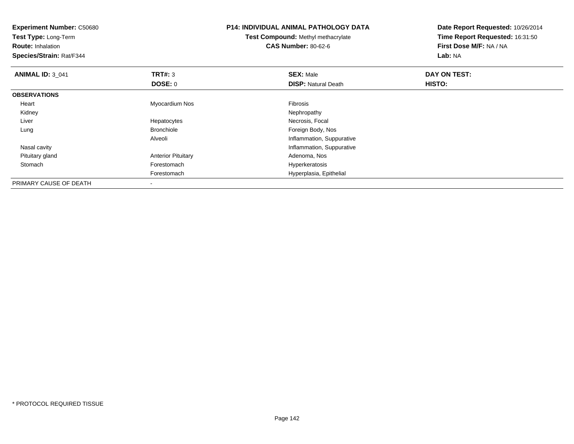| <b>Experiment Number: C50680</b><br>Test Type: Long-Term<br><b>Route: Inhalation</b><br>Species/Strain: Rat/F344 |                           | <b>P14: INDIVIDUAL ANIMAL PATHOLOGY DATA</b><br>Test Compound: Methyl methacrylate<br><b>CAS Number: 80-62-6</b> | Date Report Requested: 10/26/2014<br>Time Report Requested: 16:31:50<br>First Dose M/F: NA / NA<br>Lab: NA |
|------------------------------------------------------------------------------------------------------------------|---------------------------|------------------------------------------------------------------------------------------------------------------|------------------------------------------------------------------------------------------------------------|
| <b>ANIMAL ID: 3 041</b>                                                                                          | TRT#: 3                   | <b>SEX: Male</b>                                                                                                 | DAY ON TEST:                                                                                               |
|                                                                                                                  | DOSE: 0                   | <b>DISP: Natural Death</b>                                                                                       | HISTO:                                                                                                     |
| <b>OBSERVATIONS</b>                                                                                              |                           |                                                                                                                  |                                                                                                            |
| Heart                                                                                                            | Myocardium Nos            | Fibrosis                                                                                                         |                                                                                                            |
| Kidney                                                                                                           |                           | Nephropathy                                                                                                      |                                                                                                            |
| Liver                                                                                                            | Hepatocytes               | Necrosis, Focal                                                                                                  |                                                                                                            |
| Lung                                                                                                             | <b>Bronchiole</b>         | Foreign Body, Nos                                                                                                |                                                                                                            |
|                                                                                                                  | Alveoli                   | Inflammation, Suppurative                                                                                        |                                                                                                            |
| Nasal cavity                                                                                                     |                           | Inflammation, Suppurative                                                                                        |                                                                                                            |
| Pituitary gland                                                                                                  | <b>Anterior Pituitary</b> | Adenoma, Nos                                                                                                     |                                                                                                            |
| Stomach                                                                                                          | Forestomach               | Hyperkeratosis                                                                                                   |                                                                                                            |
|                                                                                                                  | Forestomach               | Hyperplasia, Epithelial                                                                                          |                                                                                                            |
| PRIMARY CAUSE OF DEATH                                                                                           |                           |                                                                                                                  |                                                                                                            |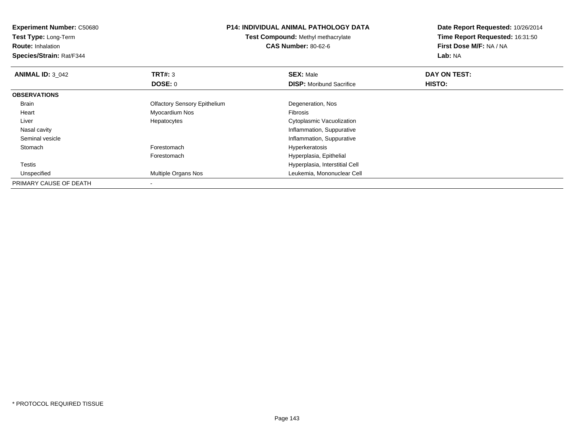| <b>Experiment Number: C50680</b> | <b>P14: INDIVIDUAL ANIMAL PATHOLOGY DATA</b><br><b>Test Compound: Methyl methacrylate</b><br><b>CAS Number: 80-62-6</b> |                                 | Date Report Requested: 10/26/2014<br>Time Report Requested: 16:31:50 |  |
|----------------------------------|-------------------------------------------------------------------------------------------------------------------------|---------------------------------|----------------------------------------------------------------------|--|
| <b>Test Type: Long-Term</b>      |                                                                                                                         |                                 |                                                                      |  |
| <b>Route: Inhalation</b>         |                                                                                                                         |                                 | First Dose M/F: NA / NA                                              |  |
| Species/Strain: Rat/F344         |                                                                                                                         |                                 | Lab: NA                                                              |  |
| <b>ANIMAL ID: 3 042</b>          | TRT#: 3                                                                                                                 | <b>SEX: Male</b>                | DAY ON TEST:                                                         |  |
|                                  | <b>DOSE: 0</b>                                                                                                          | <b>DISP:</b> Moribund Sacrifice | <b>HISTO:</b>                                                        |  |
| <b>OBSERVATIONS</b>              |                                                                                                                         |                                 |                                                                      |  |
| <b>Brain</b>                     | <b>Olfactory Sensory Epithelium</b>                                                                                     | Degeneration, Nos               |                                                                      |  |
| Heart                            | Myocardium Nos                                                                                                          | <b>Fibrosis</b>                 |                                                                      |  |
| Liver                            | Hepatocytes                                                                                                             | Cytoplasmic Vacuolization       |                                                                      |  |
| Nasal cavity                     |                                                                                                                         | Inflammation, Suppurative       |                                                                      |  |
| Seminal vesicle                  |                                                                                                                         | Inflammation, Suppurative       |                                                                      |  |
| Stomach                          | Forestomach                                                                                                             | Hyperkeratosis                  |                                                                      |  |
|                                  | Forestomach                                                                                                             | Hyperplasia, Epithelial         |                                                                      |  |
| Testis                           |                                                                                                                         | Hyperplasia, Interstitial Cell  |                                                                      |  |
| Unspecified                      | Multiple Organs Nos                                                                                                     | Leukemia, Mononuclear Cell      |                                                                      |  |
| PRIMARY CAUSE OF DEATH           |                                                                                                                         |                                 |                                                                      |  |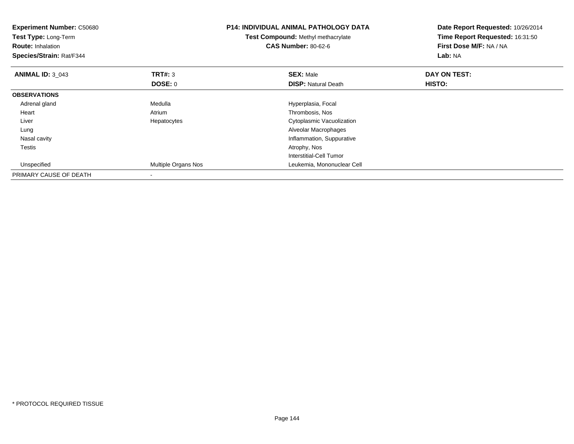| <b>Experiment Number: C50680</b><br>Test Type: Long-Term<br><b>Route: Inhalation</b><br>Species/Strain: Rat/F344 |                     | <b>P14: INDIVIDUAL ANIMAL PATHOLOGY DATA</b><br>Test Compound: Methyl methacrylate<br><b>CAS Number: 80-62-6</b> | Date Report Requested: 10/26/2014<br>Time Report Requested: 16:31:50<br>First Dose M/F: NA / NA<br>Lab: NA |
|------------------------------------------------------------------------------------------------------------------|---------------------|------------------------------------------------------------------------------------------------------------------|------------------------------------------------------------------------------------------------------------|
| <b>ANIMAL ID: 3_043</b>                                                                                          | <b>TRT#: 3</b>      | <b>SEX: Male</b>                                                                                                 | DAY ON TEST:                                                                                               |
|                                                                                                                  | DOSE: 0             | <b>DISP: Natural Death</b>                                                                                       | HISTO:                                                                                                     |
| <b>OBSERVATIONS</b>                                                                                              |                     |                                                                                                                  |                                                                                                            |
| Adrenal gland                                                                                                    | Medulla             | Hyperplasia, Focal                                                                                               |                                                                                                            |
| Heart                                                                                                            | Atrium              | Thrombosis, Nos                                                                                                  |                                                                                                            |
| Liver                                                                                                            | Hepatocytes         | Cytoplasmic Vacuolization                                                                                        |                                                                                                            |
| Lung                                                                                                             |                     | Alveolar Macrophages                                                                                             |                                                                                                            |
| Nasal cavity                                                                                                     |                     | Inflammation, Suppurative                                                                                        |                                                                                                            |
| Testis                                                                                                           |                     | Atrophy, Nos                                                                                                     |                                                                                                            |
|                                                                                                                  |                     | Interstitial-Cell Tumor                                                                                          |                                                                                                            |
| Unspecified                                                                                                      | Multiple Organs Nos | Leukemia, Mononuclear Cell                                                                                       |                                                                                                            |
| PRIMARY CAUSE OF DEATH                                                                                           |                     |                                                                                                                  |                                                                                                            |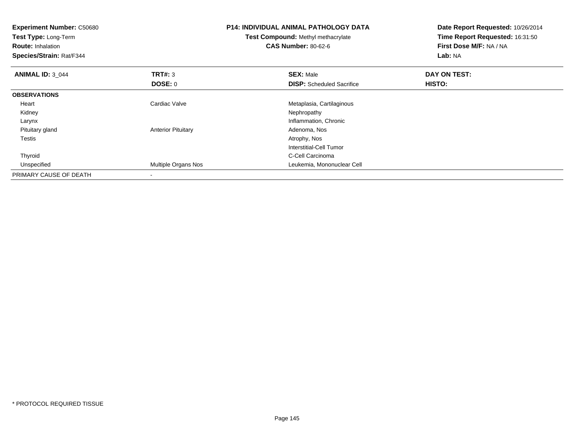| <b>Experiment Number: C50680</b><br>Test Type: Long-Term<br><b>Route: Inhalation</b><br>Species/Strain: Rat/F344 |                           | <b>P14: INDIVIDUAL ANIMAL PATHOLOGY DATA</b><br>Test Compound: Methyl methacrylate<br><b>CAS Number: 80-62-6</b> | Date Report Requested: 10/26/2014<br>Time Report Requested: 16:31:50<br>First Dose M/F: NA / NA<br>Lab: NA |  |
|------------------------------------------------------------------------------------------------------------------|---------------------------|------------------------------------------------------------------------------------------------------------------|------------------------------------------------------------------------------------------------------------|--|
| <b>ANIMAL ID: 3 044</b>                                                                                          | TRT#: 3                   | <b>SEX: Male</b>                                                                                                 | DAY ON TEST:                                                                                               |  |
|                                                                                                                  | DOSE: 0                   | <b>DISP:</b> Scheduled Sacrifice                                                                                 | <b>HISTO:</b>                                                                                              |  |
| <b>OBSERVATIONS</b>                                                                                              |                           |                                                                                                                  |                                                                                                            |  |
| Heart                                                                                                            | Cardiac Valve             | Metaplasia, Cartilaginous                                                                                        |                                                                                                            |  |
| Kidney                                                                                                           |                           | Nephropathy                                                                                                      |                                                                                                            |  |
| Larynx                                                                                                           |                           | Inflammation, Chronic                                                                                            |                                                                                                            |  |
| Pituitary gland                                                                                                  | <b>Anterior Pituitary</b> | Adenoma, Nos                                                                                                     |                                                                                                            |  |
| <b>Testis</b>                                                                                                    |                           | Atrophy, Nos                                                                                                     |                                                                                                            |  |
|                                                                                                                  |                           | Interstitial-Cell Tumor                                                                                          |                                                                                                            |  |
| Thyroid                                                                                                          |                           | C-Cell Carcinoma                                                                                                 |                                                                                                            |  |
| Unspecified                                                                                                      | Multiple Organs Nos       | Leukemia, Mononuclear Cell                                                                                       |                                                                                                            |  |
| PRIMARY CAUSE OF DEATH                                                                                           |                           |                                                                                                                  |                                                                                                            |  |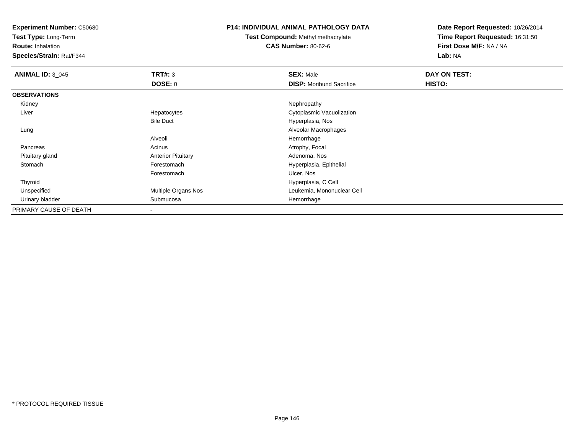**Experiment Number:** C50680

**Test Type:** Long-Term

**Route:** Inhalation

**Species/Strain:** Rat/F344

## **P14: INDIVIDUAL ANIMAL PATHOLOGY DATA**

**Test Compound:** Methyl methacrylate**CAS Number:** 80-62-6

**Date Report Requested:** 10/26/2014**Time Report Requested:** 16:31:50**First Dose M/F:** NA / NA**Lab:** NA

| <b>ANIMAL ID: 3 045</b> | TRT#: 3                    | <b>SEX: Male</b>                | DAY ON TEST: |  |
|-------------------------|----------------------------|---------------------------------|--------------|--|
|                         | DOSE: 0                    | <b>DISP:</b> Moribund Sacrifice | HISTO:       |  |
| <b>OBSERVATIONS</b>     |                            |                                 |              |  |
| Kidney                  |                            | Nephropathy                     |              |  |
| Liver                   | Hepatocytes                | Cytoplasmic Vacuolization       |              |  |
|                         | <b>Bile Duct</b>           | Hyperplasia, Nos                |              |  |
| Lung                    |                            | Alveolar Macrophages            |              |  |
|                         | Alveoli                    | Hemorrhage                      |              |  |
| Pancreas                | Acinus                     | Atrophy, Focal                  |              |  |
| Pituitary gland         | <b>Anterior Pituitary</b>  | Adenoma, Nos                    |              |  |
| Stomach                 | Forestomach                | Hyperplasia, Epithelial         |              |  |
|                         | Forestomach                | Ulcer, Nos                      |              |  |
| Thyroid                 |                            | Hyperplasia, C Cell             |              |  |
| Unspecified             | <b>Multiple Organs Nos</b> | Leukemia, Mononuclear Cell      |              |  |
| Urinary bladder         | Submucosa                  | Hemorrhage                      |              |  |
| PRIMARY CAUSE OF DEATH  | $\,$                       |                                 |              |  |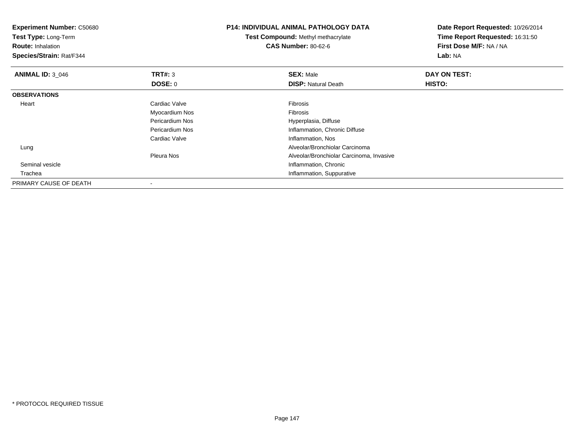| <b>Experiment Number: C50680</b><br>Test Type: Long-Term<br><b>Route: Inhalation</b> |                 | <b>P14: INDIVIDUAL ANIMAL PATHOLOGY DATA</b> | Date Report Requested: 10/26/2014<br>Time Report Requested: 16:31:50<br>First Dose M/F: NA / NA |  |
|--------------------------------------------------------------------------------------|-----------------|----------------------------------------------|-------------------------------------------------------------------------------------------------|--|
|                                                                                      |                 | Test Compound: Methyl methacrylate           |                                                                                                 |  |
|                                                                                      |                 | <b>CAS Number: 80-62-6</b>                   |                                                                                                 |  |
| Species/Strain: Rat/F344                                                             |                 |                                              | Lab: NA                                                                                         |  |
| <b>ANIMAL ID: 3 046</b>                                                              | <b>TRT#: 3</b>  | <b>SEX: Male</b>                             | DAY ON TEST:                                                                                    |  |
|                                                                                      | <b>DOSE: 0</b>  | <b>DISP: Natural Death</b>                   | HISTO:                                                                                          |  |
| <b>OBSERVATIONS</b>                                                                  |                 |                                              |                                                                                                 |  |
| Heart                                                                                | Cardiac Valve   | <b>Fibrosis</b>                              |                                                                                                 |  |
|                                                                                      | Myocardium Nos  | <b>Fibrosis</b>                              |                                                                                                 |  |
|                                                                                      | Pericardium Nos | Hyperplasia, Diffuse                         |                                                                                                 |  |
|                                                                                      | Pericardium Nos | Inflammation, Chronic Diffuse                |                                                                                                 |  |
|                                                                                      | Cardiac Valve   | Inflammation, Nos                            |                                                                                                 |  |
| Lung                                                                                 |                 | Alveolar/Bronchiolar Carcinoma               |                                                                                                 |  |
|                                                                                      | Pleura Nos      | Alveolar/Bronchiolar Carcinoma, Invasive     |                                                                                                 |  |
| Seminal vesicle                                                                      |                 | Inflammation, Chronic                        |                                                                                                 |  |
| Trachea                                                                              |                 | Inflammation, Suppurative                    |                                                                                                 |  |
| PRIMARY CAUSE OF DEATH                                                               |                 |                                              |                                                                                                 |  |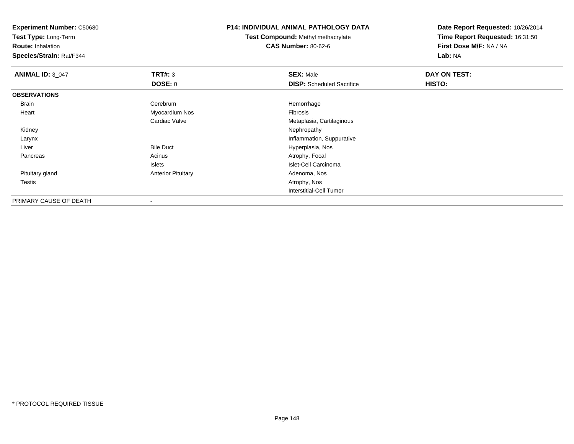**Experiment Number:** C50680

**Test Type:** Long-Term

**Route:** Inhalation

**Species/Strain:** Rat/F344

## **P14: INDIVIDUAL ANIMAL PATHOLOGY DATA**

**Test Compound:** Methyl methacrylate**CAS Number:** 80-62-6

**Date Report Requested:** 10/26/2014**Time Report Requested:** 16:31:50**First Dose M/F:** NA / NA**Lab:** NA

| <b>ANIMAL ID: 3_047</b> | TRT#: 3                   | <b>SEX: Male</b>                 | DAY ON TEST: |
|-------------------------|---------------------------|----------------------------------|--------------|
|                         | <b>DOSE: 0</b>            | <b>DISP:</b> Scheduled Sacrifice | HISTO:       |
| <b>OBSERVATIONS</b>     |                           |                                  |              |
| Brain                   | Cerebrum                  | Hemorrhage                       |              |
| Heart                   | Myocardium Nos            | Fibrosis                         |              |
|                         | Cardiac Valve             | Metaplasia, Cartilaginous        |              |
| Kidney                  |                           | Nephropathy                      |              |
| Larynx                  |                           | Inflammation, Suppurative        |              |
| Liver                   | <b>Bile Duct</b>          | Hyperplasia, Nos                 |              |
| Pancreas                | Acinus                    | Atrophy, Focal                   |              |
|                         | Islets                    | Islet-Cell Carcinoma             |              |
| Pituitary gland         | <b>Anterior Pituitary</b> | Adenoma, Nos                     |              |
| <b>Testis</b>           |                           | Atrophy, Nos                     |              |
|                         |                           | Interstitial-Cell Tumor          |              |
| PRIMARY CAUSE OF DEATH  | $\blacksquare$            |                                  |              |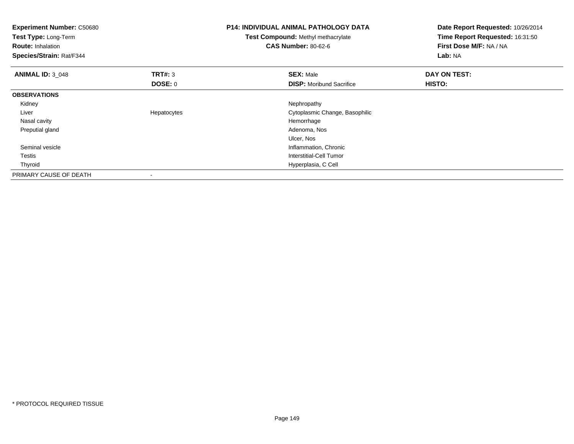| <b>Experiment Number: C50680</b><br>Test Type: Long-Term<br><b>Route: Inhalation</b><br>Species/Strain: Rat/F344 |                          | <b>P14: INDIVIDUAL ANIMAL PATHOLOGY DATA</b><br>Test Compound: Methyl methacrylate<br><b>CAS Number: 80-62-6</b> | Date Report Requested: 10/26/2014<br>Time Report Requested: 16:31:50<br>First Dose M/F: NA / NA<br>Lab: NA |
|------------------------------------------------------------------------------------------------------------------|--------------------------|------------------------------------------------------------------------------------------------------------------|------------------------------------------------------------------------------------------------------------|
| <b>ANIMAL ID: 3_048</b>                                                                                          | TRT#: 3                  | <b>SEX: Male</b>                                                                                                 | DAY ON TEST:                                                                                               |
|                                                                                                                  | DOSE: 0                  | <b>DISP:</b> Moribund Sacrifice                                                                                  | HISTO:                                                                                                     |
| <b>OBSERVATIONS</b>                                                                                              |                          |                                                                                                                  |                                                                                                            |
| Kidney                                                                                                           |                          | Nephropathy                                                                                                      |                                                                                                            |
| Liver                                                                                                            | Hepatocytes              | Cytoplasmic Change, Basophilic                                                                                   |                                                                                                            |
| Nasal cavity                                                                                                     |                          | Hemorrhage                                                                                                       |                                                                                                            |
| Preputial gland                                                                                                  |                          | Adenoma, Nos                                                                                                     |                                                                                                            |
|                                                                                                                  |                          | Ulcer, Nos                                                                                                       |                                                                                                            |
| Seminal vesicle                                                                                                  |                          | Inflammation, Chronic                                                                                            |                                                                                                            |
| Testis                                                                                                           |                          | Interstitial-Cell Tumor                                                                                          |                                                                                                            |
| Thyroid                                                                                                          |                          | Hyperplasia, C Cell                                                                                              |                                                                                                            |
| PRIMARY CAUSE OF DEATH                                                                                           | $\overline{\phantom{a}}$ |                                                                                                                  |                                                                                                            |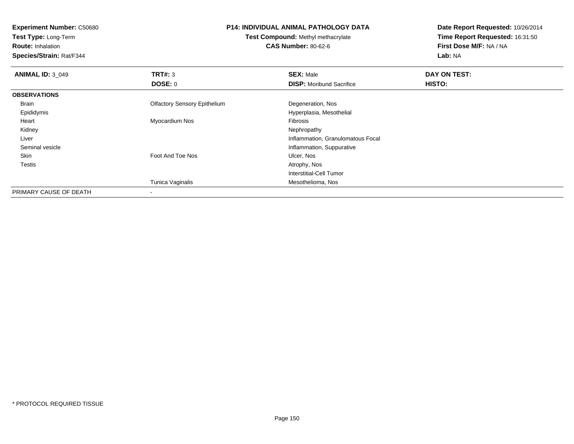**Experiment Number:** C50680**Test Type:** Long-Term**Route:** Inhalation **Species/Strain:** Rat/F344**P14: INDIVIDUAL ANIMAL PATHOLOGY DATATest Compound:** Methyl methacrylate**CAS Number:** 80-62-6**Date Report Requested:** 10/26/2014**Time Report Requested:** 16:31:50**First Dose M/F:** NA / NA**Lab:** NA**ANIMAL ID: 3 049 9 SEX:** Male **DAY ON TEST: DAY ON TEST: DOSE:** 0**DISP:** Moribund Sacrifice **HISTO: OBSERVATIONS** Brain Olfactory Sensory Epithelium Degeneration, Nos Epididymis Hyperplasia, Mesothelial Heart Myocardium Nos Fibrosis Kidneyy the control of the control of the control of the control of the control of the control of the control of the control of the control of the control of the control of the control of the control of the control of the contro Liver Inflammation, Granulomatous Focal Seminal vesicle Inflammation, Suppurative SkinFoot And Toe Nos **Ulcer, Nos**<br>Atrophy, Nos **Testis** s and the contract of the contract of the contract of the contract of the contract of the contract of the contract of the contract of the contract of the contract of the contract of the contract of the contract of the cont Interstitial-Cell TumorTunica Vaginalis Mesothelioma, Nos PRIMARY CAUSE OF DEATH-